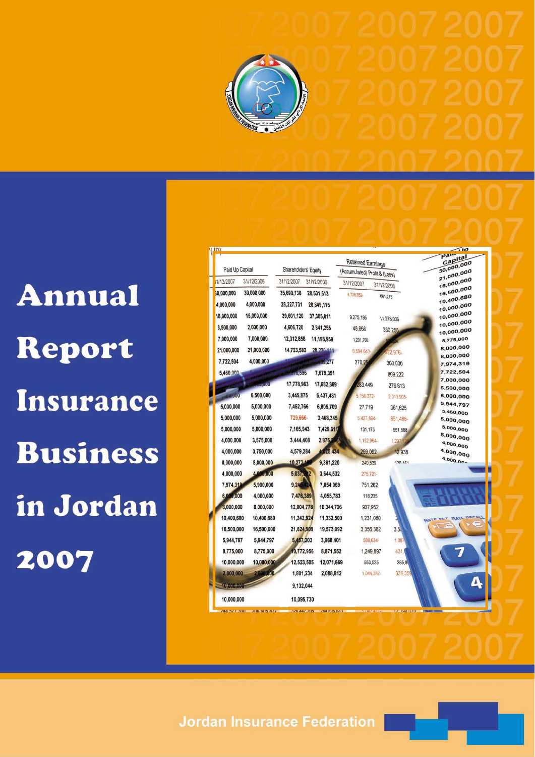

**Annual** Report Insurance **Business** in Jordan 2007

|                          |                          |                               |                       | Paiu                     |
|--------------------------|--------------------------|-------------------------------|-----------------------|--------------------------|
|                          |                          | Retained Earnings             |                       | Capital<br>30,000,000    |
| Paid Up Capital          | Shareholders' Equity     | (Accumulated) Profit & (Loss) |                       | 21,000,000               |
| 31/12/2006<br>1/12/2007  | 31/12/2007<br>31/12/2006 | 31/12/2007                    | 31/12/2006            | 18,000,000               |
| 30,000,000<br>30.000,000 | 35,690,138<br>28,501,513 | 4.738.352-                    | 661,213               | 16,500,000               |
| 4,000,000<br>4,000,000   | 28,227,731<br>28,849,115 |                               |                       | 10,400,680<br>10,000,000 |
| 15,000,000<br>18,000,000 | 39,601,120<br>37,385,011 | 9,275,195                     | 11,278,036            | 10,000,000               |
| 2,000,000<br>3,500,000   | 4,606,720<br>2,841,255   | 48,866                        | 330,255               | 10,000,000<br>10,000,000 |
| 7,000,000<br>7,000,000   | 12,312,858               | 11,198,959<br>1,201,768       |                       | 8,775,000                |
| 21,000,000<br>21,000,000 | 14,723,582               | 20,220,444<br>6.594.643       | 22.976-               | 8,000,000                |
| 4,000,000<br>7,722,504   |                          | $-477$<br>270.25              | 300,000               | 8,000,000<br>7,974,319   |
| 5,460,000                | 10,596                   | 7,679,391                     | 809,222               | 7,722,504                |
| <b>ARRIVAL</b>           | 17,778,963               | 17,682,869<br>283.449         | 276,813               | 7,000,000                |
| 6,500,000<br>5100        | 3,445,875                | 6,437,481<br>5, 156, 372-     | 2.013.905-            | 6,500,000<br>6,000,000   |
| 5,000,000<br>5,000,000   | 7,452,766                | 6,805,709<br>27,719           | 361,625               | 5,944,797                |
| 5,000,000<br>5,000,000   | 729,666-                 | 3,468,345<br>5,427,894-       | 851,488-              | 5,460,000<br>5,000,000   |
| 5,000,000<br>5,000,000   | 7,165,943                | 7,429,611<br>131,173          | 551,888               | 5,000,000                |
| 4,000,000<br>3,575,000   | 3,444,408                | 2,875,246<br>1,152,964        | 1,297                 | 5,000,000                |
| 4,000,000<br>3,750,000   | 4,579,284                | 4,025.434<br>259,092          | 12,938                | 4,000,000<br>4,000,000   |
| 8,000,000<br>8,000,000   | 10,272.1                 | 9,381,220<br>240,539          | <b>128 181</b>        | $4,000.00 -$             |
| 4,000,000<br>4,000,000   | 5,037,202                | 3,644,532<br>$275,721-$       |                       |                          |
| 5,900,000<br>7,974,319   | 9,245,424                | 7,054,069<br>751.262          |                       |                          |
| 6,000,000<br>4,000,000   | 7,476,389                | 4,055,783<br>118.235          |                       |                          |
| 8,000,000<br>8,000,000   | 12,004,778               | 10,344,726                    | 937,952               |                          |
| 10,400,680<br>10,400,680 | 11,242,924               | 11,332,500                    | 1,231,080             | DECAL<br>RATE OFT RATE   |
| 16,500,000<br>16,500,000 | 21,624,909               | 19,573,092                    | 3.5.<br>3,356,382     |                          |
| 5,944,797<br>5,944,797   | 5,457,203                | 3,968,401                     | 1,087<br>588,634-     |                          |
| 8,775,000<br>8,775,000   | 10,772,956               | 8,871,552                     | 1,249,897<br>431      |                          |
| 10,000,000<br>10,000,000 | 12,523,505               | 12,071,669                    | 553,525<br>285,8      |                          |
| 2,800,000<br>2,800,000   | 1,801,234                | 2,088,812                     | 338,359<br>1.044.282- |                          |
| 10:000.000               | 9,132,044                |                               |                       | Δ                        |
| 10,000,000               | 10,095,730               |                               |                       |                          |
|                          |                          | <b><i>UNA KUN KNA</i></b>     |                       |                          |

**Jordan Insurance Federation**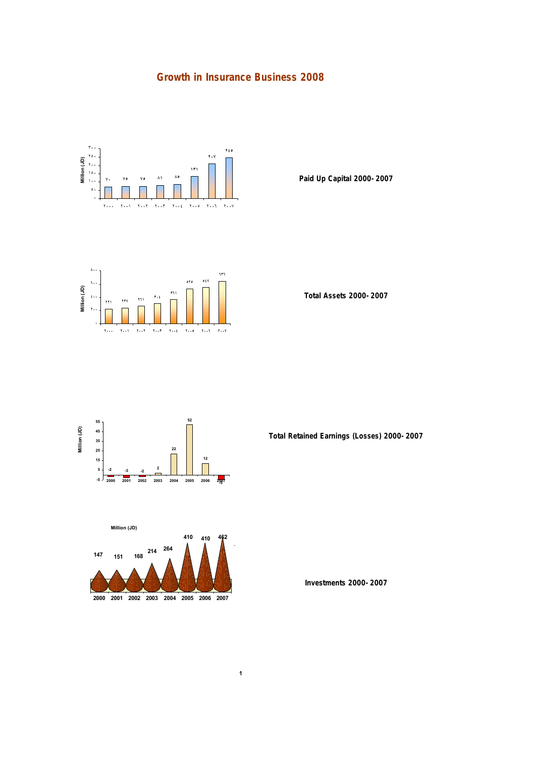## **Growth in Insurance Business 2008**



 **٥٤٧** Million (JD) **Million (JD) <sup>٢٣٧</sup> <sup>٢٦١</sup> <sup>٣٠٤</sup> <sup>٣٦١</sup> ٢٠٠٠ ٢٠٠١ ٢٠٠٢ ٢٠٠٣ ٢٠٠٤ ٢٠٠٥ ٢٠٠٦ ٢٠٠٧** **Paid Up Capital 2000-2007**

**Total Assets 2000-2007**





**Total Retained Earnings (Losses) 2000-2007**

**Investments 2000-2007**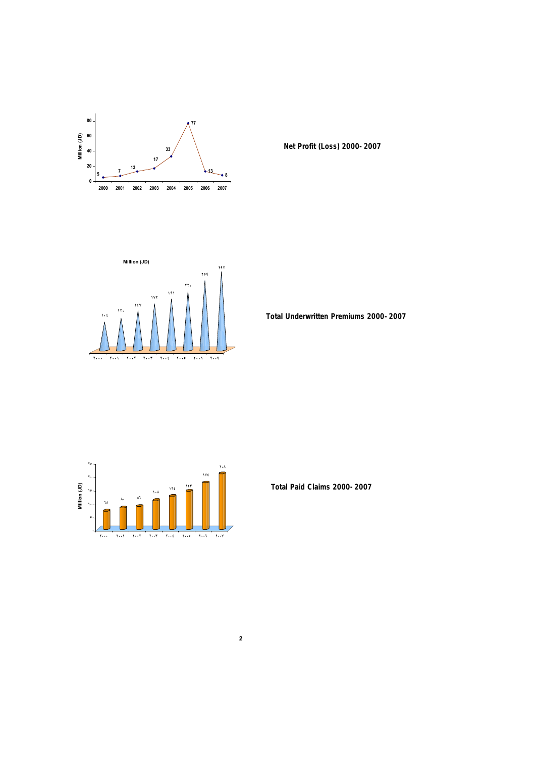

**Net Profit (Loss) 2000-2007** 



**Total Underwritten Premiums 2000-2007**



**Total Paid Claims 2000-2007**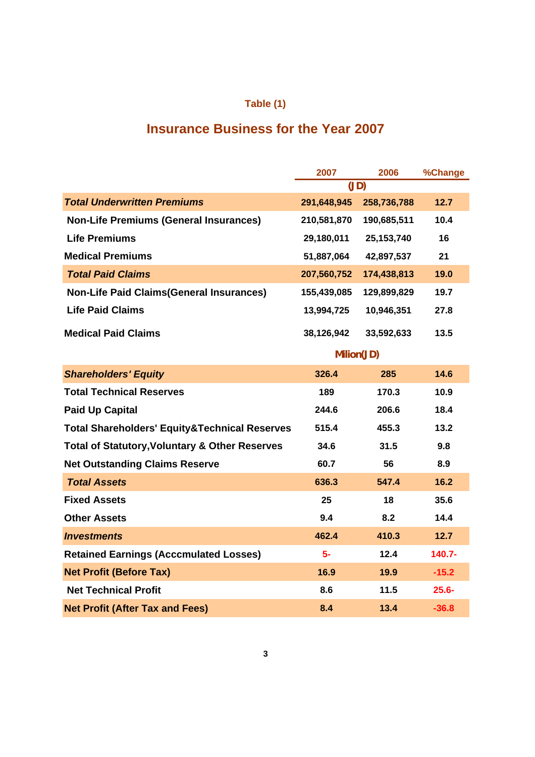## **Table (1)**

# **Insurance Business for the Year 2007**

|                                                           | 2007        | 2006         | %Change   |
|-----------------------------------------------------------|-------------|--------------|-----------|
|                                                           | (JD)        |              |           |
| <b>Total Underwritten Premiums</b>                        | 291,648,945 | 258,736,788  | 12.7      |
| <b>Non-Life Premiums (General Insurances)</b>             | 210,581,870 | 190,685,511  | 10.4      |
| <b>Life Premiums</b>                                      | 29,180,011  | 25, 153, 740 | 16        |
| <b>Medical Premiums</b>                                   | 51,887,064  | 42,897,537   | 21        |
| <b>Total Paid Claims</b>                                  | 207,560,752 | 174,438,813  | 19.0      |
| <b>Non-Life Paid Claims (General Insurances)</b>          | 155,439,085 | 129,899,829  | 19.7      |
| <b>Life Paid Claims</b>                                   | 13,994,725  | 10,946,351   | 27.8      |
| <b>Medical Paid Claims</b>                                | 38,126,942  | 33,592,633   | 13.5      |
|                                                           | Milion(JD)  |              |           |
| <b>Shareholders' Equity</b>                               | 326.4       | 285          | 14.6      |
| <b>Total Technical Reserves</b>                           | 189         | 170.3        | 10.9      |
| <b>Paid Up Capital</b>                                    | 244.6       | 206.6        | 18.4      |
| <b>Total Shareholders' Equity&amp;Technical Reserves</b>  | 515.4       | 455.3        | 13.2      |
| <b>Total of Statutory, Voluntary &amp; Other Reserves</b> | 34.6        | 31.5         | 9.8       |
| <b>Net Outstanding Claims Reserve</b>                     | 60.7        | 56           | 8.9       |
| <b>Total Assets</b>                                       | 636.3       | 547.4        | 16.2      |
| <b>Fixed Assets</b>                                       | 25          | 18           | 35.6      |
| <b>Other Assets</b>                                       | 9.4         | 8.2          | 14.4      |
| <b>Investments</b>                                        | 462.4       | 410.3        | 12.7      |
| <b>Retained Earnings (Acccmulated Losses)</b>             | $5-$        | 12.4         | $140.7 -$ |
| <b>Net Profit (Before Tax)</b>                            | 16.9        | 19.9         | $-15.2$   |
| <b>Net Technical Profit</b>                               | 8.6         | 11.5         | $25.6 -$  |
| <b>Net Profit (After Tax and Fees)</b>                    | 8.4         | 13.4         | $-36.8$   |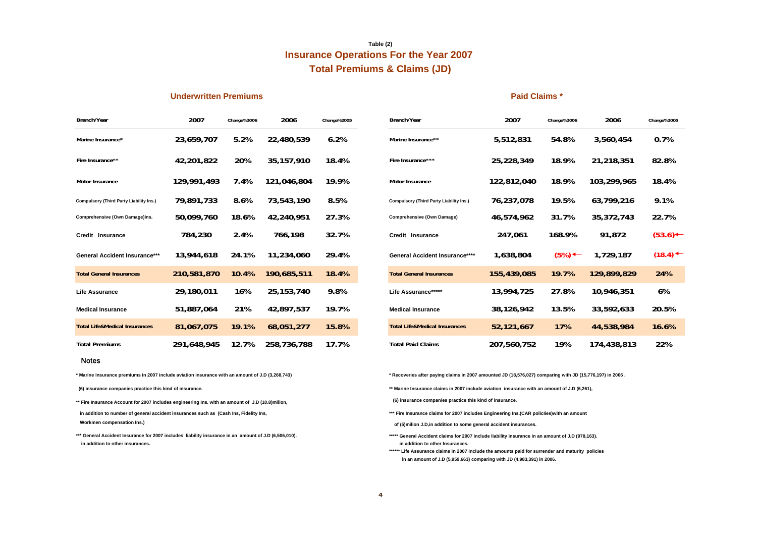## **Insurance Operations For the Year 2007 Table (2) Total Premiums & Claims (JD)**

#### **Underwritten Premiums Paid Claims \***

| Branch/Year                                    | 2007        | Change%2006 | 2006         | Change%2005 |
|------------------------------------------------|-------------|-------------|--------------|-------------|
| Marine Insurance*                              | 23,659,707  | 5.2%        | 22,480,539   | 6.2%        |
| Fire Insurance**                               | 42,201,822  | 20%         | 35, 157, 910 | 18.4%       |
| <b>Motor Insurance</b>                         | 129,991,493 | 7.4%        | 121,046,804  | 19.9%       |
| <b>Compulsory (Third Party Liability Ins.)</b> | 79,891,733  | 8.6%        | 73,543,190   | 8.5%        |
| Comprehensive (Own Damage)Ins.                 | 50,099,760  | 18.6%       | 42,240,951   | 27.3%       |
| Credit Insurance                               | 784,230     | 2.4%        | 766,198      | 32.7%       |
| <b>General Accident Insurance***</b>           | 13,944,618  | 24.1%       | 11,234,060   | 29.4%       |
| <b>Total General Insurances</b>                | 210,581,870 | 10.4%       | 190,685,511  | 18.4%       |
| Life Assurance                                 | 29,180,011  | 16%         | 25, 153, 740 | 9.8%        |
| <b>Medical Insurance</b>                       | 51,887,064  | 21%         | 42,897,537   | 19.7%       |
| <b>Total Life&amp;Medical Insurances</b>       | 81,067,075  | 19.1%       | 68,051,277   | 15.8%       |
| <b>Total Premiums</b>                          | 291,648,945 | 12.7%       | 258,736,788  | 17.7%       |

| 2007        | Change%2006 | 2006         | Change%2005 | Branch/Year                                    | 2007        | Change%2006        | 2006        | Change%2005           |
|-------------|-------------|--------------|-------------|------------------------------------------------|-------------|--------------------|-------------|-----------------------|
| 23,659,707  | 5.2%        | 22,480,539   | 6.2%        | Marine Insurance**                             | 5,512,831   | 54.8%              | 3,560,454   | 0.7%                  |
| 42,201,822  | 20%         | 35, 157, 910 | 18.4%       | Fire Insurance***                              | 25,228,349  | 18.9%              | 21,218,351  | 82.8%                 |
| 129,991,493 | 7.4%        | 121,046,804  | 19.9%       | <b>Motor Insurance</b>                         | 122,812,040 | 18.9%              | 103,299,965 | 18.4%                 |
| 79,891,733  | 8.6%        | 73,543,190   | 8.5%        | <b>Compulsory (Third Party Liability Ins.)</b> | 76,237,078  | 19.5%              | 63,799,216  | 9.1%                  |
| 50,099,760  | 18.6%       | 42,240,951   | 27.3%       | <b>Comprehensive (Own Damage)</b>              | 46,574,962  | 31.7%              | 35,372,743  | 22.7%                 |
| 784,230     | 2.4%        | 766,198      | 32.7%       | Credit Insurance                               | 247,061     | 168.9%             | 91,872      | (53.6)                |
| 13,944,618  | 24.1%       | 11,234,060   | 29.4%       | <b>General Accident Insurance****</b>          | 1,638,804   | $(5\%) \leftarrow$ | 1,729,187   | $(18.4)$ $\leftarrow$ |
| 210,581,870 | 10.4%       | 190,685,511  | 18.4%       | <b>Total General Insurances</b>                | 155,439,085 | 19.7%              | 129,899,829 | 24%                   |
| 29,180,011  | 16%         | 25, 153, 740 | 9.8%        | Life Assurance*****                            | 13,994,725  | 27.8%              | 10,946,351  | 6%                    |
| 51,887,064  | 21%         | 42,897,537   | 19.7%       | <b>Medical Insurance</b>                       | 38,126,942  | 13.5%              | 33,592,633  | 20.5%                 |
| 81,067,075  | 19.1%       | 68,051,277   | 15.8%       | <b>Total Life&amp;Medical Insurances</b>       | 52,121,667  | 17%                | 44,538,984  | 16.6%                 |
| 291,648,945 | 12.7%       | 258,736,788  | 17.7%       | <b>Total Paid Claims</b>                       | 207,560,752 | 19%                | 174,438,813 | 22%                   |
|             |             |              |             |                                                |             |                    |             |                       |

#### Notes

**\* Marine Insurance premiums in 2007 include aviation insurance with an amount of J.D (3,268,743)** 

 **(6) insurance companies practice this kind of insurance.**

**\*\* Fire Insurance Account for 2007 includes engineering Ins. with an amount of J.D (10.8)milion,**

 **Workmen compensation Ins.) in addition to number of general accident insurances such as (Cash Ins, Fidelity Ins,**

 **in addition to other insurances. \*\*\* General Accident Insurance for 2007 includes liability insurance in an amount of J.D (6,506,010).** **\* Recoveries after paying claims in 2007 amounted JD (18,576,027) comparing with JD (15,776,197) in 2006 .**

**\*\* Marine Insurance claims in 2007 include aviation insurance with an amount of J.D (6,261),** 

 **(6) insurance companies practice this kind of insurance.**

\*\*\* Fire Insurance claims for 2007 includes Engineering Ins.(CAR policlies)with an amount

 **of (5)milion J.D,in addition to some general accident insurances.**

- **\*\*\*\*\* General Accident claims for 2007 include liability insurance in an amount of J.D (978,163). in addition to other Insurances.**
- **in an amount of J.D (5,959,663) comparing with JD (4,983,391) in 2006. \*\*\*\*\*\* Life Assurance claims in 2007 include the amounts paid for surrender and maturity policies**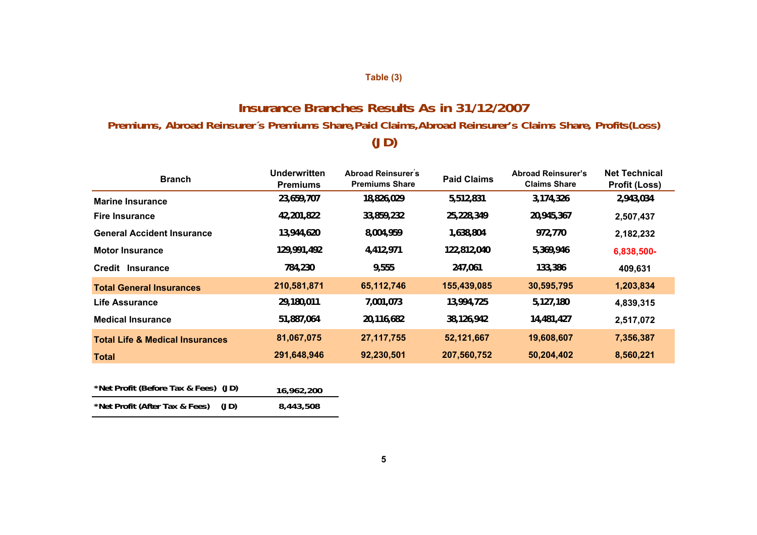## **Table (3)**

## **Insurance Branches Results As in 31/12/2007**

## **Premiums, Abroad Reinsurer´s Premiums Share,Paid Claims,Abroad Reinsurer's Claims Share, Profits(Loss)**

# **(JD)**

| <b>Branch</b>                              | Underwritten<br><b>Premiums</b> | <b>Abroad Reinsurer's</b><br><b>Premiums Share</b> | <b>Paid Claims</b> | <b>Abroad Reinsurer's</b><br><b>Claims Share</b> | <b>Net Technical</b><br><b>Profit (Loss)</b> |
|--------------------------------------------|---------------------------------|----------------------------------------------------|--------------------|--------------------------------------------------|----------------------------------------------|
| <b>Marine Insurance</b>                    | 23,659,707                      | 18,826,029                                         | 5,512,831          | 3,174,326                                        | 2,943,034                                    |
| <b>Fire Insurance</b>                      | 42,201,822                      | 33,859,232                                         | 25,228,349         | 20,945,367                                       | 2,507,437                                    |
| <b>General Accident Insurance</b>          | 13,944,620                      | 8,004,959                                          | 1,638,804          | 972,770                                          | 2,182,232                                    |
| <b>Motor Insurance</b>                     | 129,991,492                     | 4,412,971                                          | 122,812,040        | 5,369,946                                        | 6,838,500-                                   |
| Credit<br><b>Insurance</b>                 | 784,230                         | 9,555                                              | 247,061            | 133,386                                          | 409,631                                      |
| <b>Total General Insurances</b>            | 210,581,871                     | 65,112,746                                         | 155,439,085        | 30,595,795                                       | 1,203,834                                    |
| Life Assurance                             | 29,180,011                      | 7,001,073                                          | 13,994,725         | 5,127,180                                        | 4,839,315                                    |
| <b>Medical Insurance</b>                   | 51,887,064                      | 20,116,682                                         | 38,126,942         | 14,481,427                                       | 2,517,072                                    |
| <b>Total Life &amp; Medical Insurances</b> | 81,067,075                      | 27, 117, 755                                       | 52,121,667         | 19,608,607                                       | 7,356,387                                    |
| Total                                      | 291,648,946                     | 92,230,501                                         | 207,560,752        | 50,204,402                                       | 8,560,221                                    |

| *Net Profit (Before Tax & Fees) (JD) |      | 16,962,200 |
|--------------------------------------|------|------------|
| *Net Profit (After Tax & Fees)       | (JD) | 8,443,508  |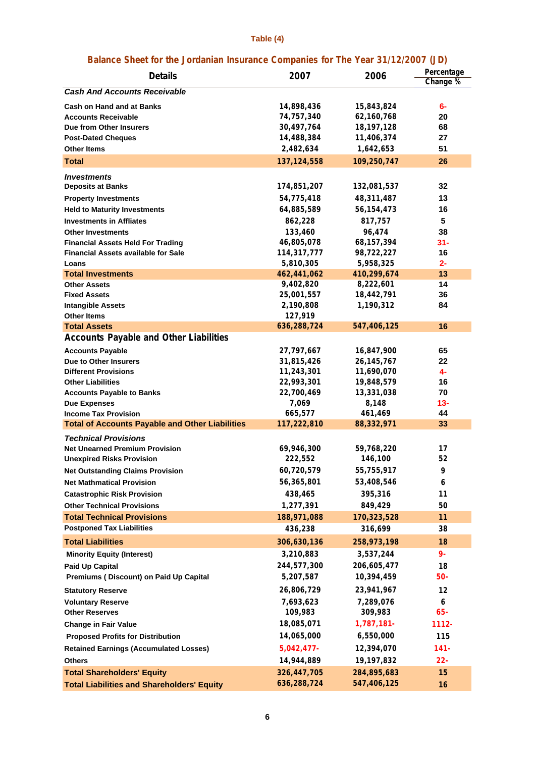## **Table (4)**

## **Balance Sheet for the Jordanian Insurance Companies for The Year 31/12/2007 (JD)**

| <b>Details</b>                                               | 2007                     | 2006                     | Percentage<br>Change % |
|--------------------------------------------------------------|--------------------------|--------------------------|------------------------|
| <b>Cash And Accounts Receivable</b>                          |                          |                          |                        |
| <b>Cash on Hand and at Banks</b>                             | 14,898,436               | 15,843,824               | 6-                     |
| <b>Accounts Receivable</b>                                   | 74,757,340               | 62,160,768               | 20                     |
| Due from Other Insurers                                      | 30,497,764               | 18,197,128               | 68                     |
| <b>Post-Dated Cheques</b>                                    | 14,488,384               | 11,406,374               | 27                     |
| <b>Other Items</b>                                           | 2,482,634                | 1,642,653                | 51                     |
| <b>Total</b>                                                 | 137, 124, 558            | 109,250,747              | 26                     |
| <i><b>Investments</b></i>                                    |                          |                          |                        |
| <b>Deposits at Banks</b>                                     | 174,851,207              | 132,081,537              | 32                     |
| <b>Property Investments</b>                                  | 54,775,418               | 48,311,487               | 13                     |
| <b>Held to Maturity Investments</b>                          | 64,885,589               | 56, 154, 473             | 16                     |
| <b>Investments in Affliates</b>                              | 862,228                  | 817,757                  | 5                      |
| <b>Other Investments</b>                                     | 133,460                  | 96,474                   | 38                     |
| <b>Financial Assets Held For Trading</b>                     | 46,805,078               | 68, 157, 394             | 31-                    |
| <b>Financial Assets available for Sale</b>                   | 114,317,777              | 98,722,227               | 16                     |
| Loans                                                        | 5,810,305                | 5,958,325                | 2-                     |
| <b>Total Investments</b>                                     | 462,441,062              | 410,299,674              | 13                     |
| <b>Other Assets</b>                                          | 9,402,820                | 8,222,601                | 14                     |
| <b>Fixed Assets</b>                                          | 25,001,557               | 18,442,791               | 36                     |
| <b>Intangible Assets</b>                                     | 2,190,808                | 1,190,312                | 84                     |
| <b>Other Items</b>                                           | 127,919                  |                          |                        |
| <b>Total Assets</b>                                          | 636,288,724              | 547,406,125              | 16                     |
| <b>Accounts Payable and Other Liabilities</b>                |                          |                          |                        |
| <b>Accounts Payable</b>                                      | 27,797,667               | 16,847,900               | 65                     |
| Due to Other Insurers                                        | 31,815,426               | 26, 145, 767             | 22                     |
| <b>Different Provisions</b>                                  | 11,243,301               | 11,690,070               | 4-<br>16               |
| <b>Other Liabilities</b><br><b>Accounts Payable to Banks</b> | 22,993,301<br>22,700,469 | 19,848,579<br>13,331,038 | 70                     |
| <b>Due Expenses</b>                                          | 7,069                    | 8,148                    | $13 -$                 |
| <b>Income Tax Provision</b>                                  | 665,577                  | 461,469                  | 44                     |
| <b>Total of Accounts Payable and Other Liabilities</b>       | 117,222,810              | 88,332,971               | 33                     |
| <b>Technical Provisions</b>                                  |                          |                          |                        |
| <b>Net Unearned Premium Provision</b>                        | 69,946,300               | 59,768,220               | 17                     |
| <b>Unexpired Risks Provision</b>                             | 222,552                  | 146,100                  | 52                     |
| <b>Net Outstanding Claims Provision</b>                      | 60,720,579               | 55,755,917               | 9                      |
| <b>Net Mathmatical Provision</b>                             | 56,365,801               | 53,408,546               | 6                      |
| <b>Catastrophic Risk Provision</b>                           | 438,465                  | 395,316                  | 11                     |
| <b>Other Technical Provisions</b>                            | 1,277,391                | 849,429                  | 50                     |
| <b>Total Technical Provisions</b>                            | 188,971,088              | 170,323,528              | 11                     |
| <b>Postponed Tax Liabilities</b>                             | 436,238                  | 316,699                  | 38                     |
| <b>Total Liabilities</b>                                     | 306,630,136              | 258,973,198              | 18                     |
| <b>Minority Equity (Interest)</b>                            | 3,210,883                | 3,537,244                | $9 -$                  |
| <b>Paid Up Capital</b>                                       | 244,577,300              | 206,605,477              | 18                     |
| Premiums (Discount) on Paid Up Capital                       | 5,207,587                | 10,394,459               | $50 -$                 |
| <b>Statutory Reserve</b>                                     | 26,806,729               | 23,941,967               | 12                     |
| <b>Voluntary Reserve</b>                                     | 7,693,623                | 7,289,076                | 6                      |
| <b>Other Reserves</b>                                        | 109,983                  | 309,983                  | $65 -$                 |
| <b>Change in Fair Value</b>                                  | 18,085,071               | 1,787,181-               | 1112-                  |
| <b>Proposed Profits for Distribution</b>                     | 14,065,000               | 6,550,000                | 115                    |
| <b>Retained Earnings (Accumulated Losses)</b>                | $5,042,477-$             | 12,394,070               | $141 -$                |
| <b>Others</b>                                                | 14,944,889               | 19,197,832               | $22 -$                 |
| <b>Total Shareholders' Equity</b>                            | 326,447,705              | 284,895,683              | 15                     |
| <b>Total Liabilities and Shareholders' Equity</b>            | 636,288,724              | 547,406,125              | 16                     |
|                                                              |                          |                          |                        |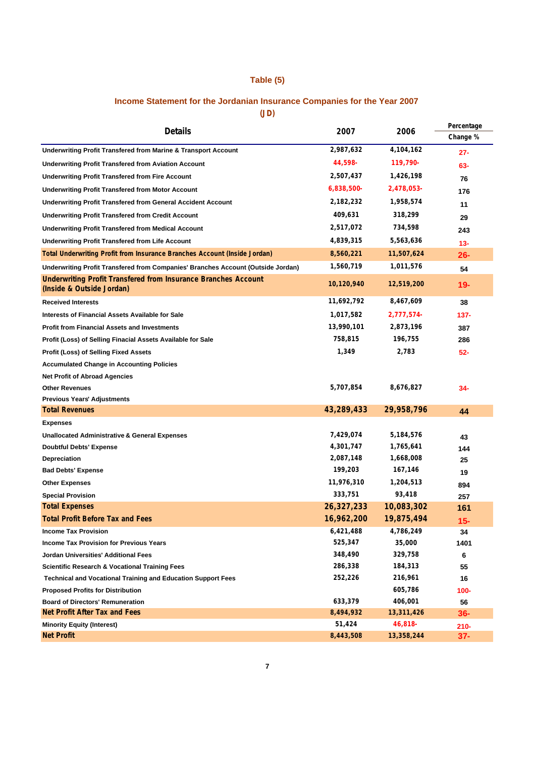## **Table (5)**

## **Income Statement for the Jordanian Insurance Companies for the Year 2007**

**(JD)**

| <b>Details</b>                                                                                     | 2007       | 2006       | Percentage |
|----------------------------------------------------------------------------------------------------|------------|------------|------------|
|                                                                                                    |            |            | Change %   |
| Underwriting Profit Transfered from Marine & Transport Account                                     | 2,987,632  | 4,104,162  | $27 -$     |
| <b>Underwriting Profit Transfered from Aviation Account</b>                                        | 44,598-    | 119,790-   | 63-        |
| <b>Underwriting Profit Transfered from Fire Account</b>                                            | 2,507,437  | 1,426,198  | 76         |
| <b>Underwriting Profit Transfered from Motor Account</b>                                           | 6,838,500- | 2,478,053- | 176        |
| <b>Underwriting Profit Transfered from General Accident Account</b>                                | 2,182,232  | 1,958,574  | 11         |
| <b>Underwriting Profit Transfered from Credit Account</b>                                          | 409,631    | 318,299    | 29         |
| <b>Underwriting Profit Transfered from Medical Account</b>                                         | 2,517,072  | 734,598    | 243        |
| <b>Underwriting Profit Transfered from Life Account</b>                                            | 4,839,315  | 5,563,636  | $13 -$     |
| Total Underwriting Profit from Insurance Branches Account (Inside Jordan)                          | 8,560,221  | 11,507,624 | $26 -$     |
| Underwriting Profit Transfered from Companies' Branches Account (Outside Jordan)                   | 1,560,719  | 1,011,576  | 54         |
| <b>Underwriting Profit Transfered from Insurance Branches Account</b><br>(Inside & Outside Jordan) | 10,120,940 | 12,519,200 | $19 -$     |
| <b>Received Interests</b>                                                                          | 11,692,792 | 8,467,609  | 38         |
| <b>Interests of Financial Assets Available for Sale</b>                                            | 1,017,582  | 2,777,574- | $137 -$    |
| <b>Profit from Financial Assets and Investments</b>                                                | 13,990,101 | 2,873,196  | 387        |
| Profit (Loss) of Selling Finacial Assets Available for Sale                                        | 758,815    | 196,755    | 286        |
| <b>Profit (Loss) of Selling Fixed Assets</b>                                                       | 1,349      | 2,783      | $52 -$     |
| <b>Accumulated Change in Accounting Policies</b>                                                   |            |            |            |
| <b>Net Profit of Abroad Agencies</b>                                                               |            |            |            |
| <b>Other Revenues</b>                                                                              | 5,707,854  | 8,676,827  | 34-        |
| <b>Previous Years' Adjustments</b>                                                                 |            |            |            |
| <b>Total Revenues</b>                                                                              | 43,289,433 | 29,958,796 | 44         |
| <b>Expenses</b>                                                                                    |            |            |            |
| <b>Unallocated Administrative &amp; General Expenses</b>                                           | 7,429,074  | 5,184,576  | 43         |
| <b>Doubtful Debts' Expense</b>                                                                     | 4,301,747  | 1,765,641  | 144        |
| <b>Depreciation</b>                                                                                | 2,087,148  | 1,668,008  | 25         |
| <b>Bad Debts' Expense</b>                                                                          | 199,203    | 167,146    | 19         |
| <b>Other Expenses</b>                                                                              | 11,976,310 | 1,204,513  | 894        |
| <b>Special Provision</b>                                                                           | 333,751    | 93,418     | 257        |
| <b>Total Expenses</b>                                                                              | 26,327,233 | 10,083,302 | 161        |
| <b>Total Profit Before Tax and Fees</b>                                                            | 16,962,200 | 19,875,494 | $15 -$     |
| <b>Income Tax Provision</b>                                                                        | 6,421,488  | 4,786,249  | 34         |
| <b>Income Tax Provision for Previous Years</b>                                                     | 525,347    | 35,000     | 1401       |
| <b>Jordan Universities' Additional Fees</b>                                                        | 348,490    | 329,758    | 6          |
| <b>Scientific Research &amp; Vocational Training Fees</b>                                          | 286,338    | 184,313    | 55         |
| <b>Technical and Vocational Training and Education Support Fees</b>                                | 252,226    | 216,961    | 16         |
| <b>Proposed Profits for Distribution</b>                                                           |            | 605,786    | $100 -$    |
| <b>Board of Directors' Remuneration</b>                                                            | 633,379    | 406,001    | 56         |
| Net Profit After Tax and Fees                                                                      | 8,494,932  | 13,311,426 | $36 -$     |
| <b>Minority Equity (Interest)</b>                                                                  | 51,424     | 46,818-    | $210 -$    |
| <b>Net Profit</b>                                                                                  | 8,443,508  | 13,358,244 | $37 -$     |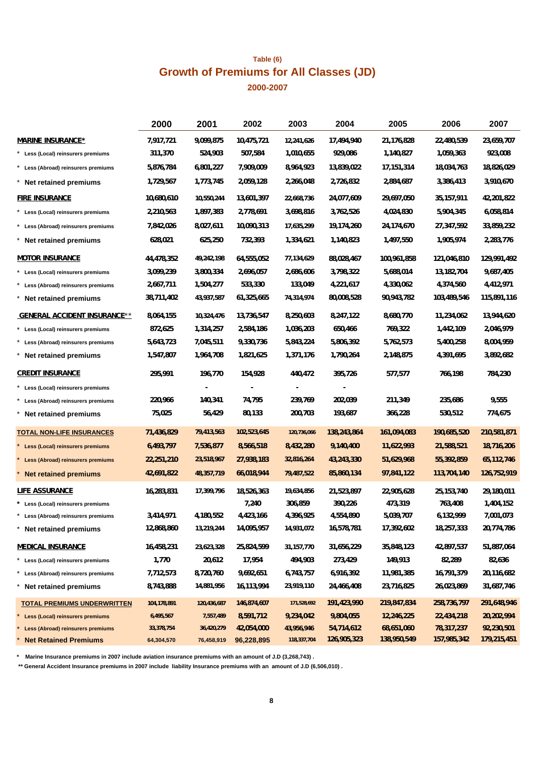## **Table (6) 2000-2007 Growth of Premiums for All Classes (JD)**

|                                     | 2000        | 2001        | 2002        | 2003         | 2004        | 2005         | 2006         | 2007        |
|-------------------------------------|-------------|-------------|-------------|--------------|-------------|--------------|--------------|-------------|
| <b>MARINE INSURANCE*</b>            | 7,917,721   | 9,099,875   | 10,475,721  | 12,241,626   | 17,494,940  | 21,176,828   | 22,480,539   | 23,659,707  |
| * Less (Local) reinsurers premiums  | 311,370     | 524,903     | 507,584     | 1,010,655    | 929,086     | 1,140,827    | 1,059,363    | 923,008     |
| * Less (Abroad) reinsurers premiums | 5,876,784   | 6,801,227   | 7,909,009   | 8,964,923    | 13,839,022  | 17, 151, 314 | 18,034,763   | 18,826,029  |
| * Net retained premiums             | 1,729,567   | 1,773,745   | 2,059,128   | 2,266,048    | 2,726,832   | 2,884,687    | 3,386,413    | 3,910,670   |
| <b>FIRE INSURANCE</b>               | 10,680,610  | 10,550,244  | 13,601,397  | 22,668,736   | 24,077,609  | 29,697,050   | 35, 157, 911 | 42,201,822  |
| * Less (Local) reinsurers premiums  | 2,210,563   | 1,897,383   | 2,778,691   | 3,698,816    | 3,762,526   | 4,024,830    | 5,904,345    | 6,058,814   |
| * Less (Abroad) reinsurers premiums | 7,842,026   | 8,027,611   | 10,090,313  | 17,635,299   | 19,174,260  | 24,174,670   | 27,347,592   | 33,859,232  |
| * Net retained premiums             | 628,021     | 625,250     | 732,393     | 1,334,621    | 1,140,823   | 1,497,550    | 1,905,974    | 2,283,776   |
| <b>MOTOR INSURANCE</b>              | 44,478,352  | 49,242,198  | 64,555,052  | 77,134,629   | 88,028,467  | 100,961,858  | 121,046,810  | 129,991,492 |
| * Less (Local) reinsurers premiums  | 3,099,239   | 3,800,334   | 2,696,057   | 2,686,606    | 3,798,322   | 5,688,014    | 13,182,704   | 9,687,405   |
| * Less (Abroad) reinsurers premiums | 2,667,711   | 1,504,277   | 533,330     | 133,049      | 4,221,617   | 4,330,062    | 4,374,560    | 4,412,971   |
| * Net retained premiums             | 38,711,402  | 43,937,587  | 61,325,665  | 74,314,974   | 80,008,528  | 90,943,782   | 103,489,546  | 115,891,116 |
| <b>GENERAL ACCIDENT INSURANCE**</b> | 8,064,155   | 10,324,476  | 13,736,547  | 8,250,603    | 8,247,122   | 8,680,770    | 11,234,062   | 13,944,620  |
| * Less (Local) reinsurers premiums  | 872,625     | 1,314,257   | 2,584,186   | 1,036,203    | 650,466     | 769,322      | 1,442,109    | 2,046,979   |
| * Less (Abroad) reinsurers premiums | 5,643,723   | 7,045,511   | 9,330,736   | 5,843,224    | 5,806,392   | 5,762,573    | 5,400,258    | 8,004,959   |
| Net retained premiums               | 1,547,807   | 1,964,708   | 1,821,625   | 1,371,176    | 1,790,264   | 2,148,875    | 4,391,695    | 3,892,682   |
| <b>CREDIT INSURANCE</b>             | 295,991     | 196,770     | 154,928     | 440,472      | 395,726     | 577,577      | 766,198      | 784,230     |
| * Less (Local) reinsurers premiums  |             |             |             |              |             |              |              |             |
| * Less (Abroad) reinsurers premiums | 220,966     | 140,341     | 74,795      | 239,769      | 202,039     | 211,349      | 235,686      | 9,555       |
| Net retained premiums               | 75,025      | 56,429      | 80,133      | 200,703      | 193,687     | 366,228      | 530,512      | 774,675     |
| <b>TOTAL NON-LIFE INSURANCES</b>    | 71,436,829  | 79,413,563  | 102,523,645 | 120,736,066  | 138,243,864 | 161,094,083  | 190,685,520  | 210,581,871 |
| * Less (Local) reinsurers premiums  | 6,493,797   | 7,536,877   | 8,566,518   | 8,432,280    | 9,140,400   | 11,622,993   | 21,588,521   | 18,716,206  |
| * Less (Abroad) reinsurers premiums | 22,251,210  | 23,518,967  | 27,938,183  | 32,816,264   | 43,243,330  | 51,629,968   | 55,392,859   | 65,112,746  |
| <b>Net retained premiums</b>        | 42,691,822  | 48,357,719  | 66,018,944  | 79,487,522   | 85,860,134  | 97,841,122   | 113,704,140  | 126,752,919 |
| LIFE ASSURANCE                      | 16,283,831  | 17,399,796  | 18,526,363  | 19,634,856   | 21,523,897  | 22,905,628   | 25, 153, 740 | 29,180,011  |
| * Less (Local) reinsurers premiums  |             |             | 7,240       | 306,859      | 390,226     | 473,319      | 763,408      | 1,404,152   |
| * Less (Abroad) reinsurers premiums | 3,414,971   | 4,180,552   | 4,423,166   | 4,396,925    | 4,554,890   | 5,039,707    | 6,132,999    | 7,001,073   |
| Net retained premiums               | 12,868,860  | 13,219,244  | 14,095,957  | 14,931,072   | 16,578,781  | 17,392,602   | 18,257,333   | 20,774,786  |
| <b>MEDICAL INSURANCE</b>            | 16,458,231  | 23,623,328  | 25,824,599  | 31, 157, 770 | 31,656,229  | 35,848,123   | 42,897,537   | 51,887,064  |
| * Less (Local) reinsurers premiums  | 1,770       | 20,612      | 17,954      | 494,903      | 273,429     | 149,913      | 82,289       | 82,636      |
| * Less (Abroad) reinsurers premiums | 7,712,573   | 8,720,760   | 9,692,651   | 6,743,757    | 6,916,392   | 11,981,385   | 16,791,379   | 20,116,682  |
| Net retained premiums               | 8,743,888   | 14,881,956  | 16,113,994  | 23,919,110   | 24,466,408  | 23,716,825   | 26,023,869   | 31,687,746  |
| <b>TOTAL PREMIUMS UNDERWRITTEN</b>  | 104,178,891 | 120,436,687 | 146,874,607 | 171,528,692  | 191,423,990 | 219,847,834  | 258,736,797  | 291,648,946 |
| * Less (Local) reinsurers premiums  | 6,495,567   | 7,557,489   | 8,591,712   | 9,234,042    | 9,804,055   | 12,246,225   | 22,434,218   | 20,202,994  |
| Less (Abroad) reinsurers premiums   | 33,378,754  | 36,420,279  | 42,054,000  | 43,956,946   | 54,714,612  | 68,651,060   | 78,317,237   | 92,230,501  |
| <b>Net Retained Premiums</b>        | 64,304,570  | 76,458,919  | 96,228,895  | 118,337,704  | 126,905,323 | 138,950,549  | 157,985,342  | 179,215,451 |

**\* Marine Insurance premiums in 2007 include aviation insurance premiums with an amount of J.D (3,268,743) .**

 **\*\* General Accident Insurance premiums in 2007 include liability Insurance premiums with an amount of J.D (6,506,010) .**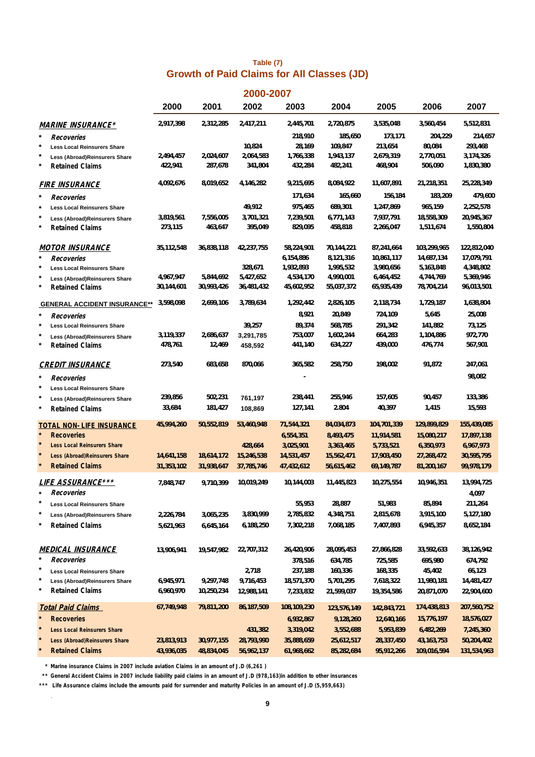## **Table (7) Growth of Paid Claims for All Classes (JD)**

|                                                |            |            | 2000-2007    |             |             |             |             |                     |
|------------------------------------------------|------------|------------|--------------|-------------|-------------|-------------|-------------|---------------------|
|                                                | 2000       | 2001       | 2002         | 2003        | 2004        | 2005        | 2006        | 2007                |
| <b>MARINE INSURANCE*</b>                       | 2,917,398  | 2,312,285  | 2,417,211    | 2,445,701   | 2,720,875   | 3,535,048   | 3,560,454   | 5,512,831           |
| $^\star$<br>Recoveries                         |            |            |              | 218,910     | 185,650     | 173,171     | 204,229     | 214,657             |
| *<br><b>Less Local Reinsurers Share</b>        |            |            | 10,824       | 28,169      | 109,847     | 213,654     | 80,084      | 293,468             |
| Less (Abroad)Reinsurers Share                  | 2,494,457  | 2,024,607  | 2,064,583    | 1,766,338   | 1,943,137   | 2,679,319   | 2,770,051   | 3,174,326           |
| <b>Retained Claims</b>                         | 422,941    | 287,678    | 341,804      | 432,284     | 482,241     | 468,904     | 506,090     | 1,830,380           |
| <b>FIRE INSURANCE</b>                          | 4,092,676  | 8,019,652  | 4,146,282    | 9,215,695   | 8,084,922   | 11,607,891  | 21,218,351  | 25,228,349          |
| Recoveries                                     |            |            |              | 171,634     | 165,660     | 156,184     | 183,209     | 479,600             |
| $^\ast$<br><b>Less Local Reinsurers Share</b>  |            |            | 49,912       | 975,465     | 689,301     | 1,247,869   | 965,159     | 2,252,578           |
| *<br>Less (Abroad)Reinsurers Share             | 3,819,561  | 7,556,005  | 3,701,321    | 7,239,501   | 6,771,143   | 7,937,791   | 18,558,309  | 20,945,367          |
| *<br><b>Retained Claims</b>                    | 273,115    | 463,647    | 395,049      | 829,095     | 458,818     | 2,266,047   | 1,511,674   | 1,550,804           |
| <u>MOTOR INSURANCE</u>                         | 35,112,548 | 36,838,118 | 42,237,755   | 58,224,901  | 70,144,221  | 87,241,664  | 103,299,965 | 122,812,040         |
| *<br>Recoveries                                |            |            |              | 6,154,886   | 8,121,316   | 10,861,117  | 14,687,134  | 17,079,791          |
| *<br><b>Less Local Reinsurers Share</b>        |            |            | 328,671      | 1,932,893   | 1,995,532   | 3,980,656   | 5,163,848   | 4,348,802           |
| *<br><b>Less (Abroad)Reinsurers Share</b>      | 4,967,947  | 5,844,692  | 5,427,652    | 4,534,170   | 4,990,001   | 6,464,452   | 4,744,769   | 5,369,946           |
| <b>Retained Claims</b>                         | 30,144,601 | 30,993,426 | 36,481,432   | 45,602,952  | 55,037,372  | 65,935,439  | 78,704,214  | 96,013,501          |
| <b>GENERAL ACCIDENT INSURANCE**</b>            | 3,598,098  | 2,699,106  | 3,789,634    | 1,292,442   | 2,826,105   | 2,118,734   | 1,729,187   | 1,638,804           |
| *<br>Recoveries                                |            |            |              | 8,921       | 20,849      | 724,109     | 5,645       | 25,008              |
| *<br><b>Less Local Reinsurers Share</b>        |            |            | 39,257       | 89,374      | 568,785     | 291,342     | 141,882     | 73,125              |
| Less (Abroad)Reinsurers Share                  | 3,119,337  | 2,686,637  | 3,291,785    | 753,007     | 1,602,244   | 664,283     | 1,104,886   | 972,770             |
| <b>Retained Claims</b>                         | 478,761    | 12,469     | 458,592      | 441,140     | 634,227     | 439,000     | 476,774     | 567,901             |
| <b>CREDIT INSURANCE</b>                        | 273,540    | 683,658    | 870,066      | 365,582     | 258,750     | 198,002     | 91,872      | 247,061             |
| *<br>Recoveries                                |            |            |              |             |             |             |             | 98,082              |
| <b>Less Local Reinsurers Share</b>             |            |            |              |             |             |             |             |                     |
| Less (Abroad)Reinsurers Share                  | 239,856    | 502,231    | 761,197      | 238,441     | 255,946     | 157,605     | 90,457      | 133,386             |
| <b>Retained Claims</b>                         | 33,684     | 181,427    | 108,869      | 127,141     | 2.804       | 40,397      | 1,415       | 15,593              |
| TOTAL NON-LIFE INSURANCE                       | 45,994,260 | 50,552,819 | 53,460,948   | 71,544,321  | 84,034,873  | 104,701,339 | 129,899,829 | 155,439,085         |
| *<br><b>Recoveries</b>                         |            |            |              | 6,554,351   | 8,493,475   | 11,914,581  | 15,080,217  | 17,897,138          |
| *<br><b>Less Local Reinsurers Share</b>        |            |            | 428,664      | 3,025,901   | 3,363,465   | 5,733,521   | 6,350,973   | 6,967,973           |
| *<br>Less (Abroad) Reinsurers Share            | 14,641,158 | 18,614,172 | 15,246,538   | 14,531,457  | 15,562,471  | 17,903,450  | 27,268,472  | 30,595,795          |
| <b>Retained Claims</b>                         | 31,353,102 | 31,938,647 | 37,785,746   | 47,432,612  | 56,615,462  | 69,149,787  | 81,200,167  | 99,978,179          |
| <i>LIFE ASSURANCE***</i><br>Recoveries         | 7,848,747  | 9,710,399  | 10,019,249   | 10,144,003  | 11,445,823  | 10,275,554  | 10,946,351  | 13,994,725<br>4,097 |
| $^\star$<br><b>Less Local Reinsurers Share</b> |            |            |              | 55,953      | 28,887      | 51,983      | 85,894      | 211,264             |
| $^{\ast}$<br>Less (Abroad)Reinsurers Share     | 2,226,784  | 3,065,235  | 3,830,999    | 2,785,832   | 4,348,751   | 2,815,678   | 3,915,100   | 5,127,180           |
| *<br><b>Retained Claims</b>                    | 5,621,963  | 6,645,164  | 6,188,250    | 7,302,218   | 7,068,185   | 7,407,893   | 6,945,357   | 8,652,184           |
|                                                |            |            |              |             |             |             |             |                     |
| <u>MEDICAL INSURANCE</u><br>*                  | 13,906,941 | 19,547,982 | 22,707,312   | 26,420,906  | 28,095,453  | 27,866,828  | 33,592,633  | 38,126,942          |
| Recoveries<br>*                                |            |            |              | 378,516     | 634,785     | 725,585     | 695,980     | 674,792             |
| <b>Less Local Reinsurers Share</b>             |            |            | 2,718        | 237,188     | 160,336     | 168,335     | 45,402      | 66,123              |
| $^{\ast}$<br>Less (Abroad)Reinsurers Share     | 6,945,971  | 9,297,748  | 9,716,453    | 18,571,370  | 5,701,295   | 7,618,322   | 11,980,181  | 14,481,427          |
| *<br><b>Retained Claims</b>                    | 6,960,970  | 10,250,234 | 12,988,141   | 7,233,832   | 21,599,037  | 19,354,586  | 20,871,070  | 22,904,600          |
| <b>Total Paid Claims</b><br>×                  | 67,749,948 | 79,811,200 | 86, 187, 509 | 108,109,230 | 123,576,149 | 142,843,721 | 174,438,813 | 207,560,752         |
| <b>Recoveries</b>                              |            |            |              | 6,932,867   | 9,128,260   | 12,640,166  | 15,776,197  | 18,576,027          |
| <b>Less Local Reinsurers Share</b>             |            |            | 431,382      | 3,319,042   | 3,552,688   | 5,953,839   | 6,482,269   | 7,245,360           |
| *<br>Less (Abroad) Reinsurers Share            | 23,813,913 | 30,977,155 | 28,793,990   | 35,888,659  | 25,612,517  | 28,337,450  | 43,163,753  | 50,204,402          |
| <b>Retained Claims</b>                         | 43,936,035 | 48,834,045 | 56,962,137   | 61,968,662  | 85,282,684  | 95,912,266  | 109,016,594 | 131,534,963         |

**\* Marine insurance Claims in 2007 include aviation Claims in an amount of J.D (6,261 )**

**\*\* General Accident Claims in 2007 include liability paid claims in an amount of J.D (978,163)in addition to other insurances**

**\*\*\* Life Assurance claims include the amounts paid for surrender and maturity Policies in an amount of J.D (5,959,663)**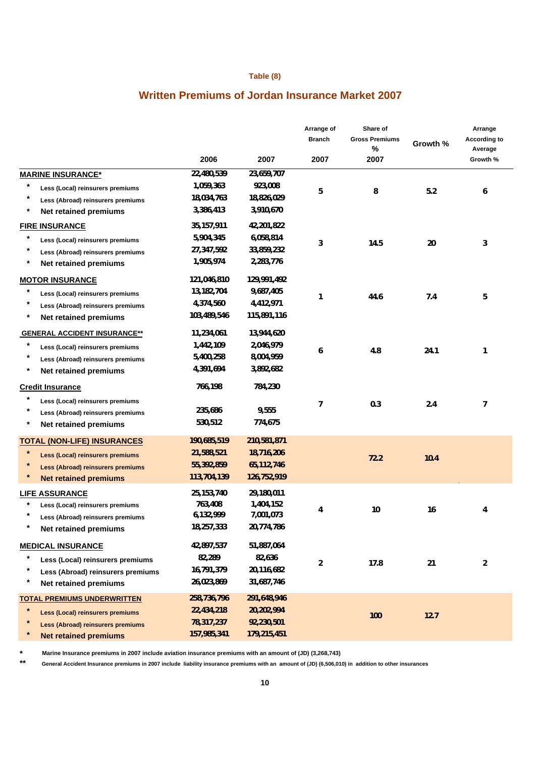#### **Table (8)**

## **Written Premiums of Jordan Insurance Market 2007**

|                                                     |              |             | Arrange of<br><b>Branch</b> | Share of<br><b>Gross Premiums</b><br>$\%$ | Growth %                                                                                                                            | Arrange<br>According to<br>Average |
|-----------------------------------------------------|--------------|-------------|-----------------------------|-------------------------------------------|-------------------------------------------------------------------------------------------------------------------------------------|------------------------------------|
|                                                     | 2006         | 2007        | 2007                        | 2007                                      |                                                                                                                                     |                                    |
| <b>MARINE INSURANCE*</b>                            | 22,480,539   | 23,659,707  |                             |                                           |                                                                                                                                     |                                    |
| $\ast$<br>Less (Local) reinsurers premiums          | 1,059,363    | 923,008     | 5                           | 8                                         | 5.2                                                                                                                                 | 6                                  |
| $\star$<br>Less (Abroad) reinsurers premiums        | 18,034,763   | 18,826,029  |                             |                                           |                                                                                                                                     |                                    |
| $^{\ast}$<br><b>Net retained premiums</b>           | 3,386,413    | 3,910,670   |                             |                                           | Growth %<br>20<br>3<br>7.4<br>5<br>24.1<br>$\mathbf{1}$<br>2.4<br>$\overline{7}$<br>10.4<br>16<br>4<br>21<br>$\overline{2}$<br>12.7 |                                    |
| <b>FIRE INSURANCE</b>                               | 35,157,911   | 42,201,822  |                             |                                           |                                                                                                                                     |                                    |
| *<br>Less (Local) reinsurers premiums               | 5,904,345    | 6,058,814   | 3                           | 14.5                                      |                                                                                                                                     |                                    |
| $\ast$<br>Less (Abroad) reinsurers premiums         | 27,347,592   | 33,859,232  |                             |                                           |                                                                                                                                     |                                    |
| $\star$<br><b>Net retained premiums</b>             | 1,905,974    | 2,283,776   |                             |                                           |                                                                                                                                     |                                    |
| <b>MOTOR INSURANCE</b>                              | 121,046,810  | 129,991,492 |                             |                                           |                                                                                                                                     |                                    |
| *<br>Less (Local) reinsurers premiums               | 13,182,704   | 9,687,405   | $\mathbf{1}$                |                                           |                                                                                                                                     |                                    |
| $^{\ast}$<br>Less (Abroad) reinsurers premiums      | 4,374,560    | 4,412,971   |                             | 44.6                                      |                                                                                                                                     |                                    |
| $\ast$<br>Net retained premiums                     | 103,489,546  | 115,891,116 |                             |                                           |                                                                                                                                     |                                    |
| <b>GENERAL ACCIDENT INSURANCE**</b>                 | 11,234,061   | 13,944,620  |                             |                                           |                                                                                                                                     |                                    |
| $\ast$<br>Less (Local) reinsurers premiums          | 1,442,109    | 2,046,979   |                             |                                           |                                                                                                                                     |                                    |
| $^{\ast}$<br>Less (Abroad) reinsurers premiums      | 5,400,258    | 8,004,959   | 6                           | 4.8                                       |                                                                                                                                     |                                    |
| $^{\ast}$<br><b>Net retained premiums</b>           | 4,391,694    | 3,892,682   |                             |                                           |                                                                                                                                     |                                    |
| <b>Credit Insurance</b>                             | 766,198      | 784,230     |                             |                                           |                                                                                                                                     |                                    |
| $\ast$<br>Less (Local) reinsurers premiums          |              |             |                             |                                           |                                                                                                                                     |                                    |
| $^\star$<br>Less (Abroad) reinsurers premiums       | 235,686      | 9,555       | $\overline{1}$              | 0.3                                       |                                                                                                                                     |                                    |
| $^{\ast}$<br>Net retained premiums                  | 530,512      | 774,675     |                             |                                           |                                                                                                                                     |                                    |
| <b>TOTAL (NON-LIFE) INSURANCES</b>                  | 190,685,519  | 210,581,871 |                             |                                           |                                                                                                                                     |                                    |
| $\ast$<br>Less (Local) reinsurers premiums          | 21,588,521   | 18,716,206  |                             |                                           |                                                                                                                                     |                                    |
| $\star$<br><b>Less (Abroad) reinsurers premiums</b> | 55,392,859   | 65,112,746  |                             | 72.2                                      |                                                                                                                                     |                                    |
| <b>Net retained premiums</b>                        | 113,704,139  | 126,752,919 |                             |                                           |                                                                                                                                     |                                    |
| <b>LIFE ASSURANCE</b>                               | 25, 153, 740 | 29,180,011  |                             |                                           |                                                                                                                                     |                                    |
| $^\star$<br>Less (Local) reinsurers premiums        | 763,408      | 1,404,152   | 4                           | 10                                        |                                                                                                                                     |                                    |
| Less (Abroad) reinsurers premiums                   | 6,132,999    | 7,001,073   |                             |                                           |                                                                                                                                     |                                    |
| Net retained premiums                               | 18,257,333   | 20,774,786  |                             |                                           |                                                                                                                                     |                                    |
| <b>MEDICAL INSURANCE</b>                            | 42,897,537   | 51,887,064  |                             |                                           |                                                                                                                                     |                                    |
| $\ast$<br>Less (Local) reinsurers premiums          | 82,289       | 82,636      |                             |                                           |                                                                                                                                     |                                    |
| $^\ast$<br>Less (Abroad) reinsurers premiums        | 16,791,379   | 20,116,682  | $\overline{2}$              | 17.8                                      |                                                                                                                                     |                                    |
| $^\ast$<br>Net retained premiums                    | 26,023,869   | 31,687,746  |                             |                                           |                                                                                                                                     |                                    |
| <b>TOTAL PREMIUMS UNDERWRITTEN</b>                  | 258,736,796  | 291,648,946 |                             |                                           |                                                                                                                                     |                                    |
| $\ast$<br><b>Less (Local) reinsurers premiums</b>   | 22,434,218   | 20,202,994  |                             |                                           |                                                                                                                                     |                                    |
| $\ast$<br>Less (Abroad) reinsurers premiums         | 78,317,237   | 92,230,501  |                             | 100                                       |                                                                                                                                     |                                    |
| $\ast$<br><b>Net retained premiums</b>              | 157,985,341  | 179,215,451 |                             |                                           |                                                                                                                                     |                                    |

**\* Marine Insurance premiums in 2007 include aviation insurance premiums with an amount of (JD) (3,268,743)**

**\*\* General Accident Insurance premiums in 2007 include liability insurance premiums with an amount of (JD) (6,506,010) in addition to other insurances**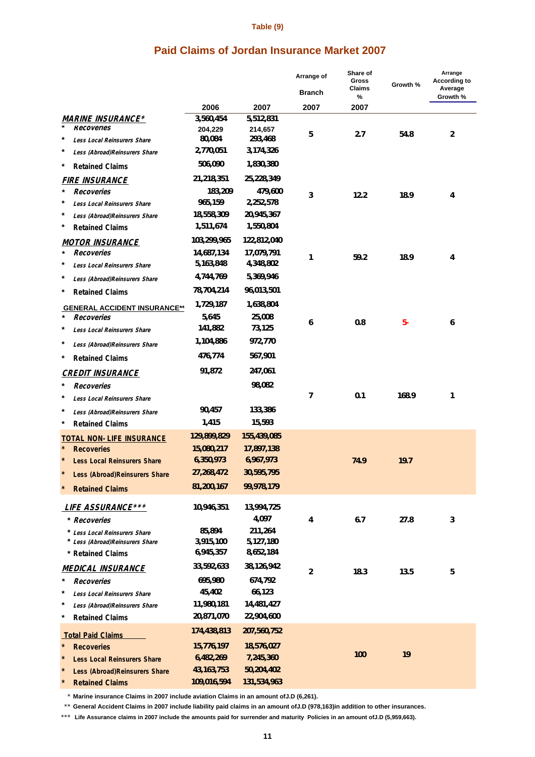#### **Table (9)**

## **Paid Claims of Jordan Insurance Market 2007**

|                                          |                   |                    | Arrange of     | Share of<br><b>Gross</b><br>Claims | Growth % | Arrange<br><b>According to</b><br>Average |
|------------------------------------------|-------------------|--------------------|----------------|------------------------------------|----------|-------------------------------------------|
|                                          |                   |                    | <b>Branch</b>  | %                                  |          | Growth %                                  |
|                                          | 2006              | 2007               | 2007           | 2007                               |          |                                           |
| <b>MARINE INSURANCE*</b>                 | 3,560,454         | 5,512,831          |                |                                    |          |                                           |
| Recoveries<br>$\ast$                     | 204,229<br>80,084 | 214,657<br>293,468 | 5              | 2.7                                | 54.8     | $\overline{c}$                            |
| <b>Less Local Reinsurers Share</b><br>*  | 2,770,051         | 3,174,326          |                |                                    |          |                                           |
| Less (Abroad)Reinsurers Share            | 506,090           |                    |                |                                    |          |                                           |
| *<br><b>Retained Claims</b>              |                   | 1,830,380          |                |                                    |          |                                           |
| <b>FIRE INSURANCE</b>                    | 21,218,351        | 25,228,349         |                |                                    |          |                                           |
| $\ast$<br>Recoveries                     | 183,209           | 479,600            | 3              | 12.2                               | 18.9     | 4                                         |
| *<br>Less Local Reinsurers Share         | 965,159           | 2,252,578          |                |                                    |          |                                           |
| *<br>Less (Abroad)Reinsurers Share       | 18,558,309        | 20,945,367         |                |                                    |          |                                           |
| *<br><b>Retained Claims</b>              | 1,511,674         | 1,550,804          |                |                                    |          |                                           |
| <b>MOTOR INSURANCE</b>                   | 103,299,965       | 122,812,040        |                |                                    |          |                                           |
| Recoveries                               | 14,687,134        | 17,079,791         | 1              | 59.2                               | 18.9     | 4                                         |
| $^{\ast}$<br>Less Local Reinsurers Share | 5,163,848         | 4,348,802          |                |                                    |          |                                           |
| *<br>Less (Abroad)Reinsurers Share       | 4,744,769         | 5,369,946          |                |                                    |          |                                           |
| $^{\ast}$<br><b>Retained Claims</b>      | 78,704,214        | 96,013,501         |                |                                    |          |                                           |
| <b>GENERAL ACCIDENT INSURANCE**</b>      | 1,729,187         | 1,638,804          |                |                                    |          |                                           |
| Recoveries                               | 5,645             | 25,008             | 6              | 0.8                                | $5-$     | 6                                         |
| *<br>Less Local Reinsurers Share         | 141,882           | 73,125             |                |                                    |          |                                           |
| *<br>Less (Abroad)Reinsurers Share       | 1,104,886         | 972,770            |                |                                    |          |                                           |
| $^{\ast}$<br><b>Retained Claims</b>      | 476,774           | 567,901            |                |                                    |          |                                           |
| <b>CREDIT INSURANCE</b>                  | 91,872            | 247,061            |                |                                    |          |                                           |
| *<br>Recoveries                          |                   | 98,082             |                |                                    |          |                                           |
| *<br>Less Local Reinsurers Share         |                   |                    | 7              | 0.1                                | 168.9    | 1                                         |
| *<br>Less (Abroad)Reinsurers Share       | 90,457            | 133,386            |                |                                    |          |                                           |
| *<br><b>Retained Claims</b>              | 1,415             | 15,593             |                |                                    |          |                                           |
| <b>TOTAL NON-LIFE INSURANCE</b>          | 129,899,829       | 155,439,085        |                |                                    |          |                                           |
| $\star$<br><b>Recoveries</b>             | 15,080,217        | 17,897,138         |                |                                    |          |                                           |
| <b>Less Local Reinsurers Share</b>       | 6,350,973         | 6,967,973          |                | 74.9                               | 19.7     |                                           |
| Less (Abroad) Reinsurers Share           | 27,268,472        | 30,595,795         |                |                                    |          |                                           |
|                                          | 81,200,167        | 99,978,179         |                |                                    |          |                                           |
| <b>Retained Claims</b>                   |                   |                    |                |                                    |          |                                           |
| <b>LIFE ASSURANCE ***</b>                | 10,946,351        | 13,994,725         |                |                                    |          |                                           |
| * Recoveries                             |                   | 4,097              | 4              | 6.7                                | 27.8     | 3                                         |
| * Less Local Reinsurers Share            | 85,894            | 211,264            |                |                                    |          |                                           |
| * Less (Abroad)Reinsurers Share          | 3,915,100         | 5,127,180          |                |                                    |          |                                           |
| * Retained Claims                        | 6,945,357         | 8,652,184          |                |                                    |          |                                           |
| <b>MEDICAL INSURANCE</b>                 | 33,592,633        | 38,126,942         | $\overline{2}$ | 18.3                               | 13.5     | 5                                         |
| *<br>Recoveries                          | 695,980           | 674,792            |                |                                    |          |                                           |
| *<br><b>Less Local Reinsurers Share</b>  | 45,402            | 66,123             |                |                                    |          |                                           |
| *<br>Less (Abroad)Reinsurers Share       | 11,980,181        | 14,481,427         |                |                                    |          |                                           |
| *<br><b>Retained Claims</b>              | 20,871,070        | 22,904,600         |                |                                    |          |                                           |
| <b>Total Paid Claims</b>                 | 174,438,813       | 207,560,752        |                |                                    |          |                                           |
| <b>Recoveries</b>                        | 15,776,197        | 18,576,027         |                |                                    |          |                                           |
| <b>Less Local Reinsurers Share</b>       | 6,482,269         | 7,245,360          |                | 100                                | 19       |                                           |
| Less (Abroad) Reinsurers Share           | 43, 163, 753      | 50,204,402         |                |                                    |          |                                           |
| <b>Retained Claims</b>                   | 109,016,594       | 131,534,963        |                |                                    |          |                                           |

\* **Marine insurance Claims in 2007 include aviation Claims in an amount ofJ.D (6,261).**

\*\* **General Accident Claims in 2007 include liability paid claims in an amount ofJ.D (978,163)in addition to other insurances.**

\*\*\*  **Life Assurance claims in 2007 include the amounts paid for surrender and maturity Policies in an amount ofJ.D (5,959,663).**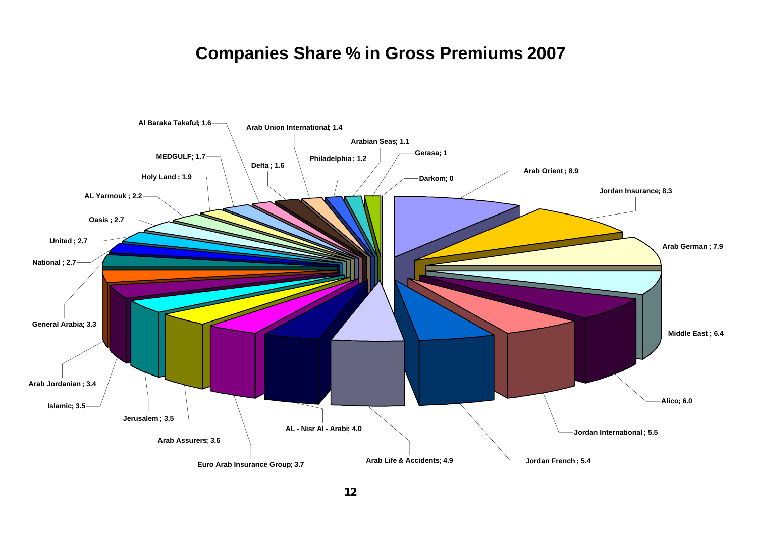# **Companies Share % in Gross Premiums 2007**

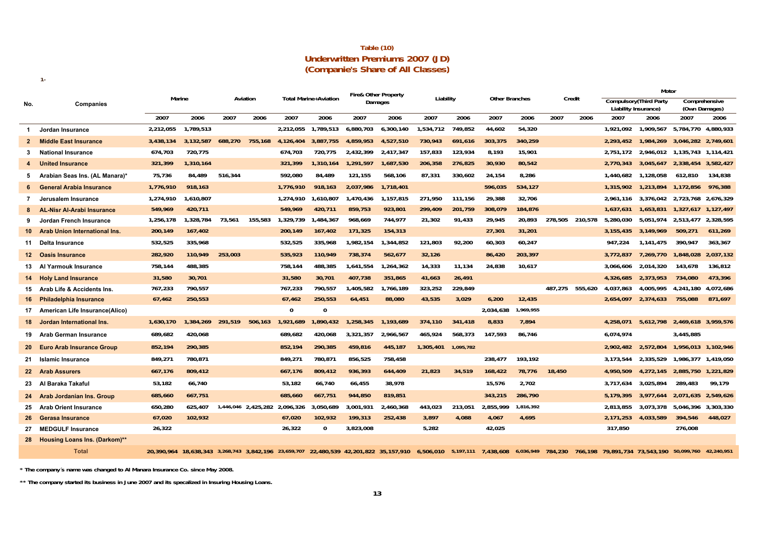|                                        | Table (10) |  |
|----------------------------------------|------------|--|
| <b>Underwritten Premiums 2007 (JD)</b> |            |  |
| (Companie's Share of All Classes)      |            |  |

|                   |                                      |           |           |         |                     |           |                              | <b>Fire&amp; Other Property</b> |                                                                                                                                                                                           |           |           |                       |           |                 |      |                      | Motor                          |                     |                     |
|-------------------|--------------------------------------|-----------|-----------|---------|---------------------|-----------|------------------------------|---------------------------------|-------------------------------------------------------------------------------------------------------------------------------------------------------------------------------------------|-----------|-----------|-----------------------|-----------|-----------------|------|----------------------|--------------------------------|---------------------|---------------------|
| No.               | <b>Companies</b>                     | Marine    |           |         | Aviation            |           | <b>Total Marine+Aviation</b> |                                 | Damages                                                                                                                                                                                   | Liability |           | <b>Other Branches</b> |           | Credit          |      | Liability Insurance) | <b>Compulsory</b> (Third Party | (Own Damages)       | Comprehensive       |
|                   |                                      | 2007      | 2006      | 2007    | 2006                | 2007      | 2006                         | 2007                            | 2006                                                                                                                                                                                      | 2007      | 2006      | 2007                  | 2006      | 2007            | 2006 | 2007                 | 2006                           | 2007                | 2006                |
| $\mathbf{1}$      | Jordan Insurance                     | 2,212,055 | 1,789,513 |         |                     | 2,212,055 | 1,789,513                    | 6,880,703                       | 6,300,140                                                                                                                                                                                 | 1,534,712 | 749,852   | 44,602                | 54,320    |                 |      | 1,921,092            | 1,909,567                      | 5,784,770 4,880,933 |                     |
| $\mathbf{2}$      | <b>Middle East Insurance</b>         | 3,438,134 | 3,132,587 | 688,270 | 755,168             | 4,126,404 | 3,887,755                    | 4,859,953                       | 4,527,510                                                                                                                                                                                 | 730,943   | 691,616   | 303,375               | 340,259   |                 |      | 2,293,452            | 1,984,269                      | 3,046,282 2,749,601 |                     |
| 3                 | <b>National Insurance</b>            | 674,703   | 720,775   |         |                     | 674,703   | 720.775                      | 2,432,399                       | 2,417,347                                                                                                                                                                                 | 157.833   | 123,934   | 8,193                 | 15,901    |                 |      | 2.751.172            | 2,946,012                      | 1,135,743 1,114,421 |                     |
|                   | <b>United Insurance</b>              | 321,399   | 1,310,164 |         |                     | 321,399   | 1,310,164                    | 1,291,597                       | 1,687,530                                                                                                                                                                                 | 206,358   | 276,825   | 30,930                | 80,542    |                 |      | 2,770,343            | 3,045,647                      | 2,338,454 3,582,427 |                     |
| 5                 | Arabian Seas Ins. (AL Manara)*       | 75,736    | 84,489    | 516,344 |                     | 592,080   | 84,489                       | 121,155                         | 568,106                                                                                                                                                                                   | 87,331    | 330,602   | 24,154                | 8,286     |                 |      | 1,440,682            | 1,128,058                      | 612,810             | 134,838             |
|                   | <b>General Arabia Insurance</b>      | 1,776,910 | 918,163   |         |                     | 1,776,910 | 918,163                      | 2,037,986                       | 1,718,401                                                                                                                                                                                 |           |           | 596,035               | 534,127   |                 |      | 1,315,902            | 1,213,894                      | 1,172,856           | 976,388             |
| 7                 | Jerusalem Insurance                  | 1,274,910 | 1,610,807 |         |                     | 1,274,910 | 1,610,807                    | 1,470,436                       | 1,157,815                                                                                                                                                                                 | 271.950   | 111.156   | 29,388                | 32,706    |                 |      | 2.961.116            | 3,376,042                      | 2,723,768 2,676,329 |                     |
|                   | -Nisr Al-Arabi Insurance<br>AL.      | 549,969   | 420,711   |         |                     | 549,969   | 420,711                      | 859,753                         | 923,801                                                                                                                                                                                   | 299,409   | 201,759   | 308,079               | 184,876   |                 |      | 1,637,631            | 1,653,831                      | 1,327,617 1,127,497 |                     |
| 9                 | Jordan French Insurance              | 1,256,178 | 1,328,784 | 73,561  | 155,583             | 1,329,739 | 1,484,367                    | 968,669                         | 744,977                                                                                                                                                                                   | 21,302    | 91,433    | 29,945                | 20,893    | 278,505 210,578 |      | 5,280,030            | 5,051,974                      | 2,513,477           | 2,328,595           |
| 10                | <b>Arab Union International Ins.</b> | 200,149   | 167,402   |         |                     | 200,149   | 167,402                      | 171,325                         | 154,313                                                                                                                                                                                   |           |           | 27,301                | 31,201    |                 |      | 3.155.435            | 3,149,969                      | 509,271             | 611,269             |
| 11                | Delta Insurance                      | 532,525   | 335,968   |         |                     | 532,525   | 335,968                      | 1,982,154                       | 1,344,852                                                                                                                                                                                 | 121,803   | 92,200    | 60,303                | 60,247    |                 |      | 947,224              | 1,141,475                      | 390,947             | 363,367             |
| $12 \,$           | <b>Oasis Insurance</b>               | 282,920   | 110,949   | 253,003 |                     | 535,923   | 110,949                      | 738,374                         | 562,677                                                                                                                                                                                   | 32,126    |           | 86,420                | 203,397   |                 |      | 3,772,837            | 7,269,770                      | 1,848,028           | 2,037,132           |
| 13                | Al Yarmouk Insurance                 | 758,144   | 488,385   |         |                     | 758,144   | 488,385                      | 1,641,554                       | 1,264,362                                                                                                                                                                                 | 14,333    | 11,134    | 24,838                | 10,617    |                 |      | 3,066,606            | 2,014,320                      | 143,678             | 136,812             |
| 14                | <b>Holy Land Insurance</b>           | 31,580    | 30,701    |         |                     | 31,580    | 30,701                       | 407,738                         | 351,865                                                                                                                                                                                   | 41,663    | 26,491    |                       |           |                 |      | 4,326,685            | 2,373,953                      | 734,080             | 473,396             |
| 15                | Arab Life & Accidents Ins.           | 767,233   | 790,557   |         |                     | 767,233   | 790,557                      | 1,405,582                       | 1,766,189                                                                                                                                                                                 | 323,252   | 229,849   |                       |           | 487,275 555,620 |      | 4,037,863            | 4,005,995                      | 4,241,180           | 4,072,686           |
| 16                | <b>Philadelphia Insurance</b>        | 67,462    | 250,553   |         |                     | 67,462    | 250,553                      | 64,451                          | 88,080                                                                                                                                                                                    | 43,535    | 3,029     | 6,200                 | 12,435    |                 |      | 2.654.097            | 2,374,633                      | 755,088             | 871.697             |
| 17                | American Life Insurance(Alico)       |           |           |         |                     | $\Omega$  | $\Omega$                     |                                 |                                                                                                                                                                                           |           |           | 2,034,638             | 1,969,955 |                 |      |                      |                                |                     |                     |
| 18                | Jordan International Ins.            | 1,630,170 | 1,384,269 | 291,519 | 506,163             | 1,921,689 | 1,890,432                    | 1,258,345                       | 1,193,689                                                                                                                                                                                 | 374,110   | 341,418   | 8,833                 | 7,894     |                 |      | 4,258,071            | 5,612,798                      | 2,469,618 3,959,576 |                     |
| 19                | <b>Arab German Insurance</b>         | 689,682   | 420,068   |         |                     | 689,682   | 420,068                      | 3,321,357                       | 2,966,567                                                                                                                                                                                 | 465,924   | 568,373   | 147,593               | 86,746    |                 |      | 6,074,974            |                                | 3,445,885           |                     |
| 20                | <b>Euro Arab Insurance Group</b>     | 852,194   | 290,385   |         |                     | 852,194   | 290,385                      | 459,816                         | 445,187                                                                                                                                                                                   | 1,305,401 | 1,095,782 |                       |           |                 |      | 2,902,482            | 2,572,804                      |                     | 1,956,013 1,102,946 |
| 21                | <b>Islamic Insurance</b>             | 849,271   | 780,871   |         |                     | 849,271   | 780,871                      | 856,525                         | 758,458                                                                                                                                                                                   |           |           | 238,477               | 193,192   |                 |      | 3,173,544            | 2,335,529                      | 1,986,377 1,419,050 |                     |
| $22 \overline{ }$ | <b>Arab Assurers</b>                 | 667.176   | 809,412   |         |                     | 667,176   | 809,412                      | 936,393                         | 644,409                                                                                                                                                                                   | 21,823    | 34,519    | 168,422               | 78,776    | 18,450          |      | 4,950,509            | 4,272,145                      | 2,885,750           | 1,221,829           |
| 23                | Al Baraka Takaful                    | 53.182    | 66,740    |         |                     | 53.182    | 66.740                       | 66,455                          | 38,978                                                                                                                                                                                    |           |           | 15.576                | 2.702     |                 |      | 3.717.634            | 3,025,894                      | 289,483             | 99.179              |
| 24                | <b>Arab Jordanian Ins. Group</b>     | 685,660   | 667,751   |         |                     | 685,660   | 667,751                      | 944.850                         | 819,851                                                                                                                                                                                   |           |           | 343,215               | 286,790   |                 |      | 5,179,395            | 3.977.644                      | 2,071,635 2,549,626 |                     |
| 25                | <b>Arab Orient Insurance</b>         | 650,280   | 625,407   |         | 1,446,046 2,425,282 | 2,096,326 | 3,050,689                    | 3,001,931                       | 2,460,368                                                                                                                                                                                 | 443,023   | 213,051   | 2,855,999             | 1,816,392 |                 |      | 2,813,855            | 3,073,378                      | 5,046,396 3,303,330 |                     |
| 26                | <b>Gerasa Insurance</b>              | 67,020    | 102,932   |         |                     | 67,020    | 102,932                      | 199,313                         | 252,438                                                                                                                                                                                   | 3,897     | 4,088     | 4,067                 | 4,695     |                 |      | 2,171,253            | 4,033,589                      | 394,546             | 448,027             |
| 27                | <b>MEDGULF Insurance</b>             | 26,322    |           |         |                     | 26,322    | 0                            | 3.823.008                       |                                                                                                                                                                                           | 5.282     |           | 42.025                |           |                 |      | 317.850              |                                | 276.008             |                     |
| 28                | <b>Housing Loans Ins. (Darkom)**</b> |           |           |         |                     |           |                              |                                 |                                                                                                                                                                                           |           |           |                       |           |                 |      |                      |                                |                     |                     |
|                   | <b>Total</b>                         |           |           |         |                     |           |                              |                                 | 20,390,964 18,638,343 3,268,743 3,842,196 23,659,707 22,480,539 42,201,822 35,157,910 6,506,010 5,197,111 7,438,608 6,036,949 784,230 766,198 79,891,734 73,543,190 50,099,760 42,240,951 |           |           |                       |           |                 |      |                      |                                |                     |                     |
|                   |                                      |           |           |         |                     |           |                              |                                 |                                                                                                                                                                                           |           |           |                       |           |                 |      |                      |                                |                     |                     |

**\* The company´s name was changed to Al Manara Insurance Co. since May 2008.**

**1-**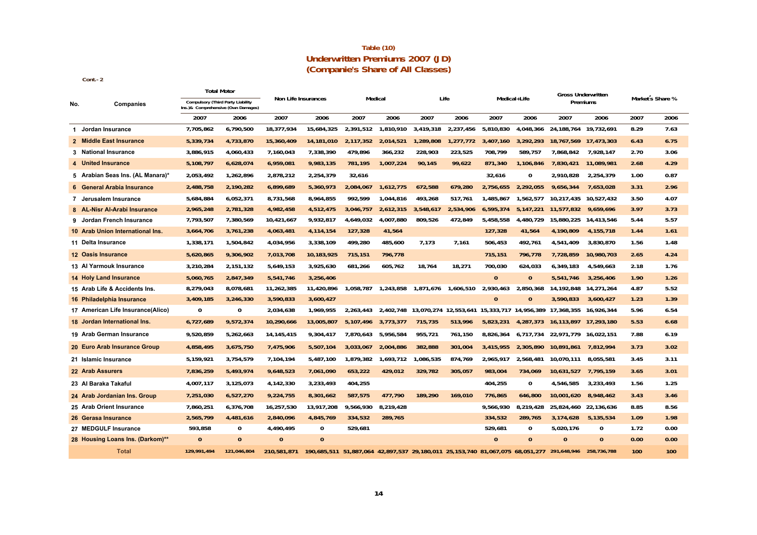#### **Underwritten Premiums 2007 (JD) (Companie's Share of All Classes) Table (10)**

**Cont.-2** 

|     |                                   | <b>Total Motor</b>                                                             |              |                     |                                                                                           |                     |           |                                                   |           |              |              | <b>Gross Underwritten</b>                                                   |             |                  |      |
|-----|-----------------------------------|--------------------------------------------------------------------------------|--------------|---------------------|-------------------------------------------------------------------------------------------|---------------------|-----------|---------------------------------------------------|-----------|--------------|--------------|-----------------------------------------------------------------------------|-------------|------------------|------|
| No. | Companies                         | <b>Compulsory (Third Party Liability</b><br>Ins.)& Comprehensive (Own Damages) |              | Non Life Insurances |                                                                                           | Medical             |           |                                                   | Life      | Medical+Life |              | Premiums                                                                    |             | Market s Share % |      |
|     |                                   | 2007                                                                           | 2006         | 2007                | 2006                                                                                      | 2007                | 2006      | 2007                                              | 2006      | 2007         | 2006         | 2007                                                                        | 2006        | 2007             | 2006 |
|     | 1 Jordan Insurance                | 7,705,862                                                                      | 6,790,500    | 18,377,934          | 15,684,325                                                                                | 2,391,512           | 1,810,910 | 3,419,318                                         | 2,237,456 | 5,810,830    | 4.048.366    | 24.188.764                                                                  | 19.732.691  | 8.29             | 7.63 |
|     | 2 Middle East Insurance           | 5,339,734                                                                      | 4,733,870    | 15,360,409          | 14,181,010                                                                                | 2,117,352           | 2,014,521 | 1,289,808                                         | 1,277,772 | 3,407,160    | 3,292,293    | 18,767,569                                                                  | 17,473,303  | 6.43             | 6.75 |
|     | 3 National Insurance              | 3,886,915                                                                      | 4,060,433    | 7,160,043           | 7,338,390                                                                                 | 479,896             | 366,232   | 228,903                                           | 223,525   | 708,799      | 589,757      | 7,868,842                                                                   | 7,928,147   | 2.70             | 3.06 |
|     | 4 United Insurance                | 5,108,797                                                                      | 6,628,074    | 6,959,081           | 9,983,135                                                                                 | 781,195             | 1,007,224 | 90,145                                            | 99,622    | 871,340      | 1,106,846    | 7,830,421                                                                   | 11,089,981  | 2.68             | 4.29 |
|     | 5 Arabian Seas Ins. (AL Manara)*  | 2,053,492                                                                      | 1,262,896    | 2,878,212           | 2,254,379                                                                                 | 32,616              |           |                                                   |           | 32.616       | 0            | 2,910,828                                                                   | 2,254,379   | 1.00             | 0.87 |
|     | 6 General Arabia Insurance        | 2,488,758                                                                      | 2,190,282    | 6,899,689           | 5,360,973                                                                                 | 2,084,067           | 1,612,775 | 672,588                                           | 679.280   | 2.756.655    | 2.292.055    | 9,656,344                                                                   | 7.653.028   | 3.31             | 2.96 |
|     | 7 Jerusalem Insurance             | 5,684,884                                                                      | 6,052,371    | 8,731,568           | 8,964,855                                                                                 | 992,599             | 1,044,816 | 493,268                                           | 517.761   | 1,485,867    | 1,562,577    | 10.217.435                                                                  | 10.527.432  | 3.50             | 4.07 |
|     | 8 AL-Nisr Al-Arabi Insurance      | 2,965,248                                                                      | 2,781,328    | 4,982,458           | 4,512,475                                                                                 | 3,046,757           | 2,612,315 | 3,548,617                                         | 2,534,906 | 6,595,374    | 5, 147, 221  | 11,577,832                                                                  | 9.659.696   | 3.97             | 3.73 |
|     | 9 Jordan French Insurance         | 7,793,507                                                                      | 7,380,569    | 10,421,667          | 9,932,817                                                                                 | 4,649,032           | 4,007,880 | 809,526                                           | 472,849   | 5,458,558    | 4.480.729    | 15,880,225                                                                  | 14,413,546  | 5.44             | 5.57 |
|     | 10 Arab Union International Ins.  | 3,664,706                                                                      | 3,761,238    | 4,063,481           | 4, 114, 154                                                                               | 127,328             | 41,564    |                                                   |           | 127,328      | 41,564       | 4,190,809                                                                   | 4, 155, 718 | 1.44             | 1.61 |
|     | 11 Delta Insurance                | 1,338,171                                                                      | 1,504,842    | 4,034,956           | 3,338,109                                                                                 | 499,280             | 485,600   | 7.173                                             | 7.161     | 506,453      | 492,761      | 4,541,409                                                                   | 3,830,870   | 1.56             | 1.48 |
|     | 12 Oasis Insurance                | 5,620,865                                                                      | 9,306,902    | 7,013,708           | 10,183,925                                                                                | 715,151             | 796,778   |                                                   |           | 715,151      | 796,778      | 7,728,859                                                                   | 10,980,703  | 2.65             | 4.24 |
|     | 13 Al Yarmouk Insurance           | 3,210,284                                                                      | 2,151,132    | 5,649,153           | 3,925,630                                                                                 | 681,266             | 605,762   | 18,764                                            | 18,271    | 700,030      | 624,033      | 6,349,183                                                                   | 4,549,663   | 2.18             | 1.76 |
|     | <b>14 Holy Land Insurance</b>     | 5,060,765                                                                      | 2.847.349    | 5.541.746           | 3,256,406                                                                                 |                     |           |                                                   |           | $\mathbf{0}$ | $\mathbf{0}$ | 5.541.746                                                                   | 3.256.406   | 1.90             | 1.26 |
|     | 15 Arab Life & Accidents Ins.     | 8,279,043                                                                      | 8,078,681    | 11,262,385          | 11,420,896                                                                                |                     |           | 1,058,787 1,243,858 1,871,676 1,606,510 2,930,463 |           |              | 2,850,368    | 14,192,848                                                                  | 14,271,264  | 4.87             | 5.52 |
|     | 16 Philadelphia Insurance         | 3,409,185                                                                      | 3,246,330    | 3,590,833           | 3,600,427                                                                                 |                     |           |                                                   |           | $\mathbf{0}$ | $\mathbf{0}$ | 3,590,833                                                                   | 3,600,427   | 1.23             | 1.39 |
|     | 17 American Life Insurance(Alico) | 0                                                                              | 0            | 2,034,638           | 1,969,955                                                                                 | 2,263,443           |           |                                                   |           |              |              | 2,402,748 13,070,274 12,553,641 15,333,717 14,956,389 17,368,355 16,926,344 |             | 5.96             | 6.54 |
|     | 18 Jordan International Ins.      | 6,727,689                                                                      | 9,572,374    | 10,290,666          | 13,005,807                                                                                | 5,107,496 3,773,377 |           | 715,735                                           | 513,996   | 5,823,231    |              | 4,287,373 16,113,897 17,293,180                                             |             | 5.53             | 6.68 |
|     | 19 Arab German Insurance          | 9,520,859                                                                      | 5,262,663    | 14, 145, 415        | 9,304,417                                                                                 | 7,870,643           | 5,956,584 | 955,721                                           | 761,150   | 8,826,364    |              | 6,717,734 22,971,779 16,022,151                                             |             | 7.88             | 6.19 |
|     | 20 Euro Arab Insurance Group      | 4,858,495                                                                      | 3,675,750    | 7,475,906           | 5,507,104                                                                                 | 3,033,067           | 2,004,886 | 382,888                                           | 301,004   | 3,415,955    | 2,305,890    | 10,891,861                                                                  | 7,812,994   | 3.73             | 3.02 |
|     | 21 Islamic Insurance              | 5,159,921                                                                      | 3,754,579    | 7,104,194           | 5,487,100                                                                                 | 1,879,382           | 1,693,712 | 1,086,535                                         | 874,769   | 2.965.917    | 2,568,481    | 10.070.111                                                                  | 8.055.581   | 3.45             | 3.11 |
|     | 22 Arab Assurers                  | 7,836,259                                                                      | 5,493,974    | 9,648,523           | 7,061,090                                                                                 | 653,222             | 429,012   | 329,782                                           | 305,057   | 983,004      | 734,069      | 10,631,527                                                                  | 7,795,159   | 3.65             | 3.01 |
|     | 23 Al Baraka Takaful              | 4,007,117                                                                      | 3,125,073    | 4,142,330           | 3,233,493                                                                                 | 404,255             |           |                                                   |           | 404,255      | 0            | 4,546,585                                                                   | 3,233,493   | 1.56             | 1.25 |
|     | 24 Arab Jordanian Ins. Group      | 7,251,030                                                                      | 6,527,270    | 9,224,755           | 8,301,662                                                                                 | 587,575             | 477.790   | 189,290                                           | 169,010   | 776.865      | 646,800      | 10.001.620                                                                  | 8.948.462   | 3.43             | 3.46 |
|     | 25 Arab Orient Insurance          | 7,860,251                                                                      | 6,376,708    | 16,257,530          | 13,917,208                                                                                | 9,566,930           | 8,219,428 |                                                   |           | 9,566,930    | 8.219.428    | 25,824,460 22,136,636                                                       |             | 8.85             | 8.56 |
|     | 26 Gerasa Insurance               | 2,565,799                                                                      | 4,481,616    | 2,840,096           | 4,845,769                                                                                 | 334,532             | 289,765   |                                                   |           | 334,532      | 289.765      | 3,174,628                                                                   | 5,135,534   | 1.09             | 1.98 |
|     | 27 MEDGULF Insurance              | 593,858                                                                        | 0            | 4,490,495           | 0                                                                                         | 529,681             |           |                                                   |           | 529,681      | $\Omega$     | 5.020.176                                                                   | 0           | 1.72             | 0.00 |
|     | 28 Housing Loans Ins. (Darkom)**  | $\mathbf{0}$                                                                   | $\mathbf{0}$ | $\mathbf{0}$        | $\Omega$                                                                                  |                     |           |                                                   |           | $\Omega$     | $\mathbf{0}$ | $\Omega$                                                                    | $\Omega$    | 0.00             | 0.00 |
|     | <b>Total</b>                      | 129.991.494                                                                    | 121.046.804  | 210.581.871         | 190,685,511 51,887,064 42,897,537 29,180,011 25,153,740 81,067,075 68,051,277 291,648,946 |                     |           |                                                   |           |              |              |                                                                             | 258.736.788 | 100              | 100  |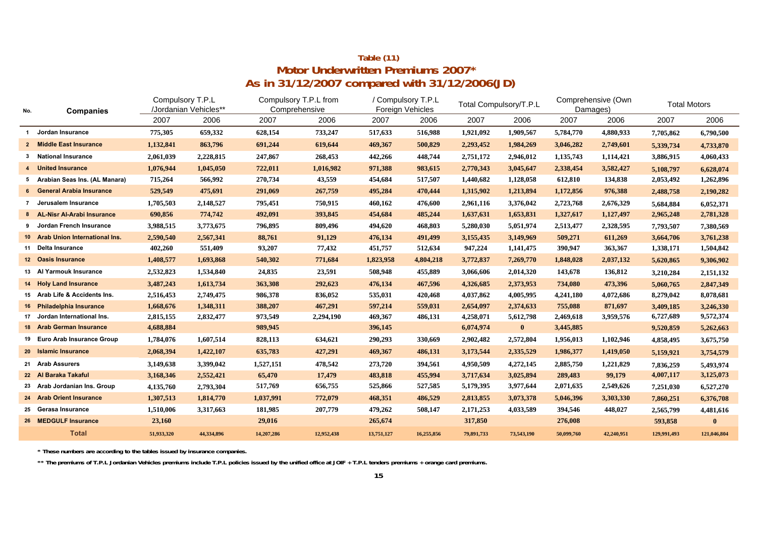## **As in 31/12/2007 compared with 31/12/2006(JD) Table (11) Motor Underwritten Premiums 2007\***

| No.          | <b>Companies</b>                 | Compulsory T.P.L | /Jordanian Vehicles** | Comprehensive | Compulsory T.P.L from |            | / Compulsory T.P.L<br><b>Foreign Vehicles</b> |            | Total Compulsory/T.P.L | Damages)   | Comprehensive (Own | <b>Total Motors</b> |             |
|--------------|----------------------------------|------------------|-----------------------|---------------|-----------------------|------------|-----------------------------------------------|------------|------------------------|------------|--------------------|---------------------|-------------|
|              |                                  | 2007             | 2006                  | 2007          | 2006                  | 2007       | 2006                                          | 2007       | 2006                   | 2007       | 2006               | 2007                | 2006        |
| $\mathbf{1}$ | Jordan Insurance                 | 775,305          | 659,332               | 628,154       | 733,247               | 517,633    | 516,988                                       | 1,921,092  | 1,909,567              | 5,784,770  | 4,880,933          | 7,705,862           | 6,790,500   |
|              | 2 Middle East Insurance          | 1,132,841        | 863,796               | 691,244       | 619,644               | 469,367    | 500,829                                       | 2,293,452  | 1,984,269              | 3,046,282  | 2,749,601          | 5,339,734           | 4,733,870   |
|              | 3 National Insurance             | 2,061,039        | 2,228,815             | 247,867       | 268,453               | 442,266    | 448,744                                       | 2,751,172  | 2,946,012              | 1,135,743  | 1,114,421          | 3,886,915           | 4,060,433   |
|              | 4 United Insurance               | 1,076,944        | 1,045,050             | 722,011       | 1,016,982             | 971,388    | 983,615                                       | 2,770,343  | 3,045,647              | 2,338,454  | 3,582,427          | 5,108,797           | 6,628,074   |
|              | 5 Arabian Seas Ins. (AL Manara)  | 715,264          | 566,992               | 270,734       | 43,559                | 454,684    | 517,507                                       | 1,440,682  | 1,128,058              | 612,810    | 134,838            | 2,053,492           | 1,262,896   |
|              | 6 General Arabia Insurance       | 529,549          | 475,691               | 291,069       | 267,759               | 495,284    | 470,444                                       | 1,315,902  | 1,213,894              | 1,172,856  | 976,388            | 2,488,758           | 2,190,282   |
|              | 7 Jerusalem Insurance            | 1,705,503        | 2,148,527             | 795,451       | 750,915               | 460,162    | 476,600                                       | 2,961,116  | 3,376,042              | 2,723,768  | 2,676,329          | 5,684,884           | 6,052,371   |
|              | 8 AL-Nisr Al-Arabi Insurance     | 690,856          | 774,742               | 492,091       | 393,845               | 454,684    | 485,244                                       | 1,637,631  | 1,653,831              | 1,327,617  | 1,127,497          | 2,965,248           | 2,781,328   |
|              | 9 Jordan French Insurance        | 3,988,515        | 3,773,675             | 796,895       | 809,496               | 494,620    | 468,803                                       | 5,280,030  | 5,051,974              | 2,513,477  | 2,328,595          | 7,793,507           | 7,380,569   |
|              | 10 Arab Union International Ins. | 2,590,540        | 2,567,341             | 88,761        | 91,129                | 476,134    | 491,499                                       | 3,155,435  | 3,149,969              | 509,271    | 611,269            | 3,664,706           | 3,761,238   |
|              | 11 Delta Insurance               | 402,260          | 551,409               | 93,207        | 77,432                | 451,757    | 512,634                                       | 947,224    | 1,141,475              | 390,947    | 363,367            | 1,338,171           | 1,504,842   |
|              | 12 Oasis Insurance               | 1,408,577        | 1,693,868             | 540,302       | 771,684               | 1,823,958  | 4,804,218                                     | 3,772,837  | 7,269,770              | 1,848,028  | 2,037,132          | 5,620,865           | 9,306,902   |
|              | 13 Al Yarmouk Insurance          | 2,532,823        | 1,534,840             | 24,835        | 23,591                | 508,948    | 455,889                                       | 3,066,606  | 2,014,320              | 143,678    | 136,812            | 3,210,284           | 2,151,132   |
|              | 14 Holy Land Insurance           | 3,487,243        | 1,613,734             | 363,308       | 292,623               | 476,134    | 467,596                                       | 4,326,685  | 2,373,953              | 734,080    | 473,396            | 5,060,765           | 2,847,349   |
|              | 15 Arab Life & Accidents Ins.    | 2,516,453        | 2,749,475             | 986,378       | 836,052               | 535,031    | 420,468                                       | 4,037,862  | 4,005,995              | 4,241,180  | 4,072,686          | 8,279,042           | 8,078,681   |
|              | 16 Philadelphia Insurance        | 1,668,676        | 1,348,311             | 388,207       | 467,291               | 597,214    | 559,031                                       | 2,654,097  | 2,374,633              | 755,088    | 871,697            | 3,409,185           | 3,246,330   |
| 17           | Jordan International Ins.        | 2,815,155        | 2,832,477             | 973,549       | 2,294,190             | 469,367    | 486,131                                       | 4,258,071  | 5,612,798              | 2,469,618  | 3,959,576          | 6,727,689           | 9,572,374   |
|              | 18 Arab German Insurance         | 4,688,884        |                       | 989,945       |                       | 396,145    |                                               | 6,074,974  | $\bf{0}$               | 3,445,885  |                    | 9,520,859           | 5,262,663   |
|              | 19 Euro Arab Insurance Group     | 1,784,076        | 1,607,514             | 828,113       | 634,621               | 290,293    | 330,669                                       | 2,902,482  | 2,572,804              | 1,956,013  | 1,102,946          | 4,858,495           | 3,675,750   |
|              | 20 Islamic Insurance             | 2,068,394        | 1,422,107             | 635,783       | 427,291               | 469,367    | 486,131                                       | 3,173,544  | 2,335,529              | 1,986,377  | 1,419,050          | 5,159,921           | 3,754,579   |
|              | 21 Arab Assurers                 | 3,149,638        | 3,399,042             | 1,527,151     | 478,542               | 273,720    | 394,561                                       | 4,950,509  | 4,272,145              | 2,885,750  | 1,221,829          | 7,836,259           | 5,493,974   |
|              | 22 Al Baraka Takaful             | 3,168,346        | 2,552,421             | 65,470        | 17,479                | 483,818    | 455,994                                       | 3,717,634  | 3,025,894              | 289,483    | 99,179             | 4,007,117           | 3,125,073   |
|              | 23 Arab Jordanian Ins. Group     | 4,135,760        | 2,793,304             | 517,769       | 656,755               | 525,866    | 527,585                                       | 5,179,395  | 3,977,644              | 2,071,635  | 2,549,626          | 7,251,030           | 6,527,270   |
|              | 24 Arab Orient Insurance         | 1,307,513        | 1,814,770             | 1,037,991     | 772,079               | 468,351    | 486,529                                       | 2,813,855  | 3,073,378              | 5,046,396  | 3,303,330          | 7,860,251           | 6,376,708   |
|              | 25 Gerasa Insurance              | 1,510,006        | 3,317,663             | 181,985       | 207,779               | 479,262    | 508,147                                       | 2,171,253  | 4,033,589              | 394,546    | 448,027            | 2,565,799           | 4,481,616   |
|              | 26 MEDGULF Insurance             | 23,160           |                       | 29,016        |                       | 265,674    |                                               | 317,850    |                        | 276,008    |                    | 593,858             | $\bf{0}$    |
|              | <b>Total</b>                     | 51,933,320       | 44,334,896            | 14,207,286    | 12,952,438            | 13,751,127 | 16,255,856                                    | 79,891,733 | 73,543,190             | 50,099,760 | 42,240,951         | 129,991,493         | 121,046,804 |

**\* These numbers are according to the tables issued by insurance companies.**

\*\* The premiums of T.P.L Jordanian Vehicles premiums include T.P.L policies issued by the unified office at JOIF + T.P.L tenders premiums + orange card premiums.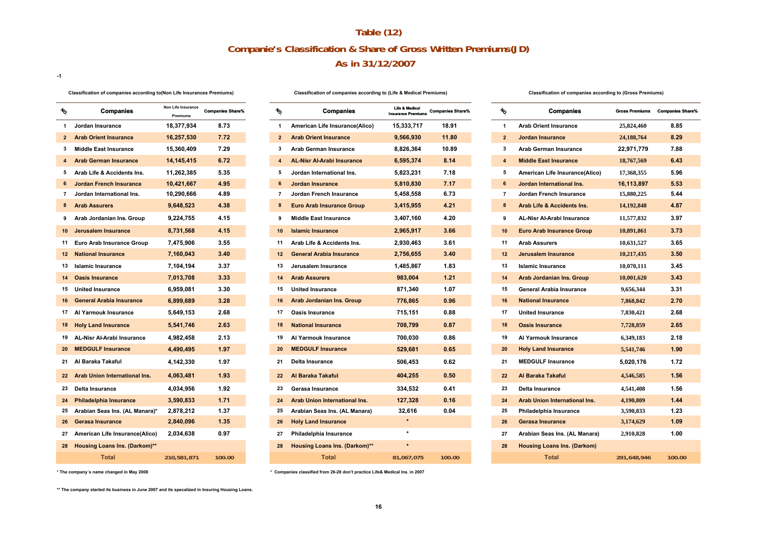## **As in 31/12/2007 Table (12) Companie's Classification & Share of Gross Written Premiums(JD)**

**-1**

#### **Classification of companies according to(Non Life Insurances Premiums)**

| $\frac{1}{2}$   | <b>Companies</b>                     | Non Life Insurance<br>Premiums | <b>Companies Share%</b> |
|-----------------|--------------------------------------|--------------------------------|-------------------------|
| 1               | Jordan Insurance                     | 18,377,934                     | 8.73                    |
| $\overline{2}$  | <b>Arab Orient Insurance</b>         | 16,257,530                     | 7.72                    |
| 3               | <b>Middle East Insurance</b>         | 15,360,409                     | 7.29                    |
| 4               | <b>Arab German Insurance</b>         | 14, 145, 415                   | 6.72                    |
| 5               | Arab Life & Accidents Ins.           | 11,262,385                     | 5.35                    |
| 6               | <b>Jordan French Insurance</b>       | 10,421,667                     | 4.95                    |
| 7               | Jordan International Ins.            | 10,290,666                     | 4.89                    |
| 8               | <b>Arab Assurers</b>                 | 9,648,523                      | 4.38                    |
| 9               | Arab Jordanian Ins. Group            | 9,224,755                      | 4.15                    |
| 10              | <b>Jerusalem Insurance</b>           | 8,731,568                      | 4.15                    |
| 11              | <b>Euro Arab Insurance Group</b>     | 7,475,906                      | 3.55                    |
| 12 <sub>2</sub> | <b>National Insurance</b>            | 7,160,043                      | 3.40                    |
| 13              | <b>Islamic Insurance</b>             | 7,104,194                      | 3.37                    |
| 14              | <b>Oasis Insurance</b>               | 7,013,708                      | 3.33                    |
| 15              | <b>United Insurance</b>              | 6,959,081                      | 3.30                    |
| 16              | <b>General Arabia Insurance</b>      | 6,899,689                      | 3.28                    |
| 17              | Al Yarmouk Insurance                 | 5,649,153                      | 2.68                    |
| 18              | <b>Holy Land Insurance</b>           | 5,541,746                      | 2.63                    |
| 19              | <b>AL-Nisr Al-Arabi Insurance</b>    | 4,982,458                      | 2.13                    |
| 20              | <b>MEDGULF Insurance</b>             | 4,490,495                      | 1.97                    |
| 21              | Al Baraka Takaful                    | 4,142,330                      | 1.97                    |
| 22              | <b>Arab Union International Ins.</b> | 4,063,481                      | 1.93                    |
| 23              | <b>Delta Insurance</b>               | 4,034,956                      | 1.92                    |
| 24              | <b>Philadelphia Insurance</b>        | 3,590,833                      | 1.71                    |
| 25              | Arabian Seas Ins. (AL Manara)*       | 2,878,212                      | 1.37                    |
| 26              | <b>Gerasa Insurance</b>              | 2,840,096                      | 1.35                    |
| 27              | American Life Insurance(Alico)       | 2,034,638                      | 0.97                    |
| 28              | <b>Housing Loans Ins. (Darkom)**</b> |                                |                         |
|                 | <b>Total</b>                         | 210,581,871                    | 100.00                  |
|                 |                                      |                                |                         |

|     | <b>Companies</b>                       | Non Life Insurance<br>Premiums | <b>Companies Share%</b> | %                 | <b>Companies</b>                     | <b>Life &amp; Medical</b><br><b>Insurance Premiums</b> | <b>Companies Share%</b> | $^{\prime\prime}$ |                 | <b>Companies</b>                      | <b>Gross Premiums</b> | <b>Companies SI</b> |
|-----|----------------------------------------|--------------------------------|-------------------------|-------------------|--------------------------------------|--------------------------------------------------------|-------------------------|-------------------|-----------------|---------------------------------------|-----------------------|---------------------|
|     | Jordan Insurance                       | 18,377,934                     | 8.73                    | -1                | American Life Insurance(Alico)       | 15,333,717                                             | 18.91                   |                   | $\mathbf{1}$    | <b>Arab Orient Insurance</b>          | 25,824,460            | 8.85                |
|     | <b>Arab Orient Insurance</b>           | 16,257,530                     | 7.72                    | $\overline{2}$    | <b>Arab Orient Insurance</b>         | 9,566,930                                              | 11.80                   |                   | $\overline{2}$  | <b>Jordan Insurance</b>               | 24, 188, 764          | 8.29                |
|     | <b>Middle East Insurance</b>           | 15,360,409                     | 7.29                    | 3                 | <b>Arab German Insurance</b>         | 8,826,364                                              | 10.89                   |                   | 3               | <b>Arab German Insurance</b>          | 22,971,779            | 7.88                |
|     | <b>Arab German Insurance</b>           | 14, 145, 415                   | 6.72                    | $\overline{4}$    | <b>AL-Nisr Al-Arabi Insurance</b>    | 6,595,374                                              | 8.14                    |                   | $\overline{4}$  | <b>Middle East Insurance</b>          | 18,767,569            | 6.43                |
|     | Arab Life & Accidents Ins.             | 11,262,385                     | 5.35                    | 5                 | Jordan International Ins.            | 5,823,231                                              | 7.18                    |                   | 5               | American Life Insurance(Alico)        | 17,368,355            | 5.96                |
|     | <b>Jordan French Insurance</b>         | 10,421,667                     | 4.95                    |                   | <b>Jordan Insurance</b>              | 5,810,830                                              | 7.17                    |                   | 6               | Jordan International Ins.             | 16,113,897            | 5.53                |
|     | Jordan International Ins.              | 10,290,666                     | 4.89                    | 7                 | Jordan French Insurance              | 5,458,558                                              | 6.73                    | $\overline{7}$    |                 | Jordan French Insurance               | 15,880,225            | 5.44                |
|     | <b>Arab Assurers</b>                   | 9,648,523                      | 4.38                    | 8                 | <b>Euro Arab Insurance Group</b>     | 3,415,955                                              | 4.21                    |                   | 8               | <b>Arab Life &amp; Accidents Ins.</b> | 14,192,848            | 4.87                |
|     | Arab Jordanian Ins. Group              | 9,224,755                      | 4.15                    | 9                 | <b>Middle East Insurance</b>         | 3,407,160                                              | 4.20                    |                   | 9               | AL-Nisr Al-Arabi Insurance            | 11,577,832            | 3.97                |
| 0   | Jerusalem Insurance                    | 8,731,568                      | 4.15                    | 10                | <b>Islamic Insurance</b>             | 2,965,917                                              | 3.66                    |                   | 10              | <b>Euro Arab Insurance Group</b>      | 10,891,861            | 3.73                |
|     | Euro Arab Insurance Group              | 7,475,906                      | 3.55                    | 11                | Arab Life & Accidents Ins.           | 2,930,463                                              | 3.61                    |                   | 11              | <b>Arab Assurers</b>                  | 10,631,527            | 3.65                |
|     | 2 National Insurance                   | 7,160,043                      | 3.40                    | $12 \overline{ }$ | <b>General Arabia Insurance</b>      | 2,756,655                                              | 3.40                    |                   | 12 <sup>2</sup> | Jerusalem Insurance                   | 10,217,435            | 3.50                |
|     | 3 Islamic Insurance                    | 7,104,194                      | 3.37                    | 13                | Jerusalem Insurance                  | 1,485,867                                              | 1.83                    |                   | 13              | <b>Islamic Insurance</b>              | 10,070,111            | 3.45                |
| 14  | <b>Oasis Insurance</b>                 | 7,013,708                      | 3.33                    | 14                | <b>Arab Assurers</b>                 | 983,004                                                | 1.21                    |                   | 14              | <b>Arab Jordanian Ins. Group</b>      | 10,001,620            | 3.43                |
|     | 5 United Insurance                     | 6,959,081                      | 3.30                    | 15                | <b>United Insurance</b>              | 871,340                                                | 1.07                    |                   | 15              | General Arabia Insurance              | 9,656,344             | 3.31                |
|     | 6 General Arabia Insurance             | 6,899,689                      | 3.28                    | 16                | <b>Arab Jordanian Ins. Group</b>     | 776,865                                                | 0.96                    |                   | 16              | <b>National Insurance</b>             | 7,868,842             | 2.70                |
|     | 7 Al Yarmouk Insurance                 | 5,649,153                      | 2.68                    | 17                | <b>Oasis Insurance</b>               | 715,151                                                | 0.88                    | 17                |                 | <b>United Insurance</b>               | 7,830,421             | 2.68                |
|     | <b>8 Holy Land Insurance</b>           | 5,541,746                      | 2.63                    | 18                | <b>National Insurance</b>            | 708,799                                                | 0.87                    |                   | 18              | <b>Oasis Insurance</b>                | 7,728,859             | 2.65                |
|     | 9 AL-Nisr Al-Arabi Insurance           | 4,982,458                      | 2.13                    | 19                | Al Yarmouk Insurance                 | 700,030                                                | 0.86                    |                   | 19              | Al Yarmouk Insurance                  | 6,349,183             | 2.18                |
|     | <b>MEDGULF Insurance</b>               | 4,490,495                      | 1.97                    | 20                | <b>MEDGULF Insurance</b>             | 529,681                                                | 0.65                    |                   | 20              | <b>Holy Land Insurance</b>            | 5,541,746             | 1.90                |
|     | 21 Al Baraka Takaful                   | 4,142,330                      | 1.97                    | 21                | Delta Insurance                      | 506,453                                                | 0.62                    |                   | 21              | <b>MEDGULF Insurance</b>              | 5,020,176             | 1.72                |
|     | <b>Arab Union International Ins.</b>   | 4,063,481                      | 1.93                    | 22                | Al Baraka Takaful                    | 404,255                                                | 0.50                    |                   | 22              | Al Baraka Takaful                     | 4,546,585             | 1.56                |
| '3  | Delta Insurance                        | 4,034,956                      | 1.92                    | 23                | Gerasa Insurance                     | 334,532                                                | 0.41                    |                   | 23              | <b>Delta Insurance</b>                | 4,541,408             | 1.56                |
|     | <b>Philadelphia Insurance</b>          | 3,590,833                      | 1.71                    | 24                | Arab Union International Ins.        | 127,328                                                | 0.16                    |                   | 24              | <b>Arab Union International Ins.</b>  | 4,190,809             | 1.44                |
|     | 25 Arabian Seas Ins. (AL Manara)*      | 2,878,212                      | 1.37                    | 25                | Arabian Seas Ins. (AL Manara)        | 32,616                                                 | 0.04                    |                   | 25              | Philadelphia Insurance                | 3,590,833             | 1.23                |
| 26. | <b>Gerasa Insurance</b>                | 2,840,096                      | 1.35                    | 26                | <b>Holy Land Insurance</b>           | $\star$                                                |                         |                   | 26              | <b>Gerasa Insurance</b>               | 3,174,629             | 1.09                |
|     | American Life Insurance(Alico)         | 2,034,638                      | 0.97                    | 27                | Philadelphia Insurance               | $\star$                                                |                         |                   | 27              | Arabian Seas Ins. (AL Manara)         | 2,910,828             | 1.00                |
|     | <b>8 Housing Loans Ins. (Darkom)**</b> |                                |                         | 28                | <b>Housing Loans Ins. (Darkom)**</b> |                                                        |                         |                   | 28              | <b>Housing Loans Ins. (Darkom)</b>    |                       |                     |
|     | <b>Total</b>                           | 210,581,871                    | 100.00                  |                   | <b>Total</b>                         | 81,067,075                                             | 100.00                  |                   |                 | <b>Total</b>                          | 291,648,946           | 100.00              |
|     |                                        |                                |                         |                   |                                      |                                                        |                         |                   |                 |                                       |                       |                     |

#### **Classification of companies according to (Life & Medical Premiums) Classification of companies according to (Gross Premiums)**

| ∕°             | <b>Companies</b>                     | Life & Medical<br><b>Insurance Premiums</b> | <b>Companies Share%</b> |
|----------------|--------------------------------------|---------------------------------------------|-------------------------|
| 1              | American Life Insurance(Alico)       | 15.333.717                                  | 18.91                   |
| $\overline{2}$ | <b>Arab Orient Insurance</b>         | 9.566.930                                   | 11.80                   |
| 3              | Arab German Insurance                | 8,826,364                                   | 10.89                   |
| 4              | <b>AL-Nisr Al-Arabi Insurance</b>    | 6,595,374                                   | 8.14                    |
| 5              | Jordan International Ins.            | 5,823,231                                   | 7.18                    |
| 6              | <b>Jordan Insurance</b>              | 5,810,830                                   | 7.17                    |
| 7              | Jordan French Insurance              | 5,458,558                                   | 6.73                    |
| 8              | <b>Euro Arab Insurance Group</b>     | 3,415,955                                   | 4.21                    |
| 9              | <b>Middle East Insurance</b>         | 3,407,160                                   | 4.20                    |
| 10             | <b>Islamic Insurance</b>             | 2,965,917                                   | 3.66                    |
| 11             | Arab Life & Accidents Ins.           | 2,930,463                                   | 3.61                    |
| 12             | <b>General Arabia Insurance</b>      | 2,756,655                                   | 3.40                    |
| 13             | Jerusalem Insurance                  | 1,485,867                                   | 1.83                    |
| 14             | <b>Arab Assurers</b>                 | 983,004                                     | 1.21                    |
| 15             | <b>United Insurance</b>              | 871,340                                     | 1.07                    |
| 16             | <b>Arab Jordanian Ins. Group</b>     | 776,865                                     | 0.96                    |
| 17             | <b>Oasis Insurance</b>               | 715,151                                     | 0.88                    |
| 18             | <b>National Insurance</b>            | 708,799                                     | 0.87                    |
| 19             | Al Yarmouk Insurance                 | 700,030                                     | 0.86                    |
| 20             | <b>MEDGULF Insurance</b>             | 529,681                                     | 0.65                    |
| 21             | Delta Insurance                      | 506,453                                     | 0.62                    |
| 22             | Al Baraka Takaful.                   | 404,255                                     | 0.50                    |
|                |                                      |                                             | 0.41                    |
| 23             | Gerasa Insurance                     | 334,532                                     |                         |
| 24             | <b>Arab Union International Ins.</b> | 127,328                                     | 0.16                    |
| 25<br>26       | Arabian Seas Ins. (AL Manara)        | 32,616<br>$\star$                           | 0.04                    |
|                | <b>Holy Land Insurance</b>           | $\star$                                     |                         |
| 27             | Philadelphia Insurance               | $\ddot{\phantom{1}}$                        |                         |
| 28             | <b>Housing Loans Ins. (Darkom)**</b> |                                             |                         |
|                | <b>Total</b>                         | 81,067,075                                  | 100.00                  |

**\* Companies classified from 26-28 don't practice Life& Medical Ins. in 2007**

**\*\* The company started its business in June 2007 and its specalized in Insuring Housing Loans.**

**\* The company´s name changed in May 2008**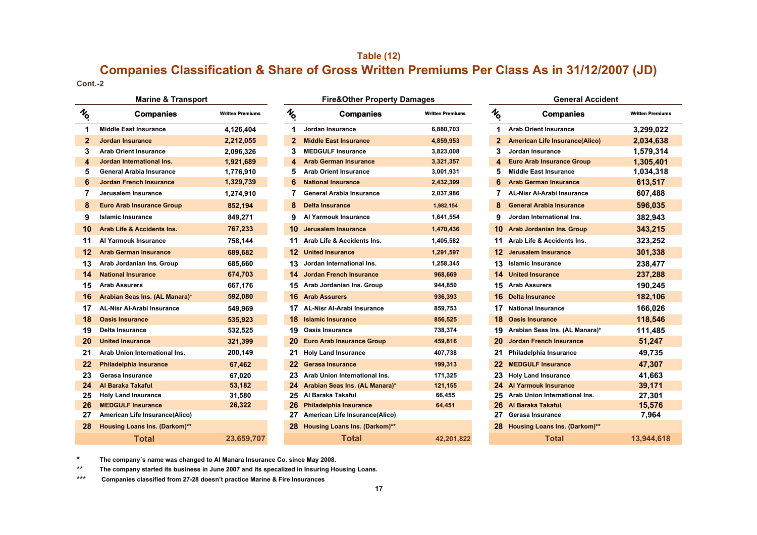## **Table (12) Companies Classification & Share of Gross Written Premiums Per Class As in 31/12/2007 (JD)**

**Cont.-2**

|                | <b>Marine &amp; Transport</b>        |                         |
|----------------|--------------------------------------|-------------------------|
| $\frac{1}{2}$  | <b>Companies</b>                     | <b>Written Premiums</b> |
| 1              | <b>Middle East Insurance</b>         | 4,126,404               |
| $\overline{2}$ | Jordan Insurance                     | 2,212,055               |
| 3              | <b>Arab Orient Insurance</b>         | 2,096,326               |
| 4              | Jordan International Ins.            | 1,921,689               |
| 5              | General Arabia Insurance             | 1,776,910               |
| 6              | <b>Jordan French Insurance</b>       | 1,329,739               |
| 7              | Jerusalem Insurance                  | 1,274,910               |
| 8              | <b>Euro Arab Insurance Group</b>     | 852,194                 |
| 9              | <b>Islamic Insurance</b>             | 849,271                 |
| 10             | Arab Life & Accidents Ins.           | 767,233                 |
| 11             | Al Yarmouk Insurance                 | 758,144                 |
| 12             | <b>Arab German Insurance</b>         | 689,682                 |
| 13             | Arab Jordanian Ins. Group            | 685,660                 |
| 14             | <b>National Insurance</b>            | 674,703                 |
| 15             | <b>Arab Assurers</b>                 | 667,176                 |
| 16             | Arabian Seas Ins. (AL Manara)*       | 592,080                 |
| 17             | <b>AL-Nisr Al-Arabi Insurance</b>    | 549,969                 |
| 18             | <b>Oasis Insurance</b>               | 535.923                 |
| 19             | Delta Insurance                      | 532,525                 |
| 20             | <b>United Insurance</b>              | 321,399                 |
| 21             | Arab Union International Ins.        | 200,149                 |
| 22             | <b>Philadelphia Insurance</b>        | 67,462                  |
| 23             | Gerasa Insurance                     | 67,020                  |
| 24             | Al Baraka Takaful.                   | 53,182                  |
| 25             | <b>Holy Land Insurance</b>           | 31,580                  |
| 26             | <b>MEDGULF Insurance</b>             | 26,322                  |
| 27             | American Life Insurance(Alico)       |                         |
| 28             | <b>Housing Loans Ins. (Darkom)**</b> |                         |
|                | <b>Total</b>                         | 23,659,707              |

|             | <b>Marine &amp; Transport</b>         |                         |                 | <b>Fire&amp;Other Property Damages</b> |                         |                                         | <b>General Accident</b>               |                         |
|-------------|---------------------------------------|-------------------------|-----------------|----------------------------------------|-------------------------|-----------------------------------------|---------------------------------------|-------------------------|
| I6          | <b>Companies</b>                      | <b>Written Premiums</b> | $\mathcal{H}_0$ | <b>Companies</b>                       | <b>Written Premiums</b> | $\boldsymbol{\mathcal{H}}_{\mathbf{o}}$ | <b>Companies</b>                      | <b>Written Premiums</b> |
| 1           | <b>Middle East Insurance</b>          | 4.126.404               |                 | Jordan Insurance                       | 6,880,703               | 1                                       | <b>Arab Orient Insurance</b>          | 3,299,022               |
| $\mathbf 2$ | <b>Jordan Insurance</b>               | 2,212,055               | $\mathbf{2}$    | <b>Middle East Insurance</b>           | 4,859,953               | 2                                       | <b>American Life Insurance(Alico)</b> | 2,034,638               |
| 3           | <b>Arab Orient Insurance</b>          | 2,096,326               | 3               | <b>MEDGULF Insurance</b>               | 3,823,008               | 3                                       | Jordan Insurance                      | 1,579,314               |
| 4           | Jordan International Ins.             | 1,921,689               | 4               | <b>Arab German Insurance</b>           | 3,321,357               | 4                                       | <b>Euro Arab Insurance Group</b>      | 1,305,401               |
| 5           | <b>General Arabia Insurance</b>       | 1,776,910               | 5               | <b>Arab Orient Insurance</b>           | 3,001,931               | 5                                       | <b>Middle East Insurance</b>          | 1,034,318               |
| 6           | <b>Jordan French Insurance</b>        | 1,329,739               | 6               | <b>National Insurance</b>              | 2,432,399               | 6                                       | <b>Arab German Insurance</b>          | 613,517                 |
| 7           | Jerusalem Insurance                   | 1,274,910               |                 | <b>General Arabia Insurance</b>        | 2,037,986               |                                         | <b>AL-Nisr Al-Arabi Insurance</b>     | 607,488                 |
| 8           | <b>Euro Arab Insurance Group</b>      | 852,194                 | 8               | Delta Insurance                        | 1,982,154               | 8                                       | <b>General Arabia Insurance</b>       | 596,035                 |
| 9           | <b>Islamic Insurance</b>              | 849,271                 | 9               | Al Yarmouk Insurance                   | 1,641,554               | 9                                       | Jordan International Ins.             | 382,943                 |
| 10          | <b>Arab Life &amp; Accidents Ins.</b> | 767,233                 | 10              | Jerusalem Insurance                    | 1,470,436               | 10                                      | <b>Arab Jordanian Ins. Group</b>      | 343,215                 |
| 11          | Al Yarmouk Insurance                  | 758,144                 | 11              | Arab Life & Accidents Ins.             | 1,405,582               | 11                                      | Arab Life & Accidents Ins.            | 323,252                 |
| 12          | <b>Arab German Insurance</b>          | 689,682                 | 12              | <b>United Insurance</b>                | 1,291,597               | 12                                      | <b>Jerusalem Insurance</b>            | 301,338                 |
| 13          | Arab Jordanian Ins. Group             | 685,660                 | 13.             | Jordan International Ins.              | 1,258,345               | 13.                                     | <b>Islamic Insurance</b>              | 238,477                 |
| 14          | <b>National Insurance</b>             | 674,703                 | 14              | <b>Jordan French Insurance</b>         | 968,669                 | 14.                                     | <b>United Insurance</b>               | 237,288                 |
| 15          | <b>Arab Assurers</b>                  | 667,176                 | 15              | Arab Jordanian Ins. Group              | 944,850                 | 15                                      | <b>Arab Assurers</b>                  | 190,245                 |
| 16          | Arabian Seas Ins. (AL Manara)*        | 592,080                 | 16              | <b>Arab Assurers</b>                   | 936,393                 | 16                                      | <b>Delta Insurance</b>                | 182,106                 |
| 17          | <b>AL-Nisr Al-Arabi Insurance</b>     | 549,969                 | 17              | <b>AL-Nisr Al-Arabi Insurance</b>      | 859,753                 | 17                                      | <b>National Insurance</b>             | 166,026                 |
| 18          | <b>Oasis Insurance</b>                | 535,923                 | 18              | <b>Islamic Insurance</b>               | 856,525                 | 18                                      | <b>Oasis Insurance</b>                | 118,546                 |
| 19          | <b>Delta Insurance</b>                | 532,525                 | 19              | <b>Oasis Insurance</b>                 | 738,374                 | 19                                      | Arabian Seas Ins. (AL Manara)*        | 111,485                 |
| 20          | <b>United Insurance</b>               | 321,399                 | 20              | <b>Euro Arab Insurance Group</b>       | 459,816                 | 20                                      | <b>Jordan French Insurance</b>        | 51,247                  |
| 21          | Arab Union International Ins.         | 200,149                 | 21              | <b>Holy Land Insurance</b>             | 407,738                 | 21                                      | Philadelphia Insurance                | 49,735                  |
| 22          | <b>Philadelphia Insurance</b>         | 67,462                  | 22              | <b>Gerasa Insurance</b>                | 199,313                 | 22                                      | <b>MEDGULF Insurance</b>              | 47,307                  |
| 23          | Gerasa Insurance                      | 67,020                  | 23              | Arab Union International Ins.          | 171,325                 | 23                                      | <b>Holy Land Insurance</b>            | 41,663                  |
| 24          | Al Baraka Takaful.                    | 53,182                  | 24              | Arabian Seas Ins. (AL Manara)*         | 121,155                 | 24                                      | <b>Al Yarmouk Insurance</b>           | 39,171                  |
| 25          | <b>Holy Land Insurance</b>            | 31,580                  | 25              | Al Baraka Takaful                      | 66,455                  | 25                                      | Arab Union International Ins.         | 27,301                  |
| 26          | <b>MEDGULF Insurance</b>              | 26,322                  | 26              | <b>Philadelphia Insurance</b>          | 64,451                  | 26                                      | Al Baraka Takaful.                    | 15,576                  |
| 27          | American Life Insurance(Alico)        |                         | 27              | American Life Insurance(Alico)         |                         | 27                                      | Gerasa Insurance                      | 7,964                   |
| 28          | <b>Housing Loans Ins. (Darkom)**</b>  |                         | 28              | <b>Housing Loans Ins. (Darkom)**</b>   |                         | 28                                      | <b>Housing Loans Ins. (Darkom)**</b>  |                         |
|             | <b>Total</b>                          | 23,659,707              |                 | <b>Total</b>                           | 42,201,822              |                                         | <b>Total</b>                          | 13.944.618              |

|                         | <b>General Accident</b>               |                         |
|-------------------------|---------------------------------------|-------------------------|
| ó                       | <b>Companies</b>                      | <b>Written Premiums</b> |
| 1                       | <b>Arab Orient Insurance</b>          | 3,299,022               |
| $\mathbf{2}$            | <b>American Life Insurance(Alico)</b> | 2.034.638               |
| 3                       | Jordan Insurance                      | 1,579,314               |
| $\overline{\mathbf{A}}$ | <b>Euro Arab Insurance Group</b>      | 1,305,401               |
| 5                       | <b>Middle East Insurance</b>          | 1,034,318               |
| 6                       | <b>Arab German Insurance</b>          | 613,517                 |
| 7                       | <b>AL-Nisr Al-Arabi Insurance</b>     | 607,488                 |
| 8                       | <b>General Arabia Insurance</b>       | 596,035                 |
| 9                       | Jordan International Ins.             | 382,943                 |
| 10                      | <b>Arab Jordanian Ins. Group</b>      | 343,215                 |
| 11                      | Arab Life & Accidents Ins.            | 323,252                 |
| 12                      | Jerusalem Insurance                   | 301,338                 |
| 13                      | Islamic Insurance                     | 238,477                 |
| 14                      | <b>United Insurance</b>               | 237,288                 |
| 15                      | <b>Arab Assurers</b>                  | 190,245                 |
| 16                      | <b>Delta Insurance</b>                | 182,106                 |
| 17                      | <b>National Insurance</b>             | 166,026                 |
| 18                      | <b>Oasis Insurance</b>                | 118.546                 |
| 19                      | Arabian Seas Ins. (AL Manara)*        | 111,485                 |
| 20                      | <b>Jordan French Insurance</b>        | 51,247                  |
| 21                      | Philadelphia Insurance                | 49,735                  |
| 22                      | <b>MEDGULF Insurance</b>              | 47,307                  |
| 23                      | <b>Holy Land Insurance</b>            | 41,663                  |
| 24                      | <b>Al Yarmouk Insurance</b>           | 39,171                  |
| 25                      | Arab Union International Ins.         | 27,301                  |
| 26                      | Al Baraka Takaful.                    | 15,576                  |
| 27                      | Gerasa Insurance                      | 7,964                   |
| 28                      | <b>Housing Loans Ins. (Darkom)**</b>  |                         |
|                         | エーティネット                               |                         |

\***The company´s name was changed to Al Manara Insurance Co. since May 2008.**

 \*\***The company started its business in June 2007 and its specalized in Insuring Housing Loans.**

\*\*\* **Companies classified from 27-28 doesn't practice Marine & Fire Insurances**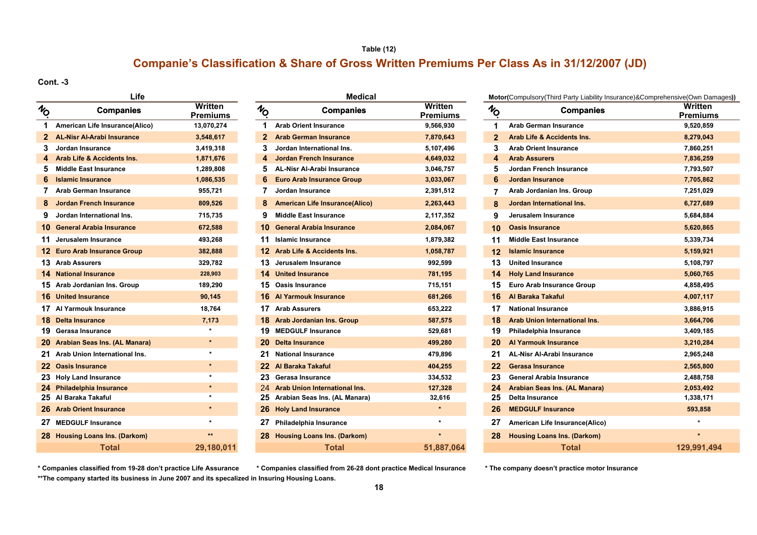## **Companie's Classification & Share of Gross Written Premiums Per Class As in 31/12/2007 (JD) Table (12)**

**Cont. -3**

| NO             | Lite<br><b>Companies</b>              | Written<br><b>Premiums</b> |
|----------------|---------------------------------------|----------------------------|
| $\mathbf 1$    | American Life Insurance(Alico)        | 13,070,274                 |
| $\overline{2}$ | <b>AL-Nisr Al-Arabi Insurance</b>     | 3,548,617                  |
| 3              | Jordan Insurance                      | 3,419,318                  |
| 4              | <b>Arab Life &amp; Accidents Ins.</b> | 1,871,676                  |
| 5              | <b>Middle East Insurance</b>          | 1,289,808                  |
| 6              | <b>Islamic Insurance</b>              | 1,086,535                  |
| 7              | Arab German Insurance                 | 955,721                    |
| 8              | <b>Jordan French Insurance</b>        | 809,526                    |
| 9              | Jordan International Ins.             | 715,735                    |
|                | 10 General Arabia Insurance           | 672,588                    |
|                | 11 Jerusalem Insurance                | 493,268                    |
|                | 12 Euro Arab Insurance Group          | 382,888                    |
|                | 13 Arab Assurers                      | 329,782                    |
|                | <b>14 National Insurance</b>          | 228,903                    |
|                | 15 Arab Jordanian Ins. Group          | 189,290                    |
|                | <b>16</b> United Insurance            | 90,145                     |
|                | 17 Al Yarmouk Insurance               | 18,764                     |
|                | <b>18 Delta Insurance</b>             | 7,173                      |
|                | 19 Gerasa Insurance                   |                            |
|                | 20 Arabian Seas Ins. (AL Manara)      | ÷                          |
| 21             | Arab Union International Ins.         | $\star$                    |
|                | 22 Oasis Insurance                    | $\star$                    |
|                | 23 Holy Land Insurance                |                            |
|                | 24 Philadelphia Insurance             | $\star$                    |
|                | 25 Al Baraka Takaful                  |                            |
|                | 26 Arab Orient Insurance              | ٠                          |
|                | 27 MEDGULF Insurance                  | $\star$                    |
| 28             | <b>Housing Loans Ins. (Darkom)</b>    | $\star\star$               |
|                | <b>Total</b>                          | 29,180,011                 |

|                                             | Life                                  |                            |               | <b>Medical</b>                        |                            |              | Motor(Compulsory(Third Party Liability Insurance)&Comprehensive(Own Dar |                    |  |
|---------------------------------------------|---------------------------------------|----------------------------|---------------|---------------------------------------|----------------------------|--------------|-------------------------------------------------------------------------|--------------------|--|
| $\imath_{\!\!\scriptscriptstyle\mathsf{O}}$ | <b>Companies</b>                      | Written<br><b>Premiums</b> | $\frac{1}{2}$ | <b>Companies</b>                      | Written<br><b>Premiums</b> | $\gamma$     | <b>Companies</b>                                                        | Written<br>Premium |  |
| 1                                           | American Life Insurance(Alico)        | 13,070,274                 | 1             | <b>Arab Orient Insurance</b>          | 9,566,930                  | 1            | <b>Arab German Insurance</b>                                            | 9,520,859          |  |
|                                             | <b>AL-Nisr Al-Arabi Insurance</b>     | 3,548,617                  | $\mathbf{2}$  | <b>Arab German Insurance</b>          | 7,870,643                  | $\mathbf{2}$ | <b>Arab Life &amp; Accidents Ins.</b>                                   | 8,279,043          |  |
|                                             | Jordan Insurance                      | 3,419,318                  |               | Jordan International Ins.             | 5,107,496                  | 3            | Arab Orient Insurance                                                   | 7,860,251          |  |
|                                             | <b>Arab Life &amp; Accidents Ins.</b> | 1,871,676                  | 4             | <b>Jordan French Insurance</b>        | 4,649,032                  |              | <b>Arab Assurers</b>                                                    | 7,836,259          |  |
| 5                                           | <b>Middle East Insurance</b>          | 1,289,808                  | 5.            | <b>AL-Nisr Al-Arabi Insurance</b>     | 3,046,757                  | 5            | <b>Jordan French Insurance</b>                                          | 7,793,507          |  |
| 6                                           | <b>Islamic Insurance</b>              | 1,086,535                  | 6             | <b>Euro Arab Insurance Group</b>      | 3,033,067                  | 6            | <b>Jordan Insurance</b>                                                 | 7,705,862          |  |
|                                             | 7 Arab German Insurance               | 955,721                    |               | Jordan Insurance                      | 2,391,512                  |              | Arab Jordanian Ins. Group                                               | 7,251,029          |  |
| 8                                           | Jordan French Insurance               | 809,526                    | 8             | <b>American Life Insurance(Alico)</b> | 2,263,443                  | 8            | Jordan International Ins.                                               | 6,727,689          |  |
|                                             | Jordan International Ins.             | 715,735                    | 9             | <b>Middle East Insurance</b>          | 2,117,352                  | 9            | Jerusalem Insurance                                                     | 5,684,884          |  |
|                                             | 10 General Arabia Insurance           | 672,588                    |               | 10 General Arabia Insurance           | 2,084,067                  | 10           | <b>Oasis Insurance</b>                                                  | 5,620,865          |  |
|                                             | 11 Jerusalem Insurance                | 493,268                    |               | 11 Islamic Insurance                  | 1,879,382                  | 11           | <b>Middle East Insurance</b>                                            | 5,339,734          |  |
|                                             | 12 Euro Arab Insurance Group          | 382,888                    |               | 12 Arab Life & Accidents Ins.         | 1,058,787                  | 12           | <b>Islamic Insurance</b>                                                | 5,159,921          |  |
|                                             | 13 Arab Assurers                      | 329,782                    |               | 13 Jerusalem Insurance                | 992,599                    | 13           | <b>United Insurance</b>                                                 | 5,108,797          |  |
|                                             | <b>14 National Insurance</b>          | 228,903                    |               | <b>14 United Insurance</b>            | 781,195                    | 14           | <b>Holy Land Insurance</b>                                              | 5,060,765          |  |
|                                             | 15 Arab Jordanian Ins. Group          | 189,290                    |               | 15 Oasis Insurance                    | 715,151                    | 15           | Euro Arab Insurance Group                                               | 4,858,495          |  |
|                                             | <b>16</b> United Insurance            | 90,145                     |               | <b>16 Al Yarmouk Insurance</b>        | 681,266                    | 16           | Al Baraka Takaful                                                       | 4,007,117          |  |
|                                             | 17 Al Yarmouk Insurance               | 18,764                     |               | 17 Arab Assurers                      | 653,222                    | 17           | <b>National Insurance</b>                                               | 3,886,915          |  |
|                                             | <b>18 Delta Insurance</b>             | 7,173                      |               | 18 Arab Jordanian Ins. Group          | 587,575                    | 18           | Arab Union International Ins.                                           | 3,664,706          |  |
|                                             | 19 Gerasa Insurance                   |                            |               | 19 MEDGULF Insurance                  | 529,681                    | 19           | Philadelphia Insurance                                                  | 3,409,185          |  |
|                                             | 20 Arabian Seas Ins. (AL Manara)      | $\star$                    |               | 20 Delta Insurance                    | 499,280                    | 20           | <b>Al Yarmouk Insurance</b>                                             | 3,210,284          |  |
|                                             | 21 Arab Union International Ins.      | $\star$                    |               | 21 National Insurance                 | 479,896                    | 21           | <b>AL-Nisr Al-Arabi Insurance</b>                                       | 2,965,248          |  |
|                                             | 22 Oasis Insurance                    | $\star$                    |               | 22 Al Baraka Takaful                  | 404,255                    | 22           | <b>Gerasa Insurance</b>                                                 | 2,565,800          |  |
|                                             | 23 Holy Land Insurance                | $\star$                    |               | 23 Gerasa Insurance                   | 334,532                    | 23           | <b>General Arabia Insurance</b>                                         | 2,488,758          |  |
|                                             | 24 Philadelphia Insurance             | $\star$                    |               | 24 Arab Union International Ins.      | 127,328                    | 24           | Arabian Seas Ins. (AL Manara)                                           | 2,053,492          |  |
|                                             | 25 Al Baraka Takaful                  | $\star$                    |               | 25 Arabian Seas Ins. (AL Manara)      | 32,616                     | 25           | <b>Delta Insurance</b>                                                  | 1,338,171          |  |
|                                             | 26 Arab Orient Insurance              | $\star$                    |               | 26 Holy Land Insurance                | $\star$                    | 26           | <b>MEDGULF Insurance</b>                                                | 593,858            |  |
|                                             | 27 MEDGULF Insurance                  |                            |               | 27 Philadelphia Insurance             |                            | 27           | American Life Insurance(Alico)                                          |                    |  |
|                                             | 28 Housing Loans Ins. (Darkom)        | $**$                       |               | 28 Housing Loans Ins. (Darkom)        |                            | 28           | <b>Housing Loans Ins. (Darkom)</b>                                      |                    |  |
|                                             | Total                                 | 29.180.011                 |               | Total                                 | 51.887.064                 |              | <b>Total</b>                                                            | 129.991.4          |  |

**Companies Motor(**Compulsory(Third Party Liability Insurance)&Comprehensive(Own Damages**)) Written Written Written Written Premiums Premiums Premiums Arab German Insurance 9,520,859 Arab Life & Accidents Ins. 8,279,043 Arab Orient Insurance 7,860,251 Jordan French Insurance 7,793,507 Arab Jordanian Ins. Group 7,251,029 Jordan International Ins. 6,727,689 Jerusalem Insurance 5,684,884 Oasis Insurance 5,620,865 Middle East Insurance 5,339,734 Islamic Insurance 5,159,921 National Insurance 228,903 14 United Insurance 781,195 14 Holy Land Insurance 5,060,765 Arab Jordanian Ins. Group 189,290 15 Oasis Insurance 715,151 15 Euro Arab Insurance Group 4,858,495 United Insurance 90,145 16 Al Yarmouk Insurance 681,266 16 ِAl Baraka Takaful 4,007,117 Al Yarmouk Insurance 18,764 17 Arab Assurers 653,222 17 National Insurance 3,886,915 18 Arab Union International Ins. 18 1887 1887,5864,706 Gerasa Insurance \* 19 MEDGULF Insurance 529,681 19 Philadelphia Insurance 3,409,185 Arab Union International Ins. \* 21 National Insurance 479,896 21 AL-Nisr Al-Arabi Insurance 2,965,248 Oasis Insurance \* 22 ِAl Baraka Takaful 404,255 22 Gerasa Insurance 2,565,800 Holy Land Insurance \* 23 Gerasa Insurance 334,532 23 General Arabia Insurance 2,488,758 Philadelphia Insurance \*** 24 **Arab Union International Ins. 127,328 24 Arabian Seas Ins. (AL Manara) 2,053,492 Arab Orient Insurance \* 26 Holy Land Insurance \* 26 MEDGULF Insurance 593,858 MEDGULF Insurance \* 27 Philadelphia Insurance \* 27 American Life Insurance(Alico) \* Housing Loans Ins. (Darkom) \*\* 28 Housing Loans Ins. (Darkom) \* 28 Housing Loans Ins. (Darkom) \* 29,180,011 51,887,064 129,991,494**

**\*\*The company started its business in June 2007 and its specalized in Insuring Housing Loans. \* Companies classified from 19-28 don't practice Life Assurance \* Companies classified from 26-28 dont practice Medical Insurance \* The company doesn't practice motor Insurance**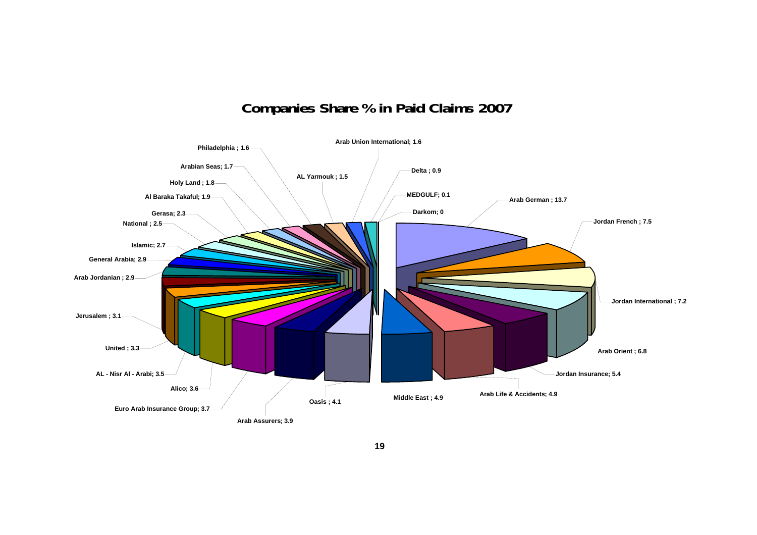# **Companies Share % in Paid Claims 2007**

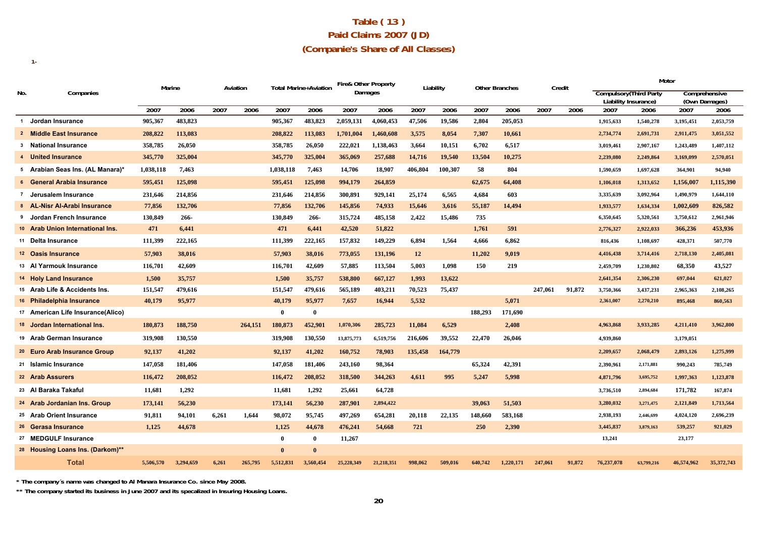## **Table ( 13 ) Paid Claims 2007 (JD) (Companie's Share of All Classes)**

|     |                                   |           | Marine    |       | Aviation |              | <b>Total Marine+Aviation</b> | <b>Fire&amp; Other Property</b> |            | Liability |         |         | <b>Other Branches</b> | Credit  |        |                                | Motor      |                       |               |
|-----|-----------------------------------|-----------|-----------|-------|----------|--------------|------------------------------|---------------------------------|------------|-----------|---------|---------|-----------------------|---------|--------|--------------------------------|------------|-----------------------|---------------|
| No. | Companies                         |           |           |       |          |              |                              | Damages                         |            |           |         |         |                       |         |        | <b>Compulsory</b> (Third Party |            |                       | Comprehensive |
|     |                                   | 2007      | 2006      | 2007  | 2006     | 2007         | 2006                         | 2007                            | 2006       | 2007      | 2006    | 2007    | 2006                  | 2007    | 2006   | Liability Insurance)<br>2007   | 2006       | (Own Damages)<br>2007 | 2006          |
|     | 1 Jordan Insurance                | 905,367   | 483,823   |       |          | 905,367      | 483,823                      | 2,059,131                       | 4,060,453  | 47,506    | 19,586  | 2,804   | 205,053               |         |        | 1,915,633                      | 1,540,278  | 3,195,451             | 2,053,759     |
|     | 2 Middle East Insurance           | 208,822   | 113,083   |       |          | 208,822      | 113,083                      | 1,701,004                       | 1,460,608  | 3,575     | 8,054   | 7,307   | 10,661                |         |        | 2,734,774                      | 2,691,731  | 2,911,475             | 3,051,552     |
|     | 3 National Insurance              | 358,785   | 26,050    |       |          | 358,785      | 26,050                       | 222,021                         | 1,138,463  | 3,664     | 10,151  | 6,702   | 6,517                 |         |        | 3,019,461                      | 2,907,167  | 1,243,489             | 1.407.112     |
|     | 4 United Insurance                | 345,770   | 325,004   |       |          | 345,770      | 325,004                      | 365,069                         | 257,688    | 14,716    | 19,540  | 13,504  | 10,275                |         |        | 2,239,080                      | 2,249,864  | 3,169,099             | 2,570,051     |
|     | 5 Arabian Seas Ins. (AL Manara)*  | 1,038,118 | 7.463     |       |          | 1.038.118    | 7.463                        | 14,706                          | 18,907     | 406,804   | 100,307 | 58      | 804                   |         |        | 1,590,659                      | 1,697,628  | 364,901               | 94,940        |
|     | 6 General Arabia Insurance        | 595,451   | 125,098   |       |          | 595,451      | 125,098                      | 994,179                         | 264,859    |           |         | 62,675  | 64,408                |         |        | 1,106,018                      | 1,313,652  | 1,156,007             | 1,115,390     |
|     | 7 Jerusalem Insurance             | 231,646   | 214,856   |       |          | 231,646      | 214,856                      | 300,891                         | 929,141    | 25,174    | 6,565   | 4,684   | 603                   |         |        | 3,335,639                      | 3,092,964  | 1,490,979             | 1,644,110     |
|     | 8 AL-Nisr Al-Arabi Insurance      | 77,856    | 132,706   |       |          | 77,856       | 132,706                      | 145,856                         | 74,933     | 15,646    | 3,616   | 55,187  | 14,494                |         |        | 1,933,577                      | 1,634,334  | 1,002,609             | 826,582       |
|     | 9 Jordan French Insurance         | 130,849   | 266-      |       |          | 130,849      | $266 -$                      | 315,724                         | 485,158    | 2,422     | 15,486  | 735     |                       |         |        | 6,350,645                      | 5,320,561  | 3,750,612             | 2,961,946     |
|     | 10 Arab Union International Ins.  | 471       | 6,441     |       |          | 471          | 6,441                        | 42,520                          | 51,822     |           |         | 1,761   | 591                   |         |        | 2,776,327                      | 2,922,033  | 366,236               | 453,936       |
|     | 11 Delta Insurance                | 111,399   | 222,165   |       |          | 111,399      | 222,165                      | 157,832                         | 149,229    | 6,894     | 1,564   | 4,666   | 6,862                 |         |        | 816,436                        | 1,108,697  | 428,371               | 507,770       |
|     | 12 Oasis Insurance                | 57.903    | 38,016    |       |          | 57,903       | 38,016                       | 773,055                         | 131,196    | 12        |         | 11.202  | 9.019                 |         |        | 4,416,438                      | 3,714,416  | 2,718,130             | 2,405,081     |
|     | 13 Al Yarmouk Insurance           | 116,701   | 42,609    |       |          | 116,701      | 42,609                       | 57.885                          | 113,504    | 5.003     | 1.098   | 150     | 219                   |         |        | 2,459,709                      | 1,230,802  | 68,350                | 43.527        |
|     | 14 Holy Land Insurance            | 1,500     | 35,757    |       |          | 1,500        | 35,757                       | 538,800                         | 667,127    | 1,993     | 13,622  |         |                       |         |        | 2,641,354                      | 2,306,230  | 697,044               | 621,027       |
|     | 15 Arab Life & Accidents Ins.     | 151,547   | 479,616   |       |          | 151,547      | 479,616                      | 565,189                         | 403,211    | 70,523    | 75,437  |         |                       | 247.061 | 91,872 | 3,750,366                      | 3,437,231  | 2,965,363             | 2,108,265     |
|     | 16 Philadelphia Insurance         | 40,179    | 95,977    |       |          | 40,179       | 95,977                       | 7,657                           | 16,944     | 5,532     |         |         | 5,071                 |         |        | 2,361,007                      | 2,270,210  | 895,468               | 860,563       |
|     | 17 American Life Insurance(Alico) |           |           |       |          | $\mathbf 0$  | $\bf{0}$                     |                                 |            |           |         | 188,293 | 171,690               |         |        |                                |            |                       |               |
|     | 18 Jordan International Ins.      | 180,873   | 188,750   |       | 264,151  | 180,873      | 452,901                      | 1,070,306                       | 285,723    | 11.084    | 6,529   |         | 2,408                 |         |        | 4,963,868                      | 3,933,285  | 4,211,410             | 3,962,800     |
|     | 19 Arab German Insurance          | 319,908   | 130,550   |       |          | 319,908      | 130,550                      | 13,875,773                      | 6,519,756  | 216,606   | 39,552  | 22,470  | 26,046                |         |        | 4,939,860                      |            | 3,179,051             |               |
|     | 20 Euro Arab Insurance Group      | 92,137    | 41,202    |       |          | 92,137       | 41,202                       | 160,752                         | 78,903     | 135,458   | 164,779 |         |                       |         |        | 2,209,657                      | 2,068,479  | 2,893,126             | 1,275,999     |
|     | 21 Islamic Insurance              | 147,058   | 181,406   |       |          | 147,058      | 181,406                      | 243,160                         | 98,364     |           |         | 65,324  | 42,391                |         |        | 2,390,961                      | 2,171,881  | 990,243               | 785,749       |
|     | 22 Arab Assurers                  | 116,472   | 208,052   |       |          | 116,472      | 208,052                      | 318,500                         | 344,263    | 4.611     | 995     | 5,247   | 5,998                 |         |        | 4,871,796                      | 3,695,752  | 1,997,363             | 1,123,878     |
|     | 23 Al Baraka Takaful              | 11.681    | 1,292     |       |          | 11,681       | 1,292                        | 25,661                          | 64,728     |           |         |         |                       |         |        | 3,736,510                      | 2.894.684  | 171.782               | 167,874       |
|     | 24 Arab Jordanian Ins. Group      | 173,141   | 56,230    |       |          | 173,141      | 56,230                       | 287,901                         | 2,894,422  |           |         | 39,063  | 51.503                |         |        | 3,280,032                      | 3,271,475  | 2,121,849             | 1,713,564     |
|     | 25 Arab Orient Insurance          | 91,811    | 94,101    | 6,261 | 1.644    | 98.072       | 95,745                       | 497,269                         | 654,281    | 20,118    | 22,135  | 148,660 | 583,168               |         |        | 2,938,193                      | 2,446,699  | 4,024,120             | 2,696,239     |
|     | 26 Gerasa Insurance               | 1,125     | 44,678    |       |          | 1,125        | 44,678                       | 476,241                         | 54,668     | 721       |         | 250     | 2,390                 |         |        | 3,445,837                      | 3,879,163  | 539,257               | 921,029       |
|     | 27 MEDGULF Insurance              |           |           |       |          | $\theta$     | $\bf{0}$                     | 11,267                          |            |           |         |         |                       |         |        | 13,241                         |            | 23,177                |               |
|     | 28 Housing Loans Ins. (Darkom)**  |           |           |       |          | $\mathbf{0}$ | $\mathbf{0}$                 |                                 |            |           |         |         |                       |         |        |                                |            |                       |               |
|     | <b>Total</b>                      | 5,506,570 | 3.294.659 | 6,261 | 265,795  | 5,512,831    | 3,560,454                    | 25,228,349                      | 21,218,351 | 998,062   | 509,016 | 640,742 | 1,220,171             | 247,061 | 91,872 | 76,237,078                     | 63,799.216 | 46,574,962            | 35,372,743    |
|     |                                   |           |           |       |          |              |                              |                                 |            |           |         |         |                       |         |        |                                |            |                       |               |

**\* The company´s name was changed to Al Manara Insurance Co. since May 2008.**

**1-**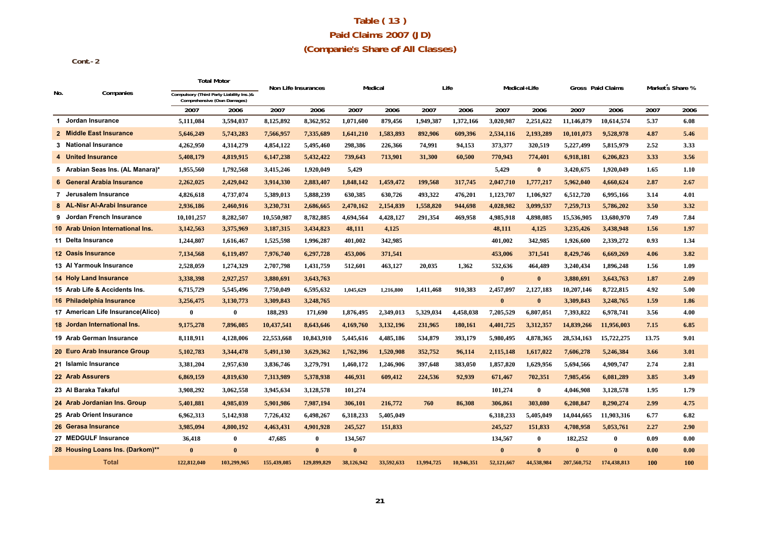## **Table ( 13 ) Paid Claims 2007 (JD) (Companie's Share of All Classes)**

 **Cont.-2**

|     |                                    |                                                                         | Total Motor | Non Life Insurances |              | Medical      |            |            | Life       |            | Medical+Life |             | Gross Paid Claims | Market s Share % |      |
|-----|------------------------------------|-------------------------------------------------------------------------|-------------|---------------------|--------------|--------------|------------|------------|------------|------------|--------------|-------------|-------------------|------------------|------|
| No. | Companies                          | Compulsory (Third Party Liability Ins.)&<br>Comprehensive (Own Damages) |             |                     |              |              |            |            |            |            |              |             |                   |                  |      |
|     |                                    | 2007                                                                    | 2006        | 2007                | 2006         | 2007         | 2006       | 2007       | 2006       | 2007       | 2006         | 2007        | 2006              | 2007             | 2006 |
|     | 1 Jordan Insurance                 | 5,111,084                                                               | 3,594,037   | 8,125,892           | 8,362,952    | 1,071,600    | 879,456    | 1,949,387  | 1,372,166  | 3,020,987  | 2,251,622    | 11,146,879  | 10,614,574        | 5.37             | 6.08 |
|     | 2 Middle East Insurance            | 5,646,249                                                               | 5,743,283   | 7,566,957           | 7,335,689    | 1,641,210    | 1,583,893  | 892,906    | 609,396    | 2,534,116  | 2,193,289    | 10,101,073  | 9,528,978         | 4.87             | 5.46 |
|     | 3 National Insurance               | 4,262,950                                                               | 4,314,279   | 4,854,122           | 5,495,460    | 298,386      | 226,366    | 74,991     | 94,153     | 373,377    | 320,519      | 5,227,499   | 5.815.979         | 2.52             | 3.33 |
|     | 4 United Insurance                 | 5,408,179                                                               | 4,819,915   | 6,147,238           | 5,432,422    | 739,643      | 713,901    | 31,300     | 60,500     | 770,943    | 774,401      | 6,918,181   | 6,206,823         | 3.33             | 3.56 |
|     | 5 Arabian Seas Ins. (AL Manara)*   | 1,955,560                                                               | 1,792,568   | 3,415,246           | 1,920,049    | 5,429        |            |            |            | 5,429      | $\bf{0}$     | 3,420,675   | 1,920,049         | 1.65             | 1.10 |
|     | 6 General Arabia Insurance         | 2,262,025                                                               | 2,429,042   | 3,914,330           | 2,883,407    | 1,848,142    | 1,459,472  | 199,568    | 317,745    | 2,047,710  | 1,777,217    | 5,962,040   | 4,660,624         | 2.87             | 2.67 |
|     | 7 Jerusalem Insurance              | 4,826,618                                                               | 4,737,074   | 5,389,013           | 5,888,239    | 630,385      | 630,726    | 493,322    | 476,201    | 1,123,707  | 1,106,927    | 6,512,720   | 6,995,166         | 3.14             | 4.01 |
|     | 8 AL-Nisr Al-Arabi Insurance       | 2,936,186                                                               | 2,460,916   | 3,230,731           | 2,686,665    | 2,470,162    | 2,154,839  | 1,558,820  | 944.698    | 4,028,982  | 3,099,537    | 7,259,713   | 5,786,202         | 3.50             | 3.32 |
|     | 9 Jordan French Insurance          | 10,101,257                                                              | 8,282,507   | 10,550,987          | 8,782,885    | 4,694,564    | 4,428,127  | 291,354    | 469,958    | 4,985,918  | 4,898,085    | 15,536,905  | 13,680,970        | 7.49             | 7.84 |
|     | 10 Arab Union International Ins.   | 3,142,563                                                               | 3,375,969   | 3,187,315           | 3,434,823    | 48,111       | 4,125      |            |            | 48,111     | 4,125        | 3,235,426   | 3,438,948         | 1.56             | 1.97 |
|     | 11 Delta Insurance                 | 1,244,807                                                               | 1,616,467   | 1,525,598           | 1,996,287    | 401,002      | 342,985    |            |            | 401,002    | 342,985      | 1,926,600   | 2,339,272         | 0.93             | 1.34 |
|     | 12 Oasis Insurance                 | 7,134,568                                                               | 6,119,497   | 7,976,740           | 6,297,728    | 453,006      | 371,541    |            |            | 453,006    | 371,541      | 8,429,746   | 6,669,269         | 4.06             | 3.82 |
|     | 13 Al Yarmouk Insurance            | 2,528,059                                                               | 1,274,329   | 2,707,798           | 1,431,759    | 512,601      | 463,127    | 20.035     | 1,362      | 532.636    | 464,489      | 3,240,434   | 1,896,248         | 1.56             | 1.09 |
|     | <b>14 Holy Land Insurance</b>      | 3,338,398                                                               | 2,927,257   | 3,880,691           | 3,643,763    |              |            |            |            | $\bf{0}$   | $\bf{0}$     | 3,880,691   | 3,643,763         | 1.87             | 2.09 |
|     | 15 Arab Life & Accidents Ins.      | 6,715,729                                                               | 5,545,496   | 7,750,049           | 6,595,632    | 1,045,629    | 1,216,800  | 1,411,468  | 910,383    | 2,457,097  | 2,127,183    | 10,207,146  | 8,722,815         | 4.92             | 5.00 |
|     | 16 Philadelphia Insurance          | 3,256,475                                                               | 3,130,773   | 3,309,843           | 3,248,765    |              |            |            |            | $\bf{0}$   | $\mathbf{0}$ | 3,309,843   | 3,248,765         | 1.59             | 1.86 |
|     | 17 American Life Insurance (Alico) | $\bf{0}$                                                                | $\bf{0}$    | 188,293             | 171,690      | 1,876,495    | 2,349,013  | 5,329,034  | 4,458,038  | 7,205,529  | 6,807,051    | 7,393,822   | 6,978,741         | 3.56             | 4.00 |
|     | 18 Jordan International Ins.       | 9,175,278                                                               | 7,896,085   | 10,437,541          | 8,643,646    | 4,169,760    | 3,132,196  | 231,965    | 180,161    | 4,401,725  | 3,312,357    | 14,839,266  | 11,956,003        | 7.15             | 6.85 |
|     | 19 Arab German Insurance           | 8,118,911                                                               | 4,128,006   | 22,553,668          | 10,843,910   | 5,445,616    | 4,485,186  | 534,879    | 393,179    | 5,980,495  | 4,878,365    | 28,534,163  | 15,722,275        | 13.75            | 9.01 |
|     | 20 Euro Arab Insurance Group       | 5,102,783                                                               | 3,344,478   | 5,491,130           | 3,629,362    | 1,762,396    | 1,520,908  | 352,752    | 96,114     | 2,115,148  | 1,617,022    | 7,606,278   | 5,246,384         | 3.66             | 3.01 |
|     | 21 Islamic Insurance               | 3,381,204                                                               | 2,957,630   | 3,836,746           | 3,279,791    | 1,460,172    | 1,246,906  | 397,648    | 383,050    | 1,857,820  | 1,629,956    | 5,694,566   | 4,909,747         | 2.74             | 2.81 |
|     | 22 Arab Assurers                   | 6,869,159                                                               | 4,819,630   | 7,313,989           | 5,378,938    | 446,931      | 609,412    | 224,536    | 92,939     | 671,467    | 702,351      | 7,985,456   | 6,081,289         | 3.85             | 3.49 |
|     | 23 Al Baraka Takaful               | 3,908,292                                                               | 3,062,558   | 3,945,634           | 3,128,578    | 101,274      |            |            |            | 101,274    | $\bf{0}$     | 4,046,908   | 3,128,578         | 1.95             | 1.79 |
|     | 24 Arab Jordanian Ins. Group       | 5,401,881                                                               | 4,985,039   | 5,901,986           | 7,987,194    | 306,101      | 216,772    | 760        | 86,308     | 306,861    | 303,080      | 6,208,847   | 8,290,274         | 2.99             | 4.75 |
|     | 25 Arab Orient Insurance           | 6,962,313                                                               | 5,142,938   | 7,726,432           | 6,498,267    | 6,318,233    | 5,405,049  |            |            | 6,318,233  | 5,405,049    | 14,044,665  | 11,903,316        | 6.77             | 6.82 |
|     | 26 Gerasa Insurance                | 3,985,094                                                               | 4,800,192   | 4,463,431           | 4,901,928    | 245,527      | 151,833    |            |            | 245,527    | 151,833      | 4,708,958   | 5,053,761         | 2.27             | 2.90 |
|     | 27 MEDGULF Insurance               | 36,418                                                                  | $\bf{0}$    | 47,685              | $\bf{0}$     | 134,567      |            |            |            | 134,567    | $\bf{0}$     | 182,252     | $\bf{0}$          | 0.09             | 0.00 |
|     | 28 Housing Loans Ins. (Darkom)**   | $\mathbf{0}$                                                            | $\theta$    |                     | $\mathbf{0}$ | $\mathbf{0}$ |            |            |            | $\bf{0}$   | $\mathbf{0}$ | $\bf{0}$    | $\mathbf{0}$      | 0.00             | 0.00 |
|     | <b>Total</b>                       | 122,812,040                                                             | 103,299,965 | 155,439,085         | 129,899,829  | 38,126,942   | 33,592,633 | 13,994,725 | 10.946.351 | 52,121,667 | 44,538,984   | 207,560,752 | 174,438,813       | <b>100</b>       | 100  |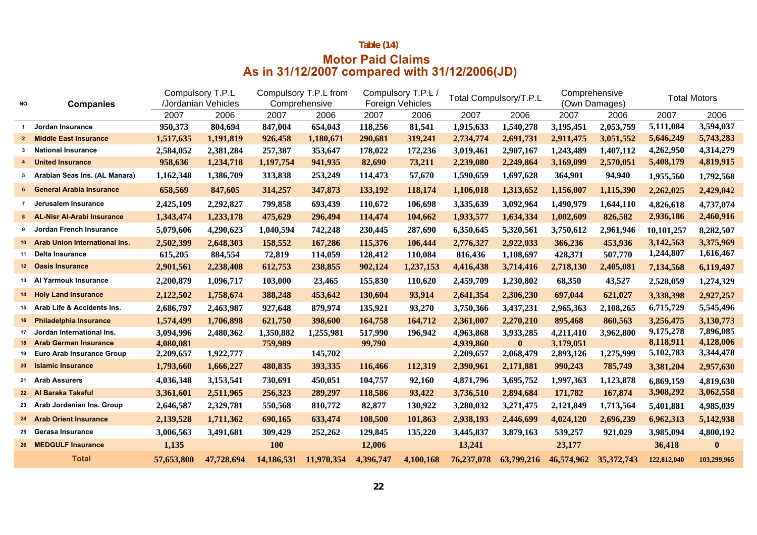## **Table (14) Motor Paid Claims As in 31/12/2007 compared with 31/12/2006(JD)**

|                 |                                      | Compulsory T.P.L |                     |            | Compulsory T.P.L from |           | Compulsory T.P.L.       |            | Total Compulsory/T.P.L | Comprehensive |               |             | <b>Total Motors</b> |
|-----------------|--------------------------------------|------------------|---------------------|------------|-----------------------|-----------|-------------------------|------------|------------------------|---------------|---------------|-------------|---------------------|
| NO              | <b>Companies</b>                     |                  | /Jordanian Vehicles |            | Comprehensive         |           | <b>Foreign Vehicles</b> |            |                        |               | (Own Damages) |             |                     |
|                 |                                      | 2007             | 2006                | 2007       | 2006                  | 2007      | 2006                    | 2007       | 2006                   | 2007          | 2006          | 2007        | 2006                |
| $\mathbf 1$     | Jordan Insurance                     | 950,373          | 804,694             | 847,004    | 654,043               | 118,256   | 81,541                  | 1,915,633  | 1,540,278              | 3,195,451     | 2,053,759     | 5,111,084   | 3,594,037           |
| $\mathbf{2}$    | <b>Middle East Insurance</b>         | 1,517,635        | 1,191,819           | 926,458    | 1,180,671             | 290,681   | 319,241                 | 2,734,774  | 2,691,731              | 2,911,475     | 3,051,552     | 5,646,249   | 5,743,283           |
| 3               | <b>National Insurance</b>            | 2,584,052        | 2,381,284           | 257,387    | 353,647               | 178,022   | 172,236                 | 3,019,461  | 2,907,167              | 1,243,489     | 1,407,112     | 4,262,950   | 4,314,279           |
|                 | <b>United Insurance</b>              | 958,636          | 1,234,718           | 1,197,754  | 941,935               | 82,690    | 73,211                  | 2,239,080  | 2,249,864              | 3,169,099     | 2,570,051     | 5,408,179   | 4,819,915           |
|                 | 5 Arabian Seas Ins. (AL Manara)      | 1,162,348        | 1,386,709           | 313,838    | 253,249               | 114,473   | 57,670                  | 1,590,659  | 1,697,628              | 364,901       | 94,940        | 1,955,560   | 1,792,568           |
|                 | 6 General Arabia Insurance           | 658,569          | 847,605             | 314,257    | 347,873               | 133,192   | 118,174                 | 1,106,018  | 1,313,652              | 1,156,007     | 1,115,390     | 2,262,025   | 2,429,042           |
| $\overline{7}$  | Jerusalem Insurance                  | 2,425,109        | 2,292,827           | 799,858    | 693,439               | 110,672   | 106,698                 | 3,335,639  | 3,092,964              | 1,490,979     | 1,644,110     | 4,826,618   | 4,737,074           |
|                 | 8 AL-Nisr Al-Arabi Insurance         | 1,343,474        | 1,233,178           | 475,629    | 296,494               | 114,474   | 104,662                 | 1,933,577  | 1,634,334              | 1,002,609     | 826,582       | 2,936,186   | 2,460,916           |
| 9               | Jordan French Insurance              | 5,079,606        | 4,290,623           | 1,040,594  | 742,248               | 230,445   | 287,690                 | 6,350,645  | 5,320,561              | 3,750,612     | 2,961,946     | 10,101,257  | 8,282,507           |
| 10 <sup>1</sup> | <b>Arab Union International Ins.</b> | 2,502,399        | 2,648,303           | 158,552    | 167,286               | 115,376   | 106,444                 | 2,776,327  | 2,922,033              | 366,236       | 453,936       | 3,142,563   | 3,375,969           |
| 11              | Delta Insurance                      | 615,205          | 884,554             | 72,819     | 114,059               | 128,412   | 110,084                 | 816,436    | 1,108,697              | 428,371       | 507,770       | 1,244,807   | 1,616,467           |
|                 | 12 Oasis Insurance                   | 2,901,561        | 2,238,408           | 612,753    | 238,855               | 902,124   | 1,237,153               | 4,416,438  | 3,714,416              | 2,718,130     | 2,405,081     | 7,134,568   | 6,119,497           |
|                 | 13 Al Yarmouk Insurance              | 2,200,879        | 1,096,717           | 103,000    | 23,465                | 155,830   | 110,620                 | 2,459,709  | 1,230,802              | 68,350        | 43,527        | 2,528,059   | 1,274,329           |
|                 | 14 Holy Land Insurance               | 2,122,502        | 1,758,674           | 388,248    | 453,642               | 130,604   | 93,914                  | 2,641,354  | 2,306,230              | 697,044       | 621,027       | 3,338,398   | 2,927,257           |
|                 | 15 Arab Life & Accidents Ins.        | 2,686,797        | 2,463,987           | 927,648    | 879.974               | 135,921   | 93,270                  | 3,750,366  | 3,437,231              | 2,965,363     | 2,108,265     | 6,715,729   | 5,545,496           |
|                 | 16 Philadelphia Insurance            | 1,574,499        | 1,706,898           | 621,750    | 398,600               | 164,758   | 164,712                 | 2,361,007  | 2,270,210              | 895,468       | 860,563       | 3,256,475   | 3,130,773           |
| 17              | Jordan International Ins.            | 3,094,996        | 2,480,362           | 1,350,882  | 1,255,981             | 517,990   | 196,942                 | 4,963,868  | 3,933,285              | 4,211,410     | 3,962,800     | 9,175,278   | 7,896,085           |
| 18              | <b>Arab German Insurance</b>         | 4,080,081        |                     | 759,989    |                       | 99,790    |                         | 4,939,860  | $\bf{0}$               | 3,179,051     |               | 8,118,911   | 4,128,006           |
|                 | 19 Euro Arab Insurance Group         | 2,209,657        | 1,922,777           |            | 145,702               |           |                         | 2,209,657  | 2,068,479              | 2,893,126     | 1,275,999     | 5,102,783   | 3,344,478           |
| 20 <sub>2</sub> | <b>Islamic Insurance</b>             | 1,793,660        | 1,666,227           | 480,835    | 393,335               | 116,466   | 112,319                 | 2,390,961  | 2,171,881              | 990,243       | 785,749       | 3,381,204   | 2,957,630           |
| 21              | <b>Arab Assurers</b>                 | 4,036,348        | 3,153,541           | 730,691    | 450,051               | 104,757   | 92,160                  | 4,871,796  | 3,695,752              | 1,997,363     | 1,123,878     | 6,869,159   | 4,819,630           |
|                 | 22 Al Baraka Takaful                 | 3,361,601        | 2,511,965           | 256,323    | 289,297               | 118,586   | 93,422                  | 3,736,510  | 2,894,684              | 171,782       | 167,874       | 3,908,292   | 3,062,558           |
| 23              | Arab Jordanian Ins. Group            | 2,646,587        | 2,329,781           | 550,568    | 810,772               | 82,877    | 130,922                 | 3,280,032  | 3,271,475              | 2,121,849     | 1,713,564     | 5,401,881   | 4,985,039           |
|                 | 24 Arab Orient Insurance             | 2,139,528        | 1,711,362           | 690,165    | 633,474               | 108,500   | 101,863                 | 2,938,193  | 2,446,699              | 4,024,120     | 2,696,239     | 6,962,313   | 5,142,938           |
|                 | 25 Gerasa Insurance                  | 3,006,563        | 3,491,681           | 309,429    | 252,262               | 129,845   | 135,220                 | 3,445,837  | 3,879,163              | 539,257       | 921,029       | 3,985,094   | 4,800,192           |
|                 | 26 MEDGULF Insurance                 | 1,135            |                     | <b>100</b> |                       | 12,006    |                         | 13,241     |                        | 23,177        |               | 36,418      | $\bf{0}$            |
|                 | <b>Total</b>                         | 57,653,800       | 47,728,694          | 14,186,531 | 11,970,354            | 4,396,747 | 4,100,168               | 76,237,078 | 63,799,216             | 46,574,962    | 35, 372, 743  | 122,812,040 | 103,299,965         |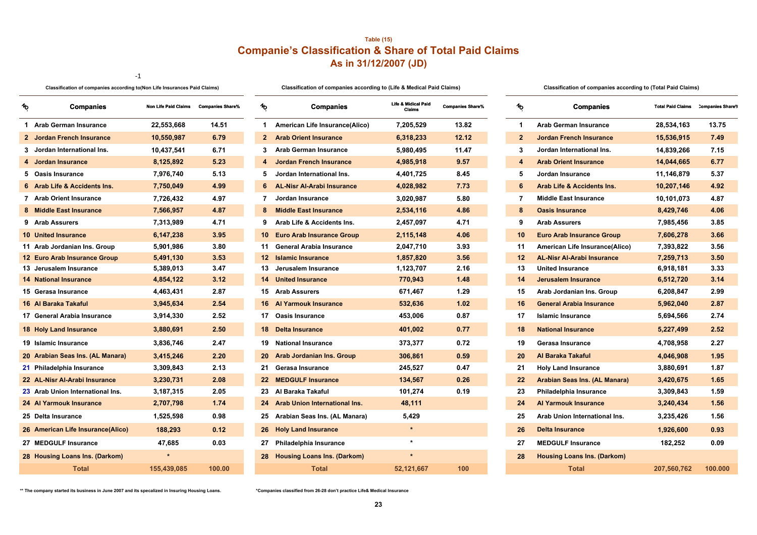## **Table (15) Companie's Classification & Share of Total Paid Claims As in 31/12/2007 (JD)**

-1

Classification of companies according to (Non Life Insurances Paid Claims) Classification of companies according to (Life & Medical Paid Claims) Classification of companies according to (Total Paid Claims)

| Classification of companies according to (Total Paid Clain |  |  |  |
|------------------------------------------------------------|--|--|--|
|------------------------------------------------------------|--|--|--|

| r. | <b>Companies</b>                  | <b>Non Life Paid Claims</b> | <b>Companies Share%</b> | ∕∿              | <b>Companies</b>                 | Life & Midical Paid<br>Claims | <b>Companies Share%</b> | h.                | <b>Companies</b>                      | <b>Total Paid Claims</b> | <b>Companies S</b> |
|----|-----------------------------------|-----------------------------|-------------------------|-----------------|----------------------------------|-------------------------------|-------------------------|-------------------|---------------------------------------|--------------------------|--------------------|
|    | 1 Arab German Insurance           | 22,553,668                  | 14.51                   | $\mathbf 1$     | American Life Insurance(Alico)   | 7,205,529                     | 13.82                   | 1                 | Arab German Insurance                 | 28,534,163               | 13.75              |
|    | 2 Jordan French Insurance         | 10,550,987                  | 6.79                    | $\mathbf{2}$    | <b>Arab Orient Insurance</b>     | 6,318,233                     | 12.12                   | $\mathbf{2}$      | <b>Jordan French Insurance</b>        | 15,536,915               | 7.49               |
|    | 3 Jordan International Ins.       | 10,437,541                  | 6.71                    | 3               | <b>Arab German Insurance</b>     | 5,980,495                     | 11.47                   | 3                 | Jordan International Ins.             | 14,839,266               | 7.15               |
|    | 4 Jordan Insurance                | 8,125,892                   | 5.23                    |                 | Jordan French Insurance          | 4,985,918                     | 9.57                    |                   | <b>Arab Orient Insurance</b>          | 14,044,665               | 6.77               |
|    | 5 Oasis Insurance                 | 7,976,740                   | 5.13                    | 5.              | Jordan International Ins.        | 4,401,725                     | 8.45                    | 5                 | Jordan Insurance                      | 11,146,879               | 5.37               |
|    | 6 Arab Life & Accidents Ins.      | 7,750,049                   | 4.99                    |                 | 6 AL-Nisr Al-Arabi Insurance     | 4,028,982                     | 7.73                    | 6                 | <b>Arab Life &amp; Accidents Ins.</b> | 10,207,146               | 4.92               |
|    | 7 Arab Orient Insurance           | 7,726,432                   | 4.97                    | 7               | Jordan Insurance                 | 3,020,987                     | 5.80                    | 7                 | <b>Middle East Insurance</b>          | 10,101,073               | 4.87               |
|    | 8 Middle East Insurance           | 7,566,957                   | 4.87                    | 8               | <b>Middle East Insurance</b>     | 2,534,116                     | 4.86                    | 8                 | <b>Oasis Insurance</b>                | 8,429,746                | 4.06               |
|    | 9 Arab Assurers                   | 7,313,989                   | 4.71                    | 9               | Arab Life & Accidents Ins.       | 2,457,097                     | 4.71                    | 9                 | <b>Arab Assurers</b>                  | 7,985,456                | 3.85               |
|    | <b>10 United Insurance</b>        | 6,147,238                   | 3.95                    |                 | 10 Euro Arab Insurance Group     | 2,115,148                     | 4.06                    | 10                | <b>Euro Arab Insurance Group</b>      | 7,606,278                | 3.66               |
|    | 11 Arab Jordanian Ins. Group      | 5,901,986                   | 3.80                    |                 | 11 General Arabia Insurance      | 2,047,710                     | 3.93                    | 11                | American Life Insurance(Alico)        | 7,393,822                | 3.56               |
|    | 12 Euro Arab Insurance Group      | 5,491,130                   | 3.53                    | 12 <sup>1</sup> | <b>Islamic Insurance</b>         | 1,857,820                     | 3.56                    | 12                | <b>AL-Nisr Al-Arabi Insurance</b>     | 7,259,713                | 3.50               |
|    | 13 Jerusalem Insurance            | 5,389,013                   | 3.47                    |                 | 13 Jerusalem Insurance           | 1,123,707                     | 2.16                    | 13                | <b>United Insurance</b>               | 6,918,181                | 3.33               |
|    | <b>14 National Insurance</b>      | 4,854,122                   | 3.12                    |                 | <b>14</b> United Insurance       | 770,943                       | 1.48                    | 14                | Jerusalem Insurance                   | 6,512,720                | 3.14               |
|    | 15 Gerasa Insurance               | 4,463,431                   | 2.87                    |                 | 15 Arab Assurers                 | 671,467                       | 1.29                    | 15                | Arab Jordanian Ins. Group             | 6,208,847                | 2.99               |
|    | 16 Al Baraka Takaful              | 3,945,634                   | 2.54                    |                 | 16 Al Yarmouk Insurance          | 532,636                       | 1.02                    | 16                | <b>General Arabia Insurance</b>       | 5,962,040                | 2.87               |
|    | 17 General Arabia Insurance       | 3,914,330                   | 2.52                    |                 | 17 Oasis Insurance               | 453,006                       | 0.87                    | 17                | <b>Islamic Insurance</b>              | 5,694,566                | 2.74               |
|    | <b>18 Holy Land Insurance</b>     | 3,880,691                   | 2.50                    |                 | 18 Delta Insurance               | 401,002                       | 0.77                    | 18                | <b>National Insurance</b>             | 5,227,499                | 2.52               |
|    | 19 Islamic Insurance              | 3,836,746                   | 2.47                    |                 | 19 National Insurance            | 373,377                       | 0.72                    | 19                | Gerasa Insurance                      | 4,708,958                | 2.27               |
|    | 20 Arabian Seas Ins. (AL Manara)  | 3,415,246                   | 2.20                    |                 | 20 Arab Jordanian Ins. Group     | 306,861                       | 0.59                    | 20                | Al Baraka Takaful                     | 4,046,908                | 1.95               |
|    | 21 Philadelphia Insurance         | 3,309,843                   | 2.13                    | 21              | Gerasa Insurance                 | 245,527                       | 0.47                    | 21                | <b>Holy Land Insurance</b>            | 3,880,691                | 1.87               |
|    | 22 AL-Nisr Al-Arabi Insurance     | 3,230,731                   | 2.08                    |                 | 22 MEDGULF Insurance             | 134,567                       | 0.26                    | $22 \overline{ }$ | Arabian Seas Ins. (AL Manara)         | 3,420,675                | 1.65               |
|    | 23 Arab Union International Ins.  | 3,187,315                   | 2.05                    |                 | 23 Al Baraka Takaful             | 101,274                       | 0.19                    | 23                | Philadelphia Insurance                | 3,309,843                | 1.59               |
|    | 24 Al Yarmouk Insurance           | 2,707,798                   | 1.74                    |                 | 24 Arab Union International Ins. | 48,111                        |                         | 24                | <b>Al Yarmouk Insurance</b>           | 3,240,434                | 1.56               |
|    | 25 Delta Insurance                | 1,525,598                   | 0.98                    |                 | 25 Arabian Seas Ins. (AL Manara) | 5,429                         |                         | 25                | Arab Union International Ins.         | 3,235,426                | 1.56               |
|    | 26 American Life Insurance(Alico) | 188,293                     | 0.12                    |                 | 26 Holy Land Insurance           | $\star$                       |                         | 26                | <b>Delta Insurance</b>                | 1,926,600                | 0.93               |
|    | 27 MEDGULF Insurance              | 47,685                      | 0.03                    |                 | 27 Philadelphia Insurance        | $\star$                       |                         | 27                | <b>MEDGULF Insurance</b>              | 182,252                  | 0.09               |
|    | 28 Housing Loans Ins. (Darkom)    |                             |                         |                 | 28 Housing Loans Ins. (Darkom)   | $\star$                       |                         | 28                | <b>Housing Loans Ins. (Darkom)</b>    |                          |                    |
|    | <b>Total</b>                      | 155,439,085                 | 100.00                  |                 | <b>Total</b>                     | 52,121,667                    | 100                     |                   | <b>Total</b>                          | 207,560,762              | 100.00             |

| <b>Companies</b>                      | Non Life Paid Claims Companies Share% |        | %               | <b>Companies</b>                                      | Life & Midical Paid<br><b>Claims</b> | <b>Companies Share%</b> | ∕∿           | <b>Companies</b>                      | <b>Total Paid Claims Companies Sh</b> |         |
|---------------------------------------|---------------------------------------|--------|-----------------|-------------------------------------------------------|--------------------------------------|-------------------------|--------------|---------------------------------------|---------------------------------------|---------|
| <b>Arab German Insurance</b>          | 22,553,668                            | 14.51  |                 | <b>American Life Insurance(Alico)</b><br>$\mathbf{1}$ | 7,205,529                            | 13.82                   | $\mathbf 1$  | <b>Arab German Insurance</b>          | 28,534,163                            | 13.75   |
| <b>Jordan French Insurance</b>        | 10,550,987                            | 6.79   | $\mathbf{2}$    | <b>Arab Orient Insurance</b>                          | 6,318,233                            | 12.12                   | $\mathbf{2}$ | <b>Jordan French Insurance</b>        | 15,536,915                            | 7.49    |
| Jordan International Ins.             | 10,437,541                            | 6.71   | 3               | <b>Arab German Insurance</b>                          | 5,980,495                            | 11.47                   | 3            | Jordan International Ins.             | 14,839,266                            | 7.15    |
| Jordan Insurance                      | 8,125,892                             | 5.23   |                 | <b>Jordan French Insurance</b><br>4                   | 4,985,918                            | 9.57                    | 4            | <b>Arab Orient Insurance</b>          | 14,044,665                            | 6.77    |
| <b>Oasis Insurance</b>                | 7,976,740                             | 5.13   | 5               | Jordan International Ins.                             | 4,401,725                            | 8.45                    | 5            | Jordan Insurance                      | 11,146,879                            | 5.37    |
| <b>Arab Life &amp; Accidents Ins.</b> | 7,750,049                             | 4.99   | 6               | <b>AL-Nisr Al-Arabi Insurance</b>                     | 4,028,982                            | 7.73                    | 6            | <b>Arab Life &amp; Accidents Ins.</b> | 10,207,146                            | 4.92    |
| <b>Arab Orient Insurance</b>          | 7,726,432                             | 4.97   |                 | 7<br>Jordan Insurance                                 | 3,020,987                            | 5.80                    | 7            | <b>Middle East Insurance</b>          | 10,101,073                            | 4.87    |
| <b>Middle East Insurance</b>          | 7,566,957                             | 4.87   | 8               | <b>Middle East Insurance</b>                          | 2,534,116                            | 4.86                    | 8            | <b>Oasis Insurance</b>                | 8,429,746                             | 4.06    |
| <b>Arab Assurers</b>                  | 7,313,989                             | 4.71   | 9               | Arab Life & Accidents Ins.                            | 2,457,097                            | 4.71                    | 9            | <b>Arab Assurers</b>                  | 7,985,456                             | 3.85    |
| 0 United Insurance                    | 6,147,238                             | 3.95   | 10 <sup>°</sup> | <b>Euro Arab Insurance Group</b>                      | 2,115,148                            | 4.06                    | 10           | <b>Euro Arab Insurance Group</b>      | 7,606,278                             | 3.66    |
| 1 Arab Jordanian Ins. Group           | 5,901,986                             | 3.80   |                 | 11 General Arabia Insurance                           | 2,047,710                            | 3.93                    | 11           | American Life Insurance(Alico)        | 7,393,822                             | 3.56    |
| 2 Euro Arab Insurance Group           | 5,491,130                             | 3.53   | 12 <sup>2</sup> | <b>Islamic Insurance</b>                              | 1,857,820                            | 3.56                    | 12           | <b>AL-Nisr Al-Arabi Insurance</b>     | 7,259,713                             | 3.50    |
| 3 Jerusalem Insurance                 | 5,389,013                             | 3.47   | 13              | Jerusalem Insurance                                   | 1,123,707                            | 2.16                    | 13           | <b>United Insurance</b>               | 6,918,181                             | 3.33    |
| 4 National Insurance                  | 4,854,122                             | 3.12   |                 | 14<br><b>United Insurance</b>                         | 770,943                              | 1.48                    | 14           | Jerusalem Insurance                   | 6,512,720                             | 3.14    |
| 5 Gerasa Insurance                    | 4,463,431                             | 2.87   |                 | 15 Arab Assurers                                      | 671,467                              | 1.29                    | 15           | Arab Jordanian Ins. Group             | 6,208,847                             | 2.99    |
| 6 Al Baraka Takaful                   | 3,945,634                             | 2.54   | 16              | <b>Al Yarmouk Insurance</b>                           | 532,636                              | 1.02                    | 16           | <b>General Arabia Insurance</b>       | 5,962,040                             | 2.87    |
| 7 General Arabia Insurance            | 3,914,330                             | 2.52   |                 | 17 Oasis Insurance                                    | 453,006                              | 0.87                    | 17           | <b>Islamic Insurance</b>              | 5,694,566                             | 2.74    |
| <b>8 Holy Land Insurance</b>          | 3,880,691                             | 2.50   | 18              | Delta Insurance                                       | 401,002                              | 0.77                    | 18           | <b>National Insurance</b>             | 5,227,499                             | 2.52    |
| 9 Islamic Insurance                   | 3,836,746                             | 2.47   |                 | 19<br><b>National Insurance</b>                       | 373,377                              | 0.72                    | 19           | Gerasa Insurance                      | 4,708,958                             | 2.27    |
| 0 Arabian Seas Ins. (AL Manara)       | 3,415,246                             | 2.20   | 20              | <b>Arab Jordanian Ins. Group</b>                      | 306,861                              | 0.59                    | 20           | Al Baraka Takaful                     | 4,046,908                             | 1.95    |
| 1 Philadelphia Insurance              | 3,309,843                             | 2.13   |                 | Gerasa Insurance<br>21.                               | 245,527                              | 0.47                    | 21           | <b>Holy Land Insurance</b>            | 3,880,691                             | 1.87    |
| 2 AL-Nisr Al-Arabi Insurance          | 3,230,731                             | 2.08   |                 | 22 <sub>2</sub><br><b>MEDGULF Insurance</b>           | 134,567                              | 0.26                    | 22           | Arabian Seas Ins. (AL Manara)         | 3,420,675                             | 1.65    |
| 3 Arab Union International Ins.       | 3,187,315                             | 2.05   | 23              | Al Baraka Takaful                                     | 101,274                              | 0.19                    | 23           | Philadelphia Insurance                | 3,309,843                             | 1.59    |
| 4 Al Yarmouk Insurance                | 2,707,798                             | 1.74   |                 | 24 Arab Union International Ins.                      | 48,111                               |                         | 24           | <b>Al Yarmouk Insurance</b>           | 3,240,434                             | 1.56    |
| 5 Delta Insurance                     | 1,525,598                             | 0.98   | 25              | Arabian Seas Ins. (AL Manara)                         | 5,429                                |                         | 25           | Arab Union International Ins.         | 3,235,426                             | 1.56    |
| 6 American Life Insurance(Alico)      | 188,293                               | 0.12   | 26              | <b>Holy Land Insurance</b>                            | $\star$                              |                         | 26           | <b>Delta Insurance</b>                | 1,926,600                             | 0.93    |
| 7 MEDGULF Insurance                   | 47,685                                | 0.03   | 27              | Philadelphia Insurance                                | $\star$                              |                         | 27           | <b>MEDGULF Insurance</b>              | 182,252                               | 0.09    |
| 8 Housing Loans Ins. (Darkom)         |                                       |        | 28              | <b>Housing Loans Ins. (Darkom)</b>                    | $\star$                              |                         | 28           | <b>Housing Loans Ins. (Darkom)</b>    |                                       |         |
| <b>Total</b>                          | 155,439,085                           | 100.00 |                 | <b>Total</b>                                          | 52,121,667                           | 100                     |              | <b>Total</b>                          | 207,560,762                           | 100,000 |
|                                       |                                       |        |                 |                                                       |                                      |                         |              |                                       |                                       |         |

| Non Life Paid Claims | <b>Companies Share%</b> | $\boldsymbol{\psi}$ | <b>Companies</b>                     | <b>Life &amp; Midical Paid</b><br><b>Claims</b> | <b>Companies Share%</b> | $\boldsymbol{\mathrm{v}}_{\!\scriptscriptstyle (\!\varsigma\!)}$ | Companies                             | <b>Total Paid Claims</b> | <b>Companies Share%</b> |
|----------------------|-------------------------|---------------------|--------------------------------------|-------------------------------------------------|-------------------------|------------------------------------------------------------------|---------------------------------------|--------------------------|-------------------------|
| 22,553,668           | 14.51                   | 1                   | American Life Insurance(Alico)       | 7,205,529                                       | 13.82                   | $\mathbf{1}$                                                     | Arab German Insurance                 | 28,534,163               | 13.75                   |
| 10,550,987           | 6.79                    | $\mathbf{2}$        | <b>Arab Orient Insurance</b>         | 6,318,233                                       | 12.12                   | $\mathbf{2}$                                                     | Jordan French Insurance               | 15,536,915               | 7.49                    |
| 10,437,541           | 6.71                    | 3                   | Arab German Insurance                | 5,980,495                                       | 11.47                   | 3                                                                | Jordan International Ins.             | 14,839,266               | 7.15                    |
| 8,125,892            | 5.23                    | 4                   | <b>Jordan French Insurance</b>       | 4,985,918                                       | 9.57                    | 4                                                                | <b>Arab Orient Insurance</b>          | 14,044,665               | 6.77                    |
| 7,976,740            | 5.13                    | 5                   | Jordan International Ins.            | 4,401,725                                       | 8.45                    | 5                                                                | Jordan Insurance                      | 11,146,879               | 5.37                    |
| 7,750,049            | 4.99                    | 6                   | <b>AL-Nisr Al-Arabi Insurance</b>    | 4,028,982                                       | 7.73                    | 6                                                                | <b>Arab Life &amp; Accidents Ins.</b> | 10,207,146               | 4.92                    |
| 7,726,432            | 4.97                    | 7                   | Jordan Insurance                     | 3,020,987                                       | 5.80                    | $\overline{7}$                                                   | <b>Middle East Insurance</b>          | 10,101,073               | 4.87                    |
| 7,566,957            | 4.87                    | 8                   | <b>Middle East Insurance</b>         | 2,534,116                                       | 4.86                    | 8                                                                | <b>Oasis Insurance</b>                | 8,429,746                | 4.06                    |
| 7,313,989            | 4.71                    | 9                   | Arab Life & Accidents Ins.           | 2,457,097                                       | 4.71                    | 9                                                                | <b>Arab Assurers</b>                  | 7,985,456                | 3.85                    |
| 6,147,238            | 3.95                    | 10                  | <b>Euro Arab Insurance Group</b>     | 2,115,148                                       | 4.06                    | 10                                                               | <b>Euro Arab Insurance Group</b>      | 7,606,278                | 3.66                    |
| 5,901,986            | 3.80                    | 11                  | <b>General Arabia Insurance</b>      | 2,047,710                                       | 3.93                    | 11                                                               | American Life Insurance(Alico)        | 7,393,822                | 3.56                    |
| 5,491,130            | 3.53                    | 12                  | Islamic Insurance                    | 1,857,820                                       | 3.56                    | 12                                                               | <b>AL-Nisr Al-Arabi Insurance</b>     | 7,259,713                | 3.50                    |
| 5,389,013            | 3.47                    | 13                  | Jerusalem Insurance                  | 1,123,707                                       | 2.16                    | 13                                                               | <b>United Insurance</b>               | 6,918,181                | 3.33                    |
| 4,854,122            | 3.12                    | 14                  | <b>United Insurance</b>              | 770,943                                         | 1.48                    | 14                                                               | <b>Jerusalem Insurance</b>            | 6,512,720                | 3.14                    |
| 4,463,431            | 2.87                    | 15                  | <b>Arab Assurers</b>                 | 671,467                                         | 1.29                    | 15                                                               | Arab Jordanian Ins. Group             | 6,208,847                | 2.99                    |
| 3,945,634            | 2.54                    | 16                  | <b>Al Yarmouk Insurance</b>          | 532,636                                         | 1.02                    | 16                                                               | <b>General Arabia Insurance</b>       | 5,962,040                | 2.87                    |
| 3,914,330            | 2.52                    | 17                  | <b>Oasis Insurance</b>               | 453,006                                         | 0.87                    | 17                                                               | <b>Islamic Insurance</b>              | 5,694,566                | 2.74                    |
| 3,880,691            | 2.50                    | 18                  | <b>Delta Insurance</b>               | 401,002                                         | 0.77                    | 18                                                               | <b>National Insurance</b>             | 5,227,499                | 2.52                    |
| 3,836,746            | 2.47                    | 19                  | <b>National Insurance</b>            | 373,377                                         | 0.72                    | 19                                                               | Gerasa Insurance                      | 4,708,958                | 2.27                    |
| 3,415,246            | 2.20                    | 20                  | <b>Arab Jordanian Ins. Group</b>     | 306,861                                         | 0.59                    | 20                                                               | <b>Al Baraka Takaful</b>              | 4,046,908                | 1.95                    |
| 3,309,843            | 2.13                    | 21                  | Gerasa Insurance                     | 245,527                                         | 0.47                    | 21                                                               | <b>Holy Land Insurance</b>            | 3,880,691                | 1.87                    |
| 3,230,731            | 2.08                    | $22 \,$             | <b>MEDGULF Insurance</b>             | 134,567                                         | 0.26                    | 22                                                               | Arabian Seas Ins. (AL Manara)         | 3,420,675                | 1.65                    |
| 3,187,315            | 2.05                    | 23                  | Al Baraka Takaful                    | 101,274                                         | 0.19                    | 23                                                               | Philadelphia Insurance                | 3,309,843                | 1.59                    |
| 2,707,798            | 1.74                    | 24                  | <b>Arab Union International Ins.</b> | 48,111                                          |                         | 24                                                               | <b>Al Yarmouk Insurance</b>           | 3,240,434                | 1.56                    |
| 1,525,598            | 0.98                    | 25                  | Arabian Seas Ins. (AL Manara)        | 5,429                                           |                         | 25                                                               | Arab Union International Ins.         | 3,235,426                | 1.56                    |
| 188,293              | 0.12                    | 26                  | <b>Holy Land Insurance</b>           | $\star$                                         |                         | 26                                                               | <b>Delta Insurance</b>                | 1,926,600                | 0.93                    |
| 47,685               | 0.03                    | 27                  | Philadelphia Insurance               | $\star$                                         |                         | 27                                                               | <b>MEDGULF Insurance</b>              | 182,252                  | 0.09                    |
| $\star$              |                         | 28                  | <b>Housing Loans Ins. (Darkom)</b>   | $\star$                                         |                         | 28                                                               | <b>Housing Loans Ins. (Darkom)</b>    |                          |                         |
| 155,439,085          | 100.00                  |                     | <b>Total</b>                         | 52,121,667                                      | 100                     |                                                                  | <b>Total</b>                          | 207,560,762              | 100.000                 |
|                      |                         |                     |                                      |                                                 |                         |                                                                  |                                       |                          |                         |

**\*\* The company started its business in June 2007 and its specalized in Insuring Housing Loans. \*Companies classified from 26-28 don't practice Life& Medical Insurance**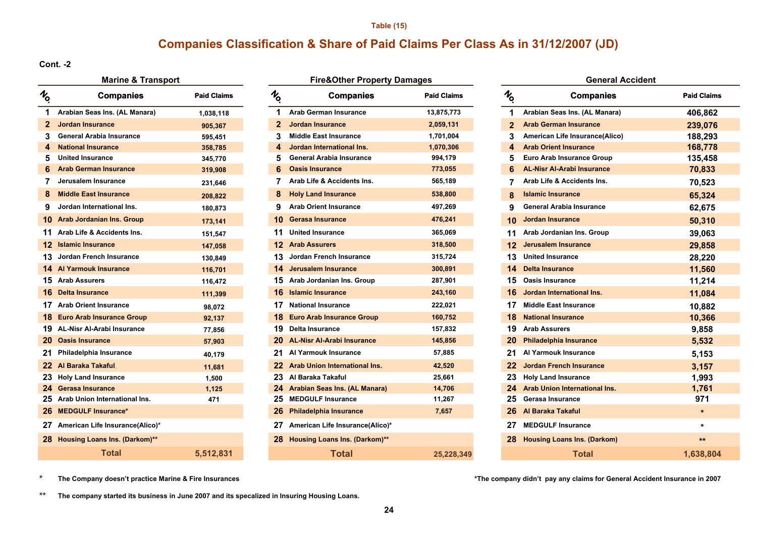#### **Table (15)**

## **Companies Classification & Share of Paid Claims Per Class As in 31/12/2007 (JD)**

**Cont. -2**

**No.**

# **Paid Claims**

| $\mathbf{2}$ | <b>Jordan Insurance</b>            | 905,367   | $\mathbf{2}$ | <b>Jordan Insurance</b>    |
|--------------|------------------------------------|-----------|--------------|----------------------------|
| 3            | General Arabia Insurance           | 595,451   | 3            | <b>Middle East Insurar</b> |
| 4            | <b>National Insurance</b>          | 358,785   | 4            | <b>Jordan Internationa</b> |
| 5            | <b>United Insurance</b>            | 345,770   | 5            | General Arabia Insu        |
| 6            | <b>Arab German Insurance</b>       | 319,908   | 6.           | <b>Oasis Insurance</b>     |
| 7            | Jerusalem Insurance                | 231,646   | 7            | Arab Life & Accider        |
| 8            | <b>Middle East Insurance</b>       | 208,822   | 8            | <b>Holy Land Insuranc</b>  |
| 9            | Jordan International Ins.          | 180,873   | 9            | <b>Arab Orient Insuran</b> |
|              | 10 Arab Jordanian Ins. Group       | 173,141   | 10           | <b>Gerasa Insurance</b>    |
| 11           | Arab Life & Accidents Ins.         | 151,547   | 11           | <b>United Insurance</b>    |
| $12 \,$      | <b>Islamic Insurance</b>           | 147,058   |              | <b>12 Arab Assurers</b>    |
| 13.          | Jordan French Insurance            | 130,849   |              | Jordan French Insu<br>13   |
|              | <b>14 Al Yarmouk Insurance</b>     | 116,701   |              | 14 Jerusalem Insurand      |
|              | <b>15 Arab Assurers</b>            | 116,472   |              | 15 Arab Jordanian Ins.     |
|              | 16 Delta Insurance                 | 111,399   |              | 16 Islamic Insurance       |
| 17           | <b>Arab Orient Insurance</b>       | 98,072    | 17           | <b>National Insurance</b>  |
|              | 18 Euro Arab Insurance Group       | 92,137    |              | 18 Euro Arab Insuranc      |
|              | 19 AL-Nisr Al-Arabi Insurance      | 77,856    | 19           | <b>Delta Insurance</b>     |
|              | 20 Oasis Insurance                 | 57,903    |              | 20 AL-Nisr Al-Arabi Ins    |
| 21           | Philadelphia Insurance             | 40,179    | 21           | Al Yarmouk Insurar         |
|              | 22 Al Baraka Takaful               | 11,681    |              | 22 Arab Union Internat     |
| 23           | <b>Holy Land Insurance</b>         | 1,500     | 23.          | Al Baraka Takaful          |
|              | 24 Gerasa Insurance                | 1,125     |              | 24 Arabian Seas Ins. (/    |
| 25           | Arab Union International Ins.      | 471       | 25           | <b>MEDGULF Insurand</b>    |
|              | 26 MEDGULF Insurance*              |           |              | 26 Philadelphia Insura     |
|              | 27 American Life Insurance(Alico)* |           | 27           | <b>American Life Insur</b> |
|              | 28 Housing Loans Ins. (Darkom)**   |           |              | 28 Housing Loans Ins.      |
|              | <b>Total</b>                       | 5,512,831 |              |                            |

## **Marine & Transport** *COLORER <b>EXALL* **E EXALLE EXALLE PROPERTY DAMAGES**

| Companies                 | <b>Paid Claims</b> | $\frac{1}{2}$ | <b>Companies</b>                     | <b>Paid Claims</b> | $\frac{1}{2}$ | <b>Companies</b>                     | <b>Paid Claims</b> |
|---------------------------|--------------------|---------------|--------------------------------------|--------------------|---------------|--------------------------------------|--------------------|
| s Ins. (AL Manara)        | 1,038,118          | 1             | <b>Arab German Insurance</b>         | 13,875,773         | 1             | Arabian Seas Ins. (AL Manara)        | 406,862            |
| ance <sup>.</sup>         | 905,367            | $\mathbf{2}$  | <b>Jordan Insurance</b>              | 2,059,131          | $\mathbf 2$   | <b>Arab German Insurance</b>         | 239,076            |
| pia Insurance             | 595,451            | 3             | <b>Middle East Insurance</b>         | 1,701,004          | 3             | American Life Insurance(Alico)       | 188,293            |
| <b>urance</b>             | 358,785            | 4             | Jordan International Ins.            | 1,070,306          | 4             | <b>Arab Orient Insurance</b>         | 168,778            |
| ance                      | 345,770            | 5             | <b>General Arabia Insurance</b>      | 994,179            | 5             | Euro Arab Insurance Group            | 135,458            |
| n Insurance               | 319,908            | 6             | <b>Oasis Insurance</b>               | 773,055            | 6             | <b>AL-Nisr Al-Arabi Insurance</b>    | 70,833             |
| ısurance                  | 231,646            | 7             | Arab Life & Accidents Ins.           | 565,189            | 7             | Arab Life & Accidents Ins.           | 70,523             |
| Insurance                 | 208,822            | 8             | <b>Holy Land Insurance</b>           | 538,800            | 8             | <b>Islamic Insurance</b>             | 65,324             |
| national Ins.             | 180,873            | 9             | <b>Arab Orient Insurance</b>         | 497,269            | 9             | <b>General Arabia Insurance</b>      | 62,675             |
| ian Ins. Group            | 173,141            | 10            | <b>Gerasa Insurance</b>              | 476,241            | 10            | <b>Jordan Insurance</b>              | 50,310             |
| <b>Accidents Ins.</b>     | 151,547            | 11            | <b>United Insurance</b>              | 365,069            | 11            | Arab Jordanian Ins. Group            | 39,063             |
| rance                     | 147,058            |               | <b>Arab Assurers</b>                 | 318,500            |               | <b>Jerusalem Insurance</b>           | 29,858             |
| ch Insurance              | 130,849            | 13            | Jordan French Insurance              | 315,724            | 13            | <b>United Insurance</b>              | 28,220             |
| Insurance                 | 116,701            | 14            | Jerusalem Insurance                  | 300,891            |               | <b>Delta Insurance</b>               | 11,560             |
| rs                        | 116,472            | 15            | Arab Jordanian Ins. Group            | 287,901            | 15            | <b>Oasis Insurance</b>               | 11,214             |
| nce                       | 111,399            | 16            | <b>Islamic Insurance</b>             | 243,160            |               | Jordan International Ins.            | 11,084             |
| Insurance                 | 98,072             | 17            | <b>National Insurance</b>            | 222,021            | 17            | <b>Middle East Insurance</b>         | 10,882             |
| surance Group             | 92,137             |               | <b>Euro Arab Insurance Group</b>     | 160,752            |               | <b>National Insurance</b>            | 10,366             |
| rabi Insurance            | 77,856             | 19            | Delta Insurance                      | 157,832            | 19            | <b>Arab Assurers</b>                 | 9,858              |
| nce                       | 57,903             |               | <b>AL-Nisr Al-Arabi Insurance</b>    | 145,856            |               | <b>Philadelphia Insurance</b>        | 5,532              |
| Insurance                 | 40,179             | 21            | Al Yarmouk Insurance                 | 57,885             | 21            | Al Yarmouk Insurance                 | 5,153              |
| ı <b>kaful</b>            | 11,681             |               | <b>Arab Union International Ins.</b> | 42,520             | 22            | <b>Jordan French Insurance</b>       | 3,157              |
| surance                   | 1,500              | 23            | Al Baraka Takaful                    | 25,661             | 23            | <b>Holy Land Insurance</b>           | 1,993              |
| rance                     | 1,125              | 24            | <b>Arabian Seas Ins. (AL Manara)</b> | 14,706             | 24            | <b>Arab Union International Ins.</b> | 1,761              |
| nternational Ins.         | 471                | 25            | <b>MEDGULF Insurance</b>             | 11,267             | 25            | Gerasa Insurance                     | 971                |
| <b>isurance*</b>          |                    | 26            | <b>Philadelphia Insurance</b>        | 7,657              | 26            | Al Baraka Takaful                    | $\star$            |
| fe Insurance(Alico)*      |                    | 27            | American Life Insurance(Alico)*      |                    | 27            | <b>MEDGULF Insurance</b>             | $\star$            |
| <b>ns Ins. (Darkom)**</b> |                    | 28            | <b>Housing Loans Ins. (Darkom)**</b> |                    | 28            | <b>Housing Loans Ins. (Darkom)</b>   | $***$              |
| <b>Total</b>              | 5,512,831          |               | <b>Total</b>                         | 25,228,349         |               | <b>Total</b>                         | 1,638,804          |

| <b>Marine &amp; Transport</b>         | <b>Fire&amp;Other Property Damages</b> |               |                                    | <b>General Accident</b> |               |                                    |                    |
|---------------------------------------|----------------------------------------|---------------|------------------------------------|-------------------------|---------------|------------------------------------|--------------------|
| <b>Companies</b>                      | <b>Paid Claims</b>                     | $\frac{1}{2}$ | <b>Companies</b>                   | <b>Paid Claims</b>      | $\frac{1}{2}$ | <b>Companies</b>                   | <b>Paid Claims</b> |
| Arabian Seas Ins. (AL Manara)         | 1,038,118                              |               | <b>Arab German Insurance</b>       | 13,875,773              |               | Arabian Seas Ins. (AL Manara)      | 406,862            |
| Jordan Insurance<br>2                 | 905,367                                |               | <b>Jordan Insurance</b>            | 2,059,131               | $\mathbf{2}$  | <b>Arab German Insurance</b>       | 239,076            |
| <b>General Arabia Insurance</b><br>3. | 595,451                                | 3             | <b>Middle East Insurance</b>       | 1,701,004               | 3.            | American Life Insurance(Alico)     | 188,293            |
| <b>National Insurance</b><br>4        | 358,785                                | 4             | Jordan International Ins.          | 1,070,306               | 4             | <b>Arab Orient Insurance</b>       | 168,778            |
| <b>United Insurance</b><br>5          | 345,770                                |               | General Arabia Insurance           | 994,179                 | 5             | Euro Arab Insurance Group          | 135,458            |
| <b>Arab German Insurance</b><br>6     | 319,908                                |               | <b>Oasis Insurance</b>             | 773,055                 |               | <b>AL-Nisr Al-Arabi Insurance</b>  | 70,833             |
| Jerusalem Insurance                   | 231,646                                |               | Arab Life & Accidents Ins.         | 565,189                 |               | Arab Life & Accidents Ins.         | 70,523             |
| <b>Middle East Insurance</b><br>8     | 208,822                                | 8             | <b>Holy Land Insurance</b>         | 538,800                 |               | <b>Islamic Insurance</b>           | 65,324             |
| Jordan International Ins.             | 180,873                                | 9             | <b>Arab Orient Insurance</b>       | 497,269                 | 9             | <b>General Arabia Insurance</b>    | 62,675             |
| <b>0</b> Arab Jordanian Ins. Group    | 173,141                                |               | 10 Gerasa Insurance                | 476,241                 | 10            | Jordan Insurance                   | 50,310             |
| 1 Arab Life & Accidents Ins.          | 151,547                                |               | 11 United Insurance                | 365,069                 | 11            | Arab Jordanian Ins. Group          | 39,063             |
| 2 Islamic Insurance                   | 147,058                                |               | <b>12 Arab Assurers</b>            | 318,500                 | 12.           | <b>Jerusalem Insurance</b>         | 29,858             |
| 3 Jordan French Insurance             | 130,849                                |               | 13 Jordan French Insurance         | 315,724                 |               | 13 United Insurance                | 28,220             |
| 4 Al Yarmouk Insurance                | 116,701                                |               | 14 Jerusalem Insurance             | 300,891                 | 14.           | <b>Delta Insurance</b>             | 11,560             |
| 5 Arab Assurers                       | 116,472                                |               | 15 Arab Jordanian Ins. Group       | 287,901                 | 15            | <b>Oasis Insurance</b>             | 11,214             |
| <b>6</b> Delta Insurance              | 111,399                                |               | <b>16</b> Islamic Insurance        | 243,160                 | 16            | Jordan International Ins.          | 11,084             |
| 7 Arab Orient Insurance               | 98,072                                 |               | 17 National Insurance              | 222,021                 | 17            | <b>Middle East Insurance</b>       | 10,882             |
| 8 Euro Arab Insurance Group           | 92,137                                 |               | 18 Euro Arab Insurance Group       | 160,752                 | 18.           | <b>National Insurance</b>          | 10,366             |
| 9 AL-Nisr Al-Arabi Insurance          | 77,856                                 |               | 19 Delta Insurance                 | 157,832                 |               | 19 Arab Assurers                   | 9,858              |
| 20 Oasis Insurance                    | 57,903                                 |               | 20 AL-Nisr Al-Arabi Insurance      | 145,856                 | 20            | <b>Philadelphia Insurance</b>      | 5,532              |
| 21 Philadelphia Insurance             | 40,179                                 |               | 21 Al Yarmouk Insurance            | 57,885                  | 21            | Al Yarmouk Insurance               | 5,153              |
| 22 Al Baraka Takaful                  | 11,681                                 |               | 22 Arab Union International Ins.   | 42,520                  | 22.           | Jordan French Insurance            | 3,157              |
| 23 Holy Land Insurance                | 1,500                                  |               | 23 Al Baraka Takaful               | 25,661                  |               | <b>Holy Land Insurance</b>         | 1,993              |
| 24 Gerasa Insurance                   | 1,125                                  |               | 24 Arabian Seas Ins. (AL Manara)   | 14,706                  |               | 24 Arab Union International Ins.   | 1,761              |
| 25 Arab Union International Ins.      | 471                                    |               | 25 MEDGULF Insurance               | 11,267                  | 25            | Gerasa Insurance                   | 971                |
| 26 MEDGULF Insurance*                 |                                        |               | 26 Philadelphia Insurance          | 7,657                   | 26.           | Al Baraka Takaful                  | $\star$            |
| 27 American Life Insurance(Alico)*    |                                        |               | 27 American Life Insurance(Alico)* |                         | 27            | <b>MEDGULF Insurance</b>           | $\star$            |
| 28 Housing Loans Ins. (Darkom)**      |                                        |               | 28 Housing Loans Ins. (Darkom)**   |                         | 28.           | <b>Housing Loans Ins. (Darkom)</b> | $\star\star$       |
| <b>Total</b>                          | 5,512,831                              |               | Total                              | 25.228.349              |               | Total                              | 1.638.804          |

\***The Company doesn't practice Marine & Fire Insurances** **\*The company didn't pay any claims for General Accident Insurance in 2007**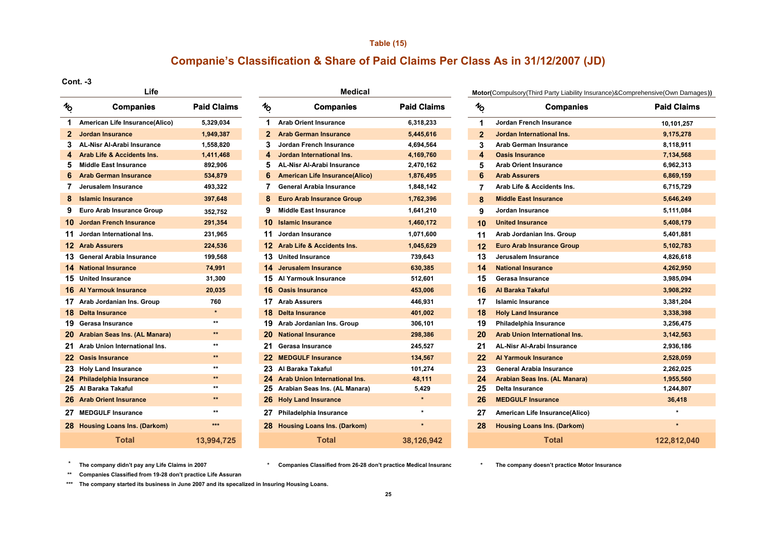#### **Table (15)**

## **Companie's Classification & Share of Paid Claims Per Class As in 31/12/2007 (JD)**

**Cont. -3**

| $\frac{1}{2}$           | <b>Companies</b>                  | <b>Paid Claims</b> |
|-------------------------|-----------------------------------|--------------------|
| 1                       | American Life Insurance(Alico)    | 5,329,034          |
| $\overline{2}$          | Jordan Insurance                  | 1,949,387          |
| 3                       | <b>AL-Nisr Al-Arabi Insurance</b> | 1,558,820          |
| $\overline{\mathbf{4}}$ | Arab Life & Accidents Ins.        | 1,411,468          |
| 5                       | <b>Middle East Insurance</b>      | 892,906            |
| 6                       | <b>Arab German Insurance</b>      | 534,879            |
| 7                       | Jerusalem Insurance               | 493,322            |
| 8                       | <b>Islamic Insurance</b>          | 397,648            |
| 9                       | Euro Arab Insurance Group         | 352,752            |
| 10                      | Jordan French Insurance           | 291,354            |
| 11                      | Jordan International Ins.         | 231,965            |
|                         | 12 Arab Assurers                  | 224,536            |
|                         | 13 General Arabia Insurance       | 199,568            |
|                         | <b>14 National Insurance</b>      | 74,991             |
| 15                      | <b>United Insurance</b>           | 31,300             |
|                         | <b>16 Al Yarmouk Insurance</b>    | 20,035             |
|                         | 17 Arab Jordanian Ins. Group      | 760                |
|                         | 18 Delta Insurance                | $\star$            |
|                         | 19 Gerasa Insurance               | $\star\star$       |
|                         | 20 Arabian Seas Ins. (AL Manara)  | $+ +$              |
| 21                      | Arab Union International Ins.     | $\star\star$       |
|                         | 22 Oasis Insurance                | $x +$              |
|                         | 23 Holy Land Insurance            | $\star\star$       |
|                         | 24 Philadelphia Insurance         | $**$               |
| 25                      | Al Baraka Takaful                 | $\star\star$       |
| 26                      | <b>Arab Orient Insurance</b>      | $\star\star$       |
| 27                      | <b>MEDGULF Insurance</b>          | $\star\star$       |
|                         | 28 Housing Loans Ins. (Darkom)    | ***                |
|                         | Total                             | 13,994,725         |

| Life |                                   |                    |                 | <b>Medical</b>                        | Motor(Compulsory(Third Party I |  |                  |                                  |  |
|------|-----------------------------------|--------------------|-----------------|---------------------------------------|--------------------------------|--|------------------|----------------------------------|--|
| 6    | <b>Companies</b>                  | <b>Paid Claims</b> | $\mathcal{H}_0$ | <b>Companies</b>                      | <b>Paid Claims</b>             |  | $\gamma_{\rm O}$ | Com                              |  |
| 1    | American Life Insurance(Alico)    | 5,329,034          | 1               | <b>Arab Orient Insurance</b>          | 6,318,233                      |  | 1                | Jordan French Insural            |  |
| 2.   | <b>Jordan Insurance</b>           | 1,949,387          | $\mathbf{2}$    | <b>Arab German Insurance</b>          | 5,445,616                      |  | $\overline{2}$   | Jordan International II          |  |
| 3    | <b>AL-Nisr Al-Arabi Insurance</b> | 1,558,820          | 3               | Jordan French Insurance               | 4,694,564                      |  | 3                | Arab German Insurano             |  |
| 4    | Arab Life & Accidents Ins.        | 1,411,468          | 4               | Jordan International Ins.             | 4,169,760                      |  | 4                | <b>Oasis Insurance</b>           |  |
| 5    | <b>Middle East Insurance</b>      | 892,906            | 5               | <b>AL-Nisr Al-Arabi Insurance</b>     | 2,470,162                      |  | 5                | <b>Arab Orient Insurance</b>     |  |
| 6    | <b>Arab German Insurance</b>      | 534,879            | 6               | <b>American Life Insurance(Alico)</b> | 1,876,495                      |  | 6                | <b>Arab Assurers</b>             |  |
|      | Jerusalem Insurance               | 493,322            | 7               | <b>General Arabia Insurance</b>       | 1,848,142                      |  | 7                | <b>Arab Life &amp; Accidents</b> |  |
| 8    | <b>Islamic Insurance</b>          | 397,648            | 8               | <b>Euro Arab Insurance Group</b>      | 1,762,396                      |  | 8                | <b>Middle East Insurance</b>     |  |
| 9    | Euro Arab Insurance Group         | 352,752            | 9               | <b>Middle East Insurance</b>          | 1,641,210                      |  | 9                | Jordan Insurance                 |  |
|      | <b>0</b> Jordan French Insurance  | 291,354            | 10              | <b>Islamic Insurance</b>              | 1,460,172                      |  | 10               | <b>United Insurance</b>          |  |
| 1.   | Jordan International Ins.         | 231,965            | 11              | Jordan Insurance                      | 1,071,600                      |  | 11               | Arab Jordanian Ins. G            |  |
|      | 2 Arab Assurers                   | 224,536            | 12              | <b>Arab Life &amp; Accidents Ins.</b> | 1,045,629                      |  | 12               | <b>Euro Arab Insurance (</b>     |  |
|      | 3 General Arabia Insurance        | 199,568            | 13              | <b>United Insurance</b>               | 739,643                        |  | 13               | Jerusalem Insurance              |  |
|      | 4 National Insurance              | 74,991             | 14.             | Jerusalem Insurance                   | 630,385                        |  | 14               | <b>National Insurance</b>        |  |
|      | 5 United Insurance                | 31,300             | 15              | Al Yarmouk Insurance                  | 512,601                        |  | 15               | Gerasa Insurance                 |  |
|      | <b>6 Al Yarmouk Insurance</b>     | 20,035             | 16              | <b>Oasis Insurance</b>                | 453,006                        |  | 16               | Al Baraka Takaful                |  |
|      | 7 Arab Jordanian Ins. Group       | 760                | 17              | <b>Arab Assurers</b>                  | 446,931                        |  | 17               | <b>Islamic Insurance</b>         |  |
|      | 8 Delta Insurance                 | $\star$            | 18              | <b>Delta Insurance</b>                | 401,002                        |  | 18               | <b>Holy Land Insurance</b>       |  |
|      | 9 Gerasa Insurance                | $\star\star$       | 19              | Arab Jordanian Ins. Group             | 306,101                        |  | 19               | Philadelphia Insuranc            |  |
|      | 20 Arabian Seas Ins. (AL Manara)  | $***$              | 20              | <b>National Insurance</b>             | 298,386                        |  | 20               | <b>Arab Union Internation</b>    |  |
|      | 21 Arab Union International Ins.  | $***$              | 21              | Gerasa Insurance                      | 245,527                        |  | 21               | <b>AL-Nisr Al-Arabi Insur</b>    |  |
|      | 22 Oasis Insurance                | $\star\star$       | 22              | <b>MEDGULF Insurance</b>              | 134,567                        |  | 22               | <b>Al Yarmouk Insurance</b>      |  |
|      | 23 Holy Land Insurance            | $**$               | 23              | Al Baraka Takaful                     | 101,274                        |  | 23               | <b>General Arabia Insura</b>     |  |
|      | 24 Philadelphia Insurance         | $***$              | 24              | Arab Union International Ins.         | 48,111                         |  | 24               | <b>Arabian Seas Ins. (AL</b>     |  |
|      | 25 Al Baraka Takaful              | $**$               | 25              | Arabian Seas Ins. (AL Manara)         | 5,429                          |  | 25               | Delta Insurance                  |  |
|      | 26 Arab Orient Insurance          | $\star\star$       | 26              | <b>Holy Land Insurance</b>            | $\star$                        |  | 26               | <b>MEDGULF Insurance</b>         |  |
|      | 27 MEDGULF Insurance              | $**$               | 27              | Philadelphia Insurance                |                                |  | 27               | <b>American Life Insuran</b>     |  |
|      | 28 Housing Loans Ins. (Darkom)    | $***$              | 28.             | <b>Housing Loans Ins. (Darkom)</b>    | $\star$                        |  | 28               | <b>Housing Loans Ins. (D</b>     |  |
|      | <b>Total</b>                      | 13,994,725         |                 | Total                                 | 38.126.942                     |  |                  | Total                            |  |

**Motor(**Compulsory(Third Party Liability Insurance)&Comprehensive(Own Damages**))**

| <b>Companies</b><br>ó                  | <b>Paid Claims</b> | $\frac{1}{2}$ | <b>Companies</b>                      | <b>Paid Claims</b> | $\frac{1}{2}$  | <b>Companies</b>                     | <b>Paid Claims</b> |
|----------------------------------------|--------------------|---------------|---------------------------------------|--------------------|----------------|--------------------------------------|--------------------|
| American Life Insurance(Alico)         | 5,329,034          | 1             | <b>Arab Orient Insurance</b>          | 6,318,233          | 1              | Jordan French Insurance              | 10,101,257         |
| Jordan Insurance                       | 1,949,387          |               | <b>Arab German Insurance</b>          | 5,445,616          | $\overline{2}$ | Jordan International Ins.            | 9,175,278          |
| <b>AL-Nisr Al-Arabi Insurance</b><br>3 | 1,558,820          | 3.            | <b>Jordan French Insurance</b>        | 4,694,564          | 3              | Arab German Insurance                | 8,118,911          |
| <b>Arab Life &amp; Accidents Ins.</b>  | 1,411,468          | 4             | Jordan International Ins.             | 4,169,760          | 4              | <b>Oasis Insurance</b>               | 7,134,568          |
| <b>Middle East Insurance</b><br>5      | 892,906            | 5             | <b>AL-Nisr Al-Arabi Insurance</b>     | 2,470,162          | 5              | <b>Arab Orient Insurance</b>         | 6,962,313          |
| <b>Arab German Insurance</b><br>6      | 534,879            | 6             | <b>American Life Insurance(Alico)</b> | 1,876,495          | 6              | <b>Arab Assurers</b>                 | 6,869,159          |
| Jerusalem Insurance                    | 493,322            |               | <b>General Arabia Insurance</b>       | 1,848,142          | 7              | Arab Life & Accidents Ins.           | 6,715,729          |
| <b>Islamic Insurance</b><br>8          | 397,648            | 8             | <b>Euro Arab Insurance Group</b>      | 1,762,396          | 8              | <b>Middle East Insurance</b>         | 5,646,249          |
| Euro Arab Insurance Group<br>9         | 352,752            | 9             | <b>Middle East Insurance</b>          | 1,641,210          | 9              | Jordan Insurance                     | 5,111,084          |
| <b>0</b> Jordan French Insurance       | 291,354            |               | <b>10</b> Islamic Insurance           | 1,460,172          | 10             | <b>United Insurance</b>              | 5,408,179          |
| Jordan International Ins.              | 231,965            | 11            | Jordan Insurance                      | 1,071,600          | 11             | Arab Jordanian Ins. Group            | 5,401,881          |
| 2 Arab Assurers                        | 224,536            |               | 12 Arab Life & Accidents Ins.         | 1,045,629          | 12             | <b>Euro Arab Insurance Group</b>     | 5,102,783          |
| 3 General Arabia Insurance             | 199,568            |               | 13 United Insurance                   | 739,643            | 13             | Jerusalem Insurance                  | 4,826,618          |
| 4 National Insurance                   | 74,991             |               | 14 Jerusalem Insurance                | 630,385            | 14             | <b>National Insurance</b>            | 4,262,950          |
| 5 United Insurance                     | 31,300             |               | 15 Al Yarmouk Insurance               | 512,601            | 15             | Gerasa Insurance                     | 3,985,094          |
| <b>6 Al Yarmouk Insurance</b>          | 20,035             |               | <b>16 Oasis Insurance</b>             | 453,006            | 16             | Al Baraka Takaful                    | 3,908,292          |
| 7 Arab Jordanian Ins. Group            | 760                |               | 17 Arab Assurers                      | 446,931            | 17             | <b>Islamic Insurance</b>             | 3,381,204          |
| 8 Delta Insurance                      | $\star$            |               | <b>18</b> Delta Insurance             | 401,002            | 18             | <b>Holy Land Insurance</b>           | 3,338,398          |
| 9 Gerasa Insurance                     | $^{\star\star}$    |               | 19 Arab Jordanian Ins. Group          | 306,101            | 19             | Philadelphia Insurance               | 3,256,475          |
| 20 Arabian Seas Ins. (AL Manara)       | $***$              |               | 20 National Insurance                 | 298,386            | 20             | <b>Arab Union International Ins.</b> | 3,142,563          |
| 21 Arab Union International Ins.       | $^{\star\star}$    | 21.           | Gerasa Insurance                      | 245,527            | 21             | <b>AL-Nisr Al-Arabi Insurance</b>    | 2,936,186          |
| 22 Oasis Insurance                     | $\star\star$       |               | 22 MEDGULF Insurance                  | 134,567            | 22             | <b>Al Yarmouk Insurance</b>          | 2,528,059          |
| 23 Holy Land Insurance                 | $***$              |               | 23 Al Baraka Takaful                  | 101,274            | 23             | <b>General Arabia Insurance</b>      | 2,262,025          |
| 24 Philadelphia Insurance              | $***$              |               | 24 Arab Union International Ins.      | 48,111             | 24             | Arabian Seas Ins. (AL Manara)        | 1,955,560          |
| 25 Al Baraka Takaful                   | $***$              |               | 25 Arabian Seas Ins. (AL Manara)      | 5,429              | 25             | <b>Delta Insurance</b>               | 1,244,807          |
| 26 Arab Orient Insurance               | $\star\star$       |               | 26 Holy Land Insurance                |                    | 26             | <b>MEDGULF Insurance</b>             | 36,418             |
| <b>MEDGULF Insurance</b>               | $^{\star\star}$    | 27            | Philadelphia Insurance                | $\star$            | 27             | American Life Insurance(Alico)       |                    |
| 28 Housing Loans Ins. (Darkom)         | $***$              |               | 28 Housing Loans Ins. (Darkom)        | $\star$            | 28             | <b>Housing Loans Ins. (Darkom)</b>   | $\star$            |
| <b>Total</b>                           | 13,994,725         |               | <b>Total</b>                          | 38,126,942         |                | <b>Total</b>                         | 122,812,040        |

**\*\*The company didn't pay any Life Claims in 2007**

**\* The company doesn't practice Motor Insurance Companies Classified from 26-28 don't practice Medical Insuranc**

**\*\* Companies Classified from 19-28 don't practice Life Assuranc**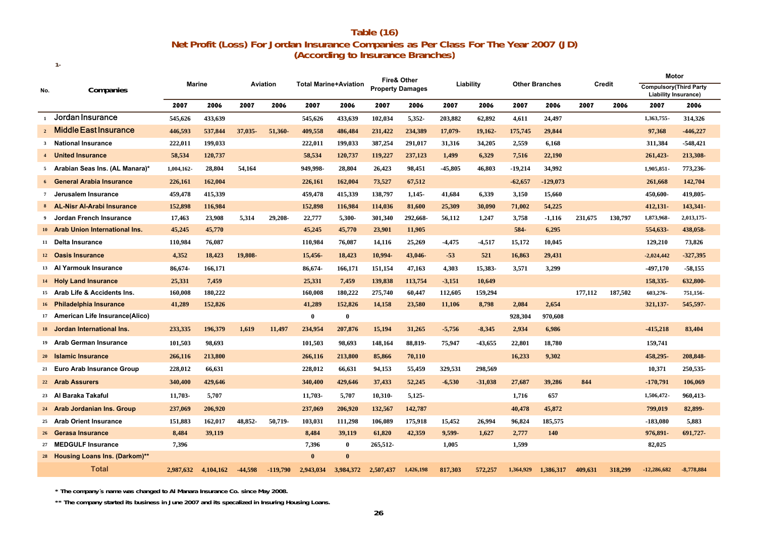## **Net Profit (Loss) For Jordan Insurance Companies as Per Class For The Year 2007 (JD) (According to Insurance Branches) Table (16)**

|              |                                    | Marine    |           | Aviation  |            | <b>Total Marine+Aviation</b> |              | <b>Fire&amp; Other</b>  |           | Liability |           |           |                       |         | Motor   |                                                               |              |
|--------------|------------------------------------|-----------|-----------|-----------|------------|------------------------------|--------------|-------------------------|-----------|-----------|-----------|-----------|-----------------------|---------|---------|---------------------------------------------------------------|--------------|
| No.          | Companies                          |           |           |           |            |                              |              | <b>Property Damages</b> |           |           |           |           | <b>Other Branches</b> |         | Credit  | <b>Compulsory</b> (Third Party<br><b>Liability Insurance)</b> |              |
|              |                                    | 2007      | 2006      | 2007      | 2006       | 2007                         | 2006         | 2007                    | 2006      | 2007      | 2006      | 2007      | 2006                  | 2007    | 2006    | 2007                                                          | 2006         |
| $\mathbf{1}$ | Jordan Insurance                   | 545,626   | 433,639   |           |            | 545,626                      | 433,639      | 102,034                 | 5,352-    | 203,882   | 62,892    | 4,611     | 24,497                |         |         | 1,363,755-                                                    | 314,326      |
|              | $_2$ Middle East Insurance         | 446,593   | 537,844   | 37,035-   | 51,360-    | 409,558                      | 486,484      | 231,422                 | 234,389   | 17,079-   | 19,162-   | 175,745   | 29,844                |         |         | 97,368                                                        | $-446,227$   |
|              | 3 National Insurance               | 222,011   | 199,033   |           |            | 222,011                      | 199,033      | 387,254                 | 291,017   | 31,316    | 34,205    | 2,559     | 6,168                 |         |         | 311,384                                                       | $-548,421$   |
|              | 4 United Insurance                 | 58,534    | 120,737   |           |            | 58,534                       | 120,737      | 119,227                 | 237,123   | 1,499     | 6,329     | 7,516     | 22,190                |         |         | 261,423-                                                      | 213,308-     |
|              | 5 Arabian Seas Ins. (AL Manara)*   | 1,004,162 | 28,804    | 54,164    |            | 949,998-                     | 28,804       | 26,423                  | 98,451    | -45,805   | 46,803    | $-19,214$ | 34,992                |         |         | 1,905,851-                                                    | 773,236-     |
|              | 6 General Arabia Insurance         | 226,161   | 162,004   |           |            | 226,161                      | 162,004      | 73,527                  | 67,512    |           |           | $-62,657$ | $-129,073$            |         |         | 261,668                                                       | 142,704      |
|              | 7 Jerusalem Insurance              | 459,478   | 415,339   |           |            | 459,478                      | 415,339      | 138,797                 | $1.145 -$ | 41.684    | 6,339     | 3,150     | 15,660                |         |         | 450,600-                                                      | 419,805-     |
|              | 8 AL-Nisr Al-Arabi Insurance       | 152,898   | 116,984   |           |            | 152,898                      | 116,984      | 114,036                 | 81,600    | 25,309    | 30,090    | 71,002    | 54,225                |         |         | 412,131-                                                      | 143,341-     |
| 9            | Jordan French Insurance            | 17,463    | 23,908    | 5,314     | 29,208-    | 22,777                       | 5,300-       | 301,340                 | 292,668-  | 56,112    | 1,247     | 3,758     | $-1,116$              | 231,675 | 130,797 | 1,873,968-                                                    | 2,013,175-   |
|              | 10 Arab Union International Ins.   | 45,245    | 45,770    |           |            | 45,245                       | 45,770       | 23,901                  | 11,905    |           |           | 584-      | 6,295                 |         |         | 554,633-                                                      | 438,058-     |
|              | 11 Delta Insurance                 | 110,984   | 76,087    |           |            | 110,984                      | 76,087       | 14,116                  | 25,269    | -4,475    | -4,517    | 15,172    | 10,045                |         |         | 129,210                                                       | 73,826       |
|              | 12 Oasis Insurance                 | 4,352     | 18,423    | 19,808-   |            | 15,456-                      | 18,423       | 10,994-                 | 43,046-   | $-53$     | 521       | 16,863    | 29,431                |         |         | $-2,024,442$                                                  | $-327,395$   |
|              | 13 Al Yarmouk Insurance            | 86,674-   | 166,171   |           |            | 86,674-                      | 166,171      | 151,154                 | 47,163    | 4,303     | 15,383-   | 3,571     | 3,299                 |         |         | -497,170                                                      | $-58,155$    |
|              | 14 Holy Land Insurance             | 25,331    | 7,459     |           |            | 25,331                       | 7,459        | 139,838                 | 113,754   | $-3,151$  | 10,649    |           |                       |         |         | 158,335-                                                      | 632,800-     |
|              | 15 Arab Life & Accidents Ins.      | 160,008   | 180,222   |           |            | 160,008                      | 180,222      | 275,740                 | 60,447    | 112,605   | 159,294   |           |                       | 177.112 | 187,502 | 603,276-                                                      | 751,156-     |
|              | 16 Philadelphia Insurance          | 41,289    | 152,826   |           |            | 41,289                       | 152,826      | 14,158                  | 23,580    | 11,106    | 8,798     | 2,084     | 2,654                 |         |         | 321,137-                                                      | 545,597-     |
|              | 17 American Life Insurance (Alico) |           |           |           |            | $\bf{0}$                     | $\bf{0}$     |                         |           |           |           | 928,304   | 970,608               |         |         |                                                               |              |
|              | 18 Jordan International Ins.       | 233,335   | 196,379   | 1,619     | 11,497     | 234,954                      | 207,876      | 15,194                  | 31,265    | $-5,756$  | $-8,345$  | 2,934     | 6,986                 |         |         | $-415,218$                                                    | 83,404       |
|              | 19 Arab German Insurance           | 101,503   | 98,693    |           |            | 101,503                      | 98,693       | 148,164                 | 88,819-   | 75,947    | $-43,655$ | 22,801    | 18,780                |         |         | 159,741                                                       |              |
|              | 20 Islamic Insurance               | 266,116   | 213,800   |           |            | 266,116                      | 213,800      | 85,866                  | 70,110    |           |           | 16,233    | 9,302                 |         |         | 458,295-                                                      | 208,848-     |
|              | 21 Euro Arab Insurance Group       | 228,012   | 66,631    |           |            | 228,012                      | 66,631       | 94,153                  | 55,459    | 329,531   | 298,569   |           |                       |         |         | 10,371                                                        | 250,535-     |
|              | 22 Arab Assurers                   | 340,400   | 429,646   |           |            | 340,400                      | 429,646      | 37,433                  | 52,245    | $-6,530$  | $-31,038$ | 27,687    | 39,286                | 844     |         | $-170,791$                                                    | 106,069      |
|              | 23 Al Baraka Takaful               | 11,703-   | 5,707     |           |            | 11,703-                      | 5,707        | 10,310-                 | 5,125-    |           |           | 1,716     | 657                   |         |         | 1,506,472-                                                    | 960,413-     |
|              | 24 Arab Jordanian Ins. Group       | 237,069   | 206,920   |           |            | 237,069                      | 206,920      | 132,567                 | 142,787   |           |           | 40,478    | 45,872                |         |         | 799,019                                                       | 82,899-      |
|              | 25 Arab Orient Insurance           | 151,883   | 162,017   | 48,852-   | 50,719-    | 103,031                      | 111,298      | 106,089                 | 175,918   | 15,452    | 26,994    | 96,824    | 185,575               |         |         | $-183,080$                                                    | 5,883        |
|              | 26 Gerasa Insurance                | 8,484     | 39.119    |           |            | 8,484                        | 39,119       | 61,820                  | 42,359    | 9,599-    | 1.627     | 2,777     | 140                   |         |         | 976,891-                                                      | 691,727-     |
| 27           | <b>MEDGULF Insurance</b>           | 7,396     |           |           |            | 7,396                        | 0            | 265,512-                |           | 1,005     |           | 1,599     |                       |         |         | 82,025                                                        |              |
|              | 28 Housing Loans Ins. (Darkom)**   |           |           |           |            | $\mathbf{0}$                 | $\mathbf{0}$ |                         |           |           |           |           |                       |         |         |                                                               |              |
|              | <b>Total</b>                       | 2.987.632 | 4.104.162 | $-44.598$ | $-119.790$ | 2.943.034                    | 3.984.372    | 2.507.437               | 1.426.198 | 817.303   | 572,257   | 1.364.929 | 1.386.317             | 409.631 | 318,299 | $-12,286,682$                                                 | $-8,778,884$ |

**\* The company´s name was changed to Al Manara Insurance Co. since May 2008.**

**1-**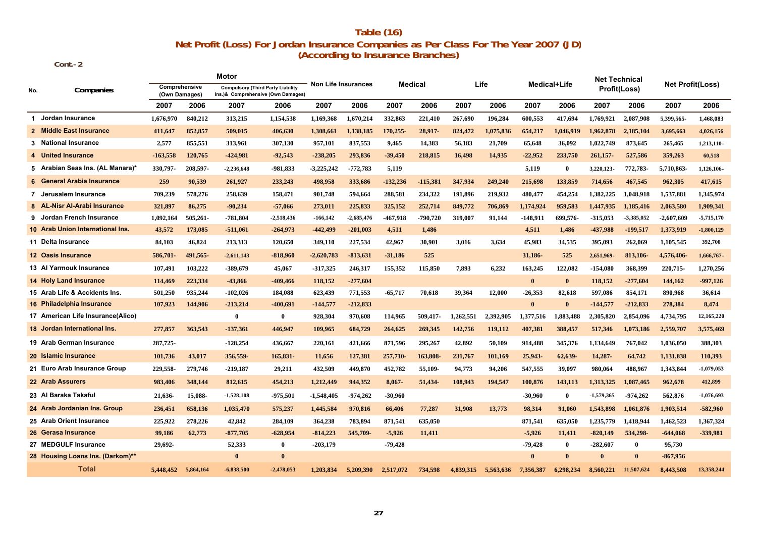## **(According to Insurance Branches) Table (16) Net Profit (Loss) For Jordan Insurance Companies as Per Class For The Year 2007 (JD)**

 **Cont.-2**

|     |                                   |                                |           | Motor                                                                          |              |                            |              |                |            |           |           |              |              | <b>Net Technical</b> |              |                         |              |
|-----|-----------------------------------|--------------------------------|-----------|--------------------------------------------------------------------------------|--------------|----------------------------|--------------|----------------|------------|-----------|-----------|--------------|--------------|----------------------|--------------|-------------------------|--------------|
| No. | Companies                         | Comprehensive<br>(Own Damages) |           | <b>Compulsory (Third Party Liability</b><br>Ins.)& Comprehensive (Own Damages) |              | <b>Non Life Insurances</b> |              | <b>Medical</b> |            |           | Life      |              | Medical+Life |                      | Profit(Loss) | <b>Net Profit(Loss)</b> |              |
|     |                                   | 2007                           | 2006      | 2007                                                                           | 2006         | 2007                       | 2006         | 2007           | 2006       | 2007      | 2006      | 2007         | 2006         | 2007                 | 2006         | 2007                    | 2006         |
|     | 1 Jordan Insurance                | 1.676.970                      | 840,212   | 313,215                                                                        | 1,154,538    | 1,169,368                  | 1,670,214    | 332,863        | 221,410    | 267,690   | 196,284   | 600,553      | 417,694      | 1,769,921            | 2,087,908    | 5,399,565               | 1,468,083    |
|     | 2 Middle East Insurance           | 411,647                        | 852,857   | 509,015                                                                        | 406,630      | 1,308,661                  | 1,138,185    | 170,255-       | 28,917-    | 824,472   | 1,075,836 | 654,217      | 1,046,919    | 1,962,878            | 2,185,104    | 3,695,663               | 4,026,156    |
|     | 3 National Insurance              | 2,577                          | 855,551   | 313,961                                                                        | 307,130      | 957,101                    | 837,553      | 9,465          | 14,383     | 56,183    | 21,709    | 65,648       | 36,092       | 1,022,749            | 873,645      | 265,465                 | 1,213,110-   |
|     | 4 United Insurance                | $-163,558$                     | 120,765   | $-424,981$                                                                     | $-92,543$    | $-238,205$                 | 293,836      | $-39,450$      | 218,815    | 16,498    | 14,935    | $-22,952$    | 233,750      | 261,157-             | 527,586      | 359,263                 | 60,518       |
|     | 5 Arabian Seas Ins. (AL Manara)*  | 330,797-                       | 208,597-  | $-2,236,648$                                                                   | -981,833     | -3,225,242                 | $-772,783$   | 5,119          |            |           |           | 5,119        | $\bf{0}$     | 3,220,123-           | 772,783-     | 5,710,863               | 1,126,106-   |
|     | 6 General Arabia Insurance        | 259                            | 90,539    | 261,927                                                                        | 233,243      | 498,958                    | 333,686      | $-132,236$     | $-115,381$ | 347,934   | 249,240   | 215,698      | 133,859      | 714,656              | 467,545      | 962,305                 | 417,615      |
|     | 7 Jerusalem Insurance             | 709,239                        | 578,276   | 258,639                                                                        | 158,471      | 901,748                    | 594,664      | 288,581        | 234,322    | 191,896   | 219,932   | 480,477      | 454,254      | 1,382,225            | 1,048,918    | 1,537,881               | 1,345,974    |
|     | -Nisr Al-Arabi Insurance<br>8 AL  | 321,897                        | 86,275    | $-90,234$                                                                      | $-57,066$    | 273,011                    | 225,833      | 325,152        | 252,714    | 849,772   | 706,869   | 1,174,924    | 959,583      | 1,447,935            | 1,185,416    | 2,063,580               | 1,909,341    |
|     | 9 Jordan French Insurance         | 1,092,164                      | 505,261-  | $-781,804$                                                                     | $-2,518,436$ | $-166, 142$                | $-2,685,476$ | -467,918       | -790,720   | 319,007   | 91,144    | -148,911     | 699,576-     | $-315,053$           | $-3,385,052$ | $-2,607,609$            | $-5,715,170$ |
|     | 10 Arab Union International Ins.  | 43,572                         | 173,085   | $-511,061$                                                                     | $-264,973$   | -442,499                   | $-201,003$   | 4,511          | 1,486      |           |           | 4,511        | 1,486        | -437,988             | $-199,517$   | 1,373,919               | $-1,800,129$ |
|     | 11 Delta Insurance                | 84.103                         | 46,824    | 213,313                                                                        | 120,650      | 349,110                    | 227,534      | 42,967         | 30.901     | 3,016     | 3,634     | 45,983       | 34.535       | 395,093              | 262,069      | 1,105,545               | 392,700      |
|     | 12 Oasis Insurance                | 586,701-                       | 491,565-  | $-2,611,143$                                                                   | $-818,960$   | $-2,620,783$               | $-813,631$   | $-31,186$      | 525        |           |           | 31,186-      | 525          | 2,651,969-           | 813,106-     | 4,576,406-              | 1,666,767-   |
|     | 13 Al Yarmouk Insurance           | 107,491                        | 103,222   | -389,679                                                                       | 45,067       | -317,325                   | 246,317      | 155,352        | 115,850    | 7,893     | 6,232     | 163,245      | 122,082      | $-154,080$           | 368,399      | 220,715-                | 1,270,256    |
|     | <b>14 Holy Land Insurance</b>     | 114,469                        | 223,334   | -43,866                                                                        | -409,466     | 118,152                    | $-277,604$   |                |            |           |           | $\bf{0}$     | $\mathbf{0}$ | 118,152              | $-277,604$   | 144,162                 | $-997,126$   |
|     | 15 Arab Life & Accidents Ins.     | 501,250                        | 935,244   | $-102,026$                                                                     | 184,088      | 623,439                    | 771,553      | $-65,717$      | 70,618     | 39,364    | 12,000    | $-26,353$    | 82,618       | 597,086              | 854,171      | 890,968                 | 36,614       |
|     | 16 Philadelphia Insurance         | 107,923                        | 144,906   | $-213,214$                                                                     | $-400,691$   | $-144,577$                 | $-212,833$   |                |            |           |           | $\mathbf{0}$ | $\bf{0}$     | $-144,577$           | $-212,833$   | 278,384                 | 8,474        |
|     | 17 American Life Insurance(Alico) |                                |           | $\bf{0}$                                                                       | $\bf{0}$     | 928,304                    | 970,608      | 114,965        | 509.417-   | 1.262.551 | 2,392,905 | 1,377,516    | 1,883,488    | 2,305,820            | 2,854,096    | 4,734,795               | 12,165,220   |
|     | 18 Jordan International Ins.      | 277,857                        | 363,543   | $-137,361$                                                                     | 446,947      | 109,965                    | 684,729      | 264,625        | 269,345    | 142,756   | 119,112   | 407,381      | 388,457      | 517,346              | 1,073,186    | 2,559,707               | 3,575,469    |
|     | 19 Arab German Insurance          | 287.725-                       |           | $-128,254$                                                                     | 436,667      | 220.161                    | 421.666      | 871,596        | 295,267    | 42,892    | 50,109    | 914,488      | 345,376      | 1.134.649            | 767,042      | 1,036,050               | 388,303      |
|     | 20 Islamic Insurance              | 101,736                        | 43,017    | 356,559-                                                                       | 165,831-     | 11,656                     | 127,381      | 257,710-       | 163,808-   | 231,767   | 101,169   | 25,943-      | 62,639-      | 14,287-              | 64,742       | 1,131,838               | 110,393      |
|     | 21 Euro Arab Insurance Group      | 229,558-                       | 279,746   | $-219,187$                                                                     | 29,211       | 432,509                    | 449,870      | 452,782        | 55,109-    | 94,773    | 94,206    | 547,555      | 39,097       | 980,064              | 488,967      | 1,343,844               | $-1,079,053$ |
|     | 22 Arab Assurers                  | 983,406                        | 348,144   | 812,615                                                                        | 454,213      | 1,212,449                  | 944,352      | 8,067-         | 51,434-    | 108,943   | 194,547   | 100,876      | 143,113      | 1,313,325            | 1,087,465    | 962,678                 | 412,899      |
|     | 23 Al Baraka Takaful              | 21,636-                        | 15,088-   | $-1,528,108$                                                                   | -975,501     | -1,548,405                 | $-974,262$   | $-30,960$      |            |           |           | $-30,960$    | $\mathbf{0}$ | $-1,579,365$         | -974,262     | 562,876                 | $-1,076,693$ |
|     | 24 Arab Jordanian Ins. Group      | 236,451                        | 658,136   | 1,035,470                                                                      | 575,237      | 1,445,584                  | 970,816      | 66,406         | 77,287     | 31,908    | 13,773    | 98,314       | 91.060       | 1,543,898            | 1,061,876    | 1,903,514               | $-582,960$   |
|     | 25 Arab Orient Insurance          | 225,922                        | 278,226   | 42,842                                                                         | 284,109      | 364,238                    | 783,894      | 871,541        | 635,050    |           |           | 871,541      | 635,050      | 1,235,779            | 1,418,944    | 1,462,523               | 1,367,324    |
|     | 26 Gerasa Insurance               | 99,186                         | 62,773    | $-877,705$                                                                     | $-628,954$   | $-814,223$                 | 545,709-     | $-5,926$       | 11,411     |           |           | $-5,926$     | 11,411       | $-820,149$           | 534,298-     | $-644,068$              | -339,981     |
|     | 27 MEDGULF Insurance              | 29,692-                        |           | 52,333                                                                         | $\bf{0}$     | $-203,179$                 |              | $-79,428$      |            |           |           | $-79,428$    | $\mathbf{0}$ | $-282,607$           | $\bf{0}$     | 95,730                  |              |
|     | 28 Housing Loans Ins. (Darkom)**  |                                |           | $\bf{0}$                                                                       | $\mathbf{0}$ |                            |              |                |            |           |           | $\mathbf{0}$ | $\bf{0}$     | $\theta$             | $\mathbf{0}$ | $-867,956$              |              |
|     | <b>Total</b>                      | 5.448.452                      | 5,864,164 | $-6,838,500$                                                                   | $-2,478,053$ | 1.203.834                  | 5.209.390    | 2.517,072      | 734.598    | 4,839,315 | 5,563,636 | 7.356.387    | 6.298.234    | 8.560.221            | 11,507,624   | 8.443.508               | 13,358,244   |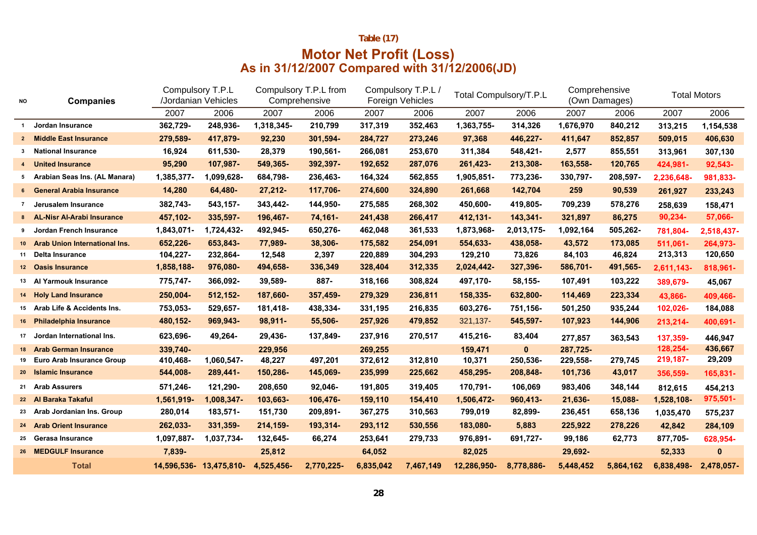## **Table (17)**

## **Motor Net Profit (Loss) As in 31/12/2007 Compared with 31/12/2006(JD)**

| NO           | <b>Companies</b>                 | Compulsory T.P.L | /Jordanian Vehicles     | Compulsory T.P.L from<br>Comprehensive |            | Compulsory T.P.L /<br>Foreign Vehicles |           |             | Total Compulsory/T.P.L | Comprehensive<br>(Own Damages) |           |            | <b>Total Motors</b> |
|--------------|----------------------------------|------------------|-------------------------|----------------------------------------|------------|----------------------------------------|-----------|-------------|------------------------|--------------------------------|-----------|------------|---------------------|
|              |                                  | 2007             | 2006                    | 2007                                   | 2006       | 2007                                   | 2006      | 2007        | 2006                   | 2007                           | 2006      | 2007       | 2006                |
| $\mathbf{1}$ | Jordan Insurance                 | 362,729-         | 248,936-                | 1,318,345-                             | 210,799    | 317,319                                | 352,463   | 1,363,755-  | 314,326                | 1,676,970                      | 840,212   | 313,215    | 1,154,538           |
|              | 2 Middle East Insurance          | 279,589-         | 417,879-                | 92,230                                 | 301,594-   | 284,727                                | 273,246   | 97,368      | 446,227-               | 411,647                        | 852,857   | 509,015    | 406,630             |
| 3            | <b>National Insurance</b>        | 16,924           | 611,530-                | 28,379                                 | 190,561-   | 266,081                                | 253,670   | 311,384     | 548,421-               | 2,577                          | 855,551   | 313,961    | 307,130             |
|              | 4 United Insurance               | 95,290           | 107,987-                | 549,365-                               | 392,397-   | 192,652                                | 287,076   | 261,423-    | 213,308-               | 163,558-                       | 120,765   | 424,981-   | 92,543-             |
|              | 5 Arabian Seas Ins. (AL Manara)  | 1,385,377-       | 1,099,628-              | 684,798-                               | 236,463-   | 164,324                                | 562,855   | 1,905,851-  | 773,236-               | 330,797-                       | 208,597-  | 2,236,648- | 981,833-            |
|              | 6 General Arabia Insurance       | 14,280           | 64,480-                 | 27,212-                                | 117,706-   | 274,600                                | 324,890   | 261,668     | 142,704                | 259                            | 90,539    | 261,927    | 233,243             |
|              | 7 Jerusalem Insurance            | 382,743-         | 543,157-                | 343,442-                               | 144,950-   | 275,585                                | 268,302   | 450,600-    | 419,805-               | 709,239                        | 578,276   | 258,639    | 158,471             |
|              | 8 AL-Nisr Al-Arabi Insurance     | 457,102-         | 335,597-                | 196,467-                               | 74,161-    | 241,438                                | 266,417   | 412,131-    | 143,341-               | 321,897                        | 86,275    | 90,234-    | 57,066-             |
|              | 9 Jordan French Insurance        | 1,843,071-       | 1,724,432-              | 492,945-                               | 650,276-   | 462,048                                | 361,533   | 1,873,968-  | 2,013,175-             | 1,092,164                      | 505,262-  | 781,804-   | 2,518,437-          |
|              | 10 Arab Union International Ins. | 652,226-         | 653,843-                | 77,989-                                | 38,306-    | 175,582                                | 254,091   | 554,633-    | 438,058-               | 43,572                         | 173,085   | 511,061-   | 264,973-            |
| 11           | Delta Insurance                  | 104,227-         | 232,864-                | 12,548                                 | 2,397      | 220,889                                | 304,293   | 129,210     | 73,826                 | 84,103                         | 46,824    | 213,313    | 120,650             |
|              | 12 Oasis Insurance               | 1,858,188-       | 976,080-                | 494,658-                               | 336,349    | 328,404                                | 312,335   | 2,024,442-  | 327,396-               | 586,701-                       | 491,565-  | 2,611,143- | 818,961-            |
|              | 13 Al Yarmouk Insurance          | 775,747-         | 366,092-                | 39,589-                                | 887-       | 318,166                                | 308,824   | 497,170-    | 58,155-                | 107,491                        | 103,222   | 389,679-   | 45,067              |
|              | 14 Holy Land Insurance           | 250,004-         | 512,152-                | 187,660-                               | 357,459-   | 279,329                                | 236,811   | 158,335-    | 632,800-               | 114,469                        | 223,334   | 43,866-    | 409,466-            |
|              | 15 Arab Life & Accidents Ins.    | 753,053-         | 529,657-                | 181,418-                               | 438,334-   | 331,195                                | 216,835   | 603,276-    | 751,156-               | 501,250                        | 935,244   | 102,026-   | 184,088             |
|              | 16 Philadelphia Insurance        | 480,152-         | 969,943-                | 98,911-                                | 55,506-    | 257,926                                | 479,852   | 321,137-    | 545,597-               | 107,923                        | 144,906   | 213,214-   | 400,691-            |
|              | 17 Jordan International Ins.     | 623,696-         | 49,264-                 | 29,436-                                | 137,849-   | 237,916                                | 270,517   | 415,216-    | 83,404                 | 277,857                        | 363,543   | 137,359-   | 446,947             |
| 18           | <b>Arab German Insurance</b>     | 339,740-         |                         | 229,956                                |            | 269,255                                |           | 159,471     | $\mathbf{0}$           | 287,725-                       |           | 128,254-   | 436,667             |
| 19           | <b>Euro Arab Insurance Group</b> | 410,468-         | 1,060,547-              | 48,227                                 | 497,201    | 372,612                                | 312,810   | 10,371      | 250,536-               | 229,558-                       | 279,745   | 219,187-   | 29,209              |
|              | 20 Islamic Insurance             | 544,008-         | 289,441-                | 150,286-                               | 145,069-   | 235,999                                | 225,662   | 458,295-    | 208,848-               | 101,736                        | 43,017    | 356,559-   | 165,831-            |
|              | 21 Arab Assurers                 | 571,246-         | 121,290-                | 208,650                                | 92,046-    | 191,805                                | 319,405   | 170,791-    | 106,069                | 983,406                        | 348,144   | 812,615    | 454,213             |
|              | 22 Al Baraka Takaful             | 1,561,919-       | 1,008,347-              | 103,663-                               | 106,476-   | 159,110                                | 154,410   | 1,506,472-  | 960,413-               | 21,636-                        | 15,088-   | 1,528,108- | 975,501-            |
|              | 23 Arab Jordanian Ins. Group     | 280,014          | 183,571-                | 151,730                                | 209,891-   | 367,275                                | 310,563   | 799,019     | 82,899-                | 236,451                        | 658,136   | 1,035,470  | 575,237             |
|              | 24 Arab Orient Insurance         | 262,033-         | 331,359-                | 214,159-                               | 193,314-   | 293,112                                | 530,556   | 183,080-    | 5,883                  | 225,922                        | 278,226   | 42,842     | 284,109             |
|              | 25 Gerasa Insurance              | 1,097,887-       | 1,037,734-              | 132,645-                               | 66,274     | 253,641                                | 279,733   | 976,891-    | 691,727-               | 99,186                         | 62,773    | 877,705-   | 628,954-            |
|              | 26 MEDGULF Insurance             | 7,839-           |                         | 25,812                                 |            | 64,052                                 |           | 82,025      |                        | 29,692-                        |           | 52,333     | 0                   |
|              | <b>Total</b>                     |                  | 14,596,536- 13,475,810- | 4,525,456-                             | 2,770,225- | 6,835,042                              | 7,467,149 | 12,286,950- | 8,778,886-             | 5,448,452                      | 5,864,162 | 6,838,498- | 2,478,057-          |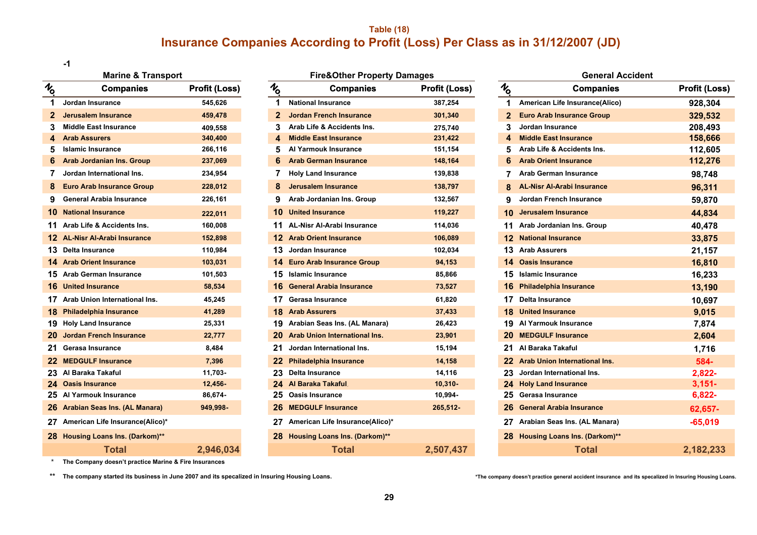## **Table (18) Insurance Companies According to Profit (Loss) Per Class as in 31/12/2007 (JD)**

**-1**

|                | <b>Marine &amp; Transport</b>      |                      |              |
|----------------|------------------------------------|----------------------|--------------|
| $\bar{\psi}$   | <b>Companies</b>                   | <b>Profit (Loss)</b> | $\bar{\psi}$ |
| 1              | Jordan Insurance                   | 545,626              |              |
| $\overline{2}$ | Jerusalem Insurance                | 459,478              |              |
| 3              | <b>Middle East Insurance</b>       | 409,558              |              |
| 4              | <b>Arab Assurers</b>               | 340,400              |              |
| 5              | <b>Islamic Insurance</b>           | 266,116              |              |
| 6.             | <b>Arab Jordanian Ins. Group</b>   | 237,069              |              |
| 7.             | Jordan International Ins.          | 234,954              |              |
| 8              | <b>Euro Arab Insurance Group</b>   | 228,012              |              |
| 9              | General Arabia Insurance           | 226,161              |              |
|                | <b>10 National Insurance</b>       | 222,011              |              |
|                | 11 Arab Life & Accidents Ins.      | 160,008              |              |
|                | 12 AL-Nisr Al-Arabi Insurance      | 152,898              |              |
|                | 13 Delta Insurance                 | 110,984              |              |
|                | <b>14 Arab Orient Insurance</b>    | 103,031              |              |
|                | 15 Arab German Insurance           | 101,503              |              |
|                | <b>16 United Insurance</b>         | 58,534               |              |
| 17             | Arab Union International Ins.      | 45,245               |              |
|                | 18 Philadelphia Insurance          | 41,289               |              |
|                | 19 Holy Land Insurance             | 25,331               |              |
|                | 20 Jordan French Insurance         | 22,777               |              |
|                | 21 Gerasa Insurance                | 8,484                |              |
|                | 22 MEDGULF Insurance               | 7,396                |              |
|                | 23 Al Baraka Takaful               | 11,703-              |              |
|                | 24 Oasis Insurance                 | $12,456 -$           |              |
|                | 25 Al Yarmouk Insurance            | 86,674-              |              |
|                | 26 Arabian Seas Ins. (AL Manara)   | 949,998-             |              |
|                | 27 American Life Insurance(Alico)* |                      |              |
|                | 28 Housing Loans Ins. (Darkom)**   |                      |              |
|                | <b>Total</b>                       | 2,946,034            |              |

| <b>Marine &amp; Transport</b> |                                    |                      | <b>Fire&amp;Other Property Damages</b> |                                      |                      |                 | General A                            |  |  |  |
|-------------------------------|------------------------------------|----------------------|----------------------------------------|--------------------------------------|----------------------|-----------------|--------------------------------------|--|--|--|
| ō                             | <b>Companies</b>                   | <b>Profit (Loss)</b> | $\mathcal{U}_0$                        | <b>Companies</b>                     | <b>Profit (Loss)</b> | $\mathcal{U}_0$ | <b>Companies</b>                     |  |  |  |
|                               | Jordan Insurance                   | 545,626              | 1                                      | <b>National Insurance</b>            | 387,254              | 1.              | American Life Insurance(Alico)       |  |  |  |
| 2                             | <b>Jerusalem Insurance</b>         | 459,478              | 2                                      | <b>Jordan French Insurance</b>       | 301,340              |                 | <b>Euro Arab Insurance Group</b>     |  |  |  |
| 3                             | <b>Middle East Insurance</b>       | 409,558              | 3                                      | Arab Life & Accidents Ins.           | 275,740              | 3               | Jordan Insurance                     |  |  |  |
| 4                             | <b>Arab Assurers</b>               | 340,400              | 4                                      | <b>Middle East Insurance</b>         | 231,422              | 4               | <b>Middle East Insurance</b>         |  |  |  |
| 5                             | <b>Islamic Insurance</b>           | 266,116              | 5                                      | Al Yarmouk Insurance                 | 151,154              | 5               | Arab Life & Accidents Ins.           |  |  |  |
| 6                             | <b>Arab Jordanian Ins. Group</b>   | 237,069              |                                        | <b>Arab German Insurance</b>         | 148,164              |                 | <b>Arab Orient Insurance</b>         |  |  |  |
|                               | Jordan International Ins.          | 234,954              |                                        | <b>Holy Land Insurance</b>           | 139,838              |                 | <b>Arab German Insurance</b>         |  |  |  |
| 8                             | <b>Euro Arab Insurance Group</b>   | 228,012              |                                        | <b>Jerusalem Insurance</b>           | 138,797              |                 | <b>AL-Nisr Al-Arabi Insurance</b>    |  |  |  |
| 9                             | <b>General Arabia Insurance</b>    | 226,161              | 9                                      | Arab Jordanian Ins. Group            | 132,567              | 9               | Jordan French Insurance              |  |  |  |
|                               | <b>0</b> National Insurance        | 222,011              |                                        | <b>United Insurance</b>              | 119,227              | 10              | <b>Jerusalem Insurance</b>           |  |  |  |
|                               | 1 Arab Life & Accidents Ins.       | 160,008              |                                        | <b>AL-Nisr Al-Arabi Insurance</b>    | 114,036              | 11              | Arab Jordanian Ins. Group            |  |  |  |
|                               | 2 AL-Nisr Al-Arabi Insurance       | 152,898              |                                        | <b>Arab Orient Insurance</b>         | 106,089              | 12              | <b>National Insurance</b>            |  |  |  |
|                               | 3 Delta Insurance                  | 110,984              | 13.                                    | Jordan Insurance                     | 102,034              |                 | 13 Arab Assurers                     |  |  |  |
|                               | 4 Arab Orient Insurance            | 103,031              |                                        | 14 Euro Arab Insurance Group         | 94,153               | 14.             | <b>Oasis Insurance</b>               |  |  |  |
|                               | 5 Arab German Insurance            | 101,503              | 15                                     | <b>Islamic Insurance</b>             | 85,866               | 15              | <b>Islamic Insurance</b>             |  |  |  |
|                               | <b>6</b> United Insurance          | 58,534               |                                        | <b>General Arabia Insurance</b>      | 73,527               |                 | 16 Philadelphia Insurance            |  |  |  |
|                               | 7 Arab Union International Ins.    | 45,245               | 17                                     | Gerasa Insurance                     | 61,820               | 17              | <b>Delta Insurance</b>               |  |  |  |
|                               | 8 Philadelphia Insurance           | 41,289               | 18                                     | <b>Arab Assurers</b>                 | 37,433               | 18              | <b>United Insurance</b>              |  |  |  |
|                               | 9 Holy Land Insurance              | 25,331               |                                        | 19 Arabian Seas Ins. (AL Manara)     | 26,423               | 19              | Al Yarmouk Insurance                 |  |  |  |
|                               | 20 Jordan French Insurance         | 22,777               | 20                                     | <b>Arab Union International Ins.</b> | 23,901               | 20              | <b>MEDGULF Insurance</b>             |  |  |  |
|                               | 21 Gerasa Insurance                | 8,484                |                                        | Jordan International Ins.            | 15,194               | 21.             | Al Baraka Takaful                    |  |  |  |
|                               | 22 MEDGULF Insurance               | 7,396                | 22                                     | <b>Philadelphia Insurance</b>        | 14,158               |                 | 22 Arab Union International Ins.     |  |  |  |
|                               | 23 Al Baraka Takaful               | 11,703-              | 23                                     | Delta Insurance                      | 14,116               | 23              | Jordan International Ins.            |  |  |  |
|                               | 24 Oasis Insurance                 | $12,456 -$           |                                        | Al Baraka Takaful                    | $10,310 -$           | 24              | <b>Holy Land Insurance</b>           |  |  |  |
|                               | 25 Al Yarmouk Insurance            | 86,674-              | 25                                     | <b>Oasis Insurance</b>               | 10,994-              | 25              | Gerasa Insurance                     |  |  |  |
|                               | 26 Arabian Seas Ins. (AL Manara)   | 949,998-             | 26                                     | <b>MEDGULF Insurance</b>             | 265,512-             | 26              | <b>General Arabia Insurance</b>      |  |  |  |
|                               | 27 American Life Insurance(Alico)* |                      |                                        | American Life Insurance(Alico)*      |                      | 27              | Arabian Seas Ins. (AL Manara)        |  |  |  |
|                               | 28 Housing Loans Ins. (Darkom)**   |                      | 28                                     | <b>Housing Loans Ins. (Darkom)**</b> |                      | 28.             | <b>Housing Loans Ins. (Darkom)**</b> |  |  |  |
|                               | Total                              | 2,946,034            |                                        | <b>Total</b>                         | 2.507.437            |                 | Total                                |  |  |  |

|    | <b>Marine &amp; Transport</b>      |                      |               | <b>Fire&amp;Other Property Damages</b>         | <b>General Accident</b> |                 |  |                                   |  |                      |
|----|------------------------------------|----------------------|---------------|------------------------------------------------|-------------------------|-----------------|--|-----------------------------------|--|----------------------|
| o  | <b>Companies</b>                   | <b>Profit (Loss)</b> | $\frac{1}{6}$ | <b>Companies</b>                               | <b>Profit (Loss)</b>    | $\mathcal{U}_0$ |  | <b>Companies</b>                  |  | <b>Profit (Loss)</b> |
|    | Jordan Insurance                   | 545,626              |               | 1<br><b>National Insurance</b>                 | 387,254                 | -1              |  | American Life Insurance(Alico)    |  | 928,304              |
| 2  | Jerusalem Insurance                | 459,478              |               | <b>Jordan French Insurance</b><br>$\mathbf{2}$ | 301,340                 | $\mathbf{2}$    |  | <b>Euro Arab Insurance Group</b>  |  | 329,532              |
| 3. | <b>Middle East Insurance</b>       | 409,558              |               | Arab Life & Accidents Ins.<br>3                | 275,740                 |                 |  | Jordan Insurance                  |  | 208,493              |
|    | 4 Arab Assurers                    | 340,400              |               | <b>Middle East Insurance</b>                   | 231,422                 |                 |  | <b>Middle East Insurance</b>      |  | 158,666              |
| 5  | <b>Islamic Insurance</b>           | 266,116              |               | Al Yarmouk Insurance<br>5.                     | 151,154                 |                 |  | Arab Life & Accidents Ins.        |  | 112,605              |
|    | 6 Arab Jordanian Ins. Group        | 237,069              |               | <b>Arab German Insurance</b><br>6              | 148,164                 |                 |  | <b>Arab Orient Insurance</b>      |  | 112,276              |
|    | Jordan International Ins.          | 234,954              |               | <b>Holy Land Insurance</b>                     | 139,838                 |                 |  | <b>Arab German Insurance</b>      |  | 98,748               |
| 8. | <b>Euro Arab Insurance Group</b>   | 228,012              |               | <b>Jerusalem Insurance</b><br>8                | 138,797                 |                 |  | <b>AL-Nisr Al-Arabi Insurance</b> |  | 96,311               |
|    | 9 General Arabia Insurance         | 226,161              |               | 9<br>Arab Jordanian Ins. Group                 | 132,567                 |                 |  | Jordan French Insurance           |  | 59,870               |
|    | 0 National Insurance               | 222,011              |               | <b>10 United Insurance</b>                     | 119,227                 | 10.             |  | Jerusalem Insurance               |  | 44,834               |
|    | 1 Arab Life & Accidents Ins.       | 160,008              |               | 11 AL-Nisr Al-Arabi Insurance                  | 114,036                 |                 |  | Arab Jordanian Ins. Group         |  | 40,478               |
|    | 2 AL-Nisr Al-Arabi Insurance       | 152,898              |               | <b>12 Arab Orient Insurance</b>                | 106,089                 |                 |  | <b>12 National Insurance</b>      |  | 33,875               |
|    | 3 Delta Insurance                  | 110,984              |               | 13 Jordan Insurance                            | 102,034                 |                 |  | <b>13 Arab Assurers</b>           |  | 21,157               |
|    | 4 Arab Orient Insurance            | 103,031              |               | 14 Euro Arab Insurance Group                   | 94,153                  |                 |  | <b>14 Oasis Insurance</b>         |  | 16,810               |
|    | 5 Arab German Insurance            | 101,503              |               | 15 Islamic Insurance                           | 85,866                  |                 |  | <b>15</b> Islamic Insurance       |  | 16,233               |
|    | <b>6</b> United Insurance          | 58,534               |               | 16 General Arabia Insurance                    | 73,527                  |                 |  | 16 Philadelphia Insurance         |  | 13,190               |
|    | 7 Arab Union International Ins.    | 45,245               |               | 17 Gerasa Insurance                            | 61,820                  |                 |  | 17 Delta Insurance                |  | 10,697               |
|    | 8 Philadelphia Insurance           | 41,289               |               | <b>18 Arab Assurers</b>                        | 37,433                  |                 |  | <b>18</b> United Insurance        |  | 9,015                |
|    | 9 Holy Land Insurance              | 25,331               |               | 19 Arabian Seas Ins. (AL Manara)               | 26,423                  |                 |  | 19 Al Yarmouk Insurance           |  | 7,874                |
|    | 20 Jordan French Insurance         | 22,777               |               | <b>Arab Union International Ins.</b><br>20.    | 23,901                  |                 |  | 20 MEDGULF Insurance              |  | 2,604                |
|    | 21 Gerasa Insurance                | 8,484                |               | 21 Jordan International Ins.                   | 15,194                  |                 |  | Al Baraka Takaful                 |  | 1,716                |
|    | 22 MEDGULF Insurance               | 7,396                |               | 22 Philadelphia Insurance                      | 14,158                  |                 |  | 22 Arab Union International Ins.  |  | 584-                 |
|    | 23 Al Baraka Takaful               | 11,703-              |               | 23 Delta Insurance                             | 14,116                  |                 |  | Jordan International Ins.         |  | 2,822-               |
|    | 24 Oasis Insurance                 | $12,456 -$           |               | 24 Al Baraka Takaful,                          | $10,310 -$              |                 |  | 24 Holy Land Insurance            |  | $3,151-$             |
|    | 25 Al Yarmouk Insurance            | 86,674-              |               | 25 Oasis Insurance                             | 10,994-                 |                 |  | Gerasa Insurance                  |  | 6,822-               |
|    | 26 Arabian Seas Ins. (AL Manara)   | 949,998-             |               | 26 MEDGULF Insurance                           | 265,512-                | 26              |  | <b>General Arabia Insurance</b>   |  | 62,657-              |
|    | 27 American Life Insurance(Alico)* |                      |               | 27 American Life Insurance(Alico)*             |                         |                 |  | 27 Arabian Seas Ins. (AL Manara)  |  | $-65,019$            |
|    | 28 Housing Loans Ins. (Darkom)**   |                      |               | 28 Housing Loans Ins. (Darkom)**               |                         |                 |  | 28 Housing Loans Ins. (Darkom)**  |  |                      |
|    | <b>Total</b>                       | 2,946,034            |               | Total                                          | 2,507,437               |                 |  | <b>Total</b>                      |  | 2,182,233            |

\***The Company doesn't practice Marine & Fire Insurances**

**\*\* The company started its business in June 2007 and its specalized in Insuring Housing Loans.**

**\*The company doesn't practice general accident insurance and its specalized in Insuring Housing Loans.**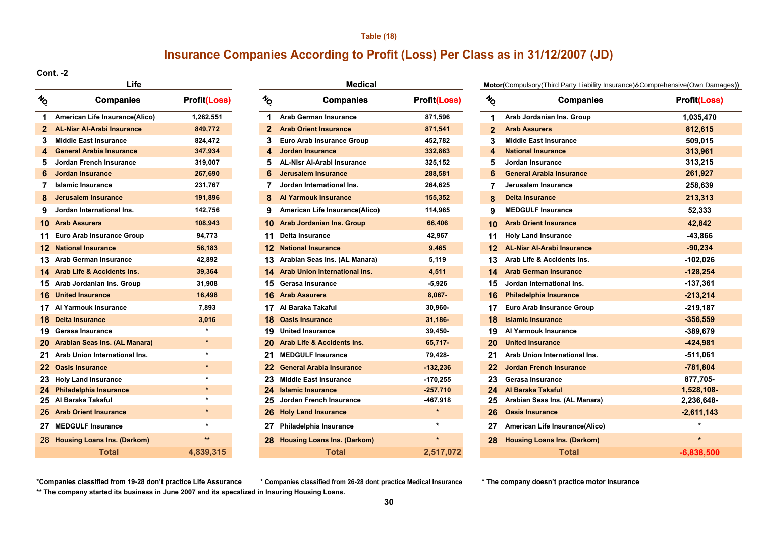#### **Table (18)**

## **Insurance Companies According to Profit (Loss) Per Class as in 31/12/2007 (JD)**

#### **Cont. -2**

|                | гие                               |                     |                |
|----------------|-----------------------------------|---------------------|----------------|
| $\frac{1}{2}$  | <b>Companies</b>                  | <b>Profit(Loss)</b> | $v_{\rm Q}$    |
| 1              | American Life Insurance(Alico)    | 1,262,551           | 1              |
| $\overline{2}$ | <b>AL-Nisr Al-Arabi Insurance</b> | 849,772             | $\overline{2}$ |
| 3              | <b>Middle East Insurance</b>      | 824,472             | 3              |
| 4              | General Arabia Insurance          | 347,934             | 4              |
| 5              | Jordan French Insurance           | 319,007             | 5              |
| 6              | <b>Jordan Insurance</b>           | 267,690             | 6              |
| 7              | <b>Islamic Insurance</b>          | 231,767             | 7              |
| 8              | <b>Jerusalem Insurance</b>        | 191,896             | 8              |
| 9              | Jordan International Ins.         | 142,756             | 9              |
|                | <b>10 Arab Assurers</b>           | 108,943             | 10             |
|                | 11 Euro Arab Insurance Group      | 94,773              | 11             |
|                | <b>12 National Insurance</b>      | 56,183              | 12             |
|                | 13 Arab German Insurance          | 42,892              | 13             |
|                | 14 Arab Life & Accidents Ins.     | 39,364              | 14             |
|                | 15 Arab Jordanian Ins. Group      | 31,908              | 15             |
|                | <b>16 United Insurance</b>        | 16,498              | 16             |
|                | 17 Al Yarmouk Insurance           | 7,893               | 17             |
|                | 18 Delta Insurance                | 3,016               | 18             |
|                | 19 Gerasa Insurance               | ÷                   | 19             |
|                | 20 Arabian Seas Ins. (AL Manara)  | $\star$             | 20             |
| 21             | Arab Union International Ins.     | ÷                   | 21             |
|                | 22 Oasis Insurance                | $\star$             | 22             |
|                | 23 Holy Land Insurance            | *                   | 23             |
|                | 24 Philadelphia Insurance         | $\star$             | 24             |
|                | 25 Al Baraka Takaful              | $\star$             | 25             |
|                | 26 Arab Orient Insurance          | $\star$             | 26             |
|                | 27 MEDGULF Insurance              | ÷                   | 27             |
|                | 28 Housing Loans Ins. (Darkom)    | $\star\star$        | 28             |
|                | <b>Total</b>                      | 4,839,315           |                |

| Life |                                   |                     |               | <b>Medical</b>                        |                     | Motor(Compulsory(Third Party Liability |                                    |  |  |
|------|-----------------------------------|---------------------|---------------|---------------------------------------|---------------------|----------------------------------------|------------------------------------|--|--|
| ь    | <b>Companies</b>                  | <b>Profit(Loss)</b> | $\frac{1}{6}$ | <b>Companies</b>                      | <b>Profit(Loss)</b> | $\frac{1}{2}$                          | <b>Companies</b>                   |  |  |
| 1    | American Life Insurance(Alico)    | 1,262,551           | 1             | Arab German Insurance                 | 871,596             | 1.                                     | Arab Jordanian Ins. Group          |  |  |
| 2    | <b>AL-Nisr Al-Arabi Insurance</b> | 849,772             |               | <b>Arab Orient Insurance</b>          | 871,541             | $\mathbf{2}$                           | <b>Arab Assurers</b>               |  |  |
| 3    | <b>Middle East Insurance</b>      | 824,472             | 3             | <b>Euro Arab Insurance Group</b>      | 452,782             | 3.                                     | <b>Middle East Insurance</b>       |  |  |
| 4    | <b>General Arabia Insurance</b>   | 347,934             | 4             | <b>Jordan Insurance</b>               | 332,863             | 4                                      | <b>National Insurance</b>          |  |  |
| 5    | Jordan French Insurance           | 319,007             | 5             | <b>AL-Nisr Al-Arabi Insurance</b>     | 325,152             | 5                                      | Jordan Insurance                   |  |  |
| 6    | <b>Jordan Insurance</b>           | 267,690             | 6             | <b>Jerusalem Insurance</b>            | 288,581             | 6                                      | <b>General Arabia Insurance</b>    |  |  |
|      | <b>Islamic Insurance</b>          | 231,767             |               | Jordan International Ins.             | 264,625             | 7                                      | Jerusalem Insurance                |  |  |
| 8    | Jerusalem Insurance               | 191,896             |               | <b>Al Yarmouk Insurance</b>           | 155,352             | 8                                      | <b>Delta Insurance</b>             |  |  |
| 9    | Jordan International Ins.         | 142,756             | 9             | American Life Insurance(Alico)        | 114,965             | 9                                      | <b>MEDGULF Insurance</b>           |  |  |
|      | 0 Arab Assurers                   | 108,943             |               | 10 Arab Jordanian Ins. Group          | 66,406              | 10                                     | <b>Arab Orient Insurance</b>       |  |  |
|      | 1 Euro Arab Insurance Group       | 94,773              | 11            | <b>Delta Insurance</b>                | 42,967              | 11                                     | <b>Holy Land Insurance</b>         |  |  |
|      | 2 National Insurance              | 56,183              | 12.           | <b>National Insurance</b>             | 9,465               | 12                                     | <b>AL-Nisr Al-Arabi Insurance</b>  |  |  |
|      | 3 Arab German Insurance           | 42,892              | 13.           | Arabian Seas Ins. (AL Manara)         | 5,119               | 13                                     | Arab Life & Accidents Ins.         |  |  |
|      | 4 Arab Life & Accidents Ins.      | 39,364              |               | 14 Arab Union International Ins.      | 4,511               | 14                                     | <b>Arab German Insurance</b>       |  |  |
|      | 5 Arab Jordanian Ins. Group       | 31,908              |               | 15 Gerasa Insurance                   | $-5,926$            | 15                                     | Jordan International Ins.          |  |  |
|      | <b>6</b> United Insurance         | 16,498              | 16            | <b>Arab Assurers</b>                  | $8,067 -$           | 16                                     | <b>Philadelphia Insurance</b>      |  |  |
|      | 7 Al Yarmouk Insurance            | 7,893               | 17            | Al Baraka Takaful                     | 30,960-             | 17                                     | <b>Euro Arab Insurance Group</b>   |  |  |
|      | <b>8</b> Delta Insurance          | 3,016               | 18            | <b>Oasis Insurance</b>                | 31,186-             | 18                                     | <b>Islamic Insurance</b>           |  |  |
|      | 9 Gerasa Insurance                | $\star$             |               | <b>19</b> United Insurance            | $39,450-$           | 19                                     | Al Yarmouk Insurance               |  |  |
|      | 20 Arabian Seas Ins. (AL Manara)  | $\star$             | 20            | <b>Arab Life &amp; Accidents Ins.</b> | $65,717-$           | 20                                     | <b>United Insurance</b>            |  |  |
|      | 21 Arab Union International Ins.  | $\star$             | 21            | <b>MEDGULF Insurance</b>              | 79,428-             | 21                                     | Arab Union International Ins.      |  |  |
|      | 22 Oasis Insurance                | $\star$             | 22.           | <b>General Arabia Insurance</b>       | $-132,236$          | 22                                     | <b>Jordan French Insurance</b>     |  |  |
|      | 23 Holy Land Insurance            | $\star$             | 23            | <b>Middle East Insurance</b>          | $-170,255$          | 23                                     | Gerasa Insurance                   |  |  |
|      | 24 Philadelphia Insurance         | $\star$             | 24            | <b>Islamic Insurance</b>              | $-257,710$          | 24                                     | Al Baraka Takaful                  |  |  |
|      | 25 Al Baraka Takaful              | $\star$             | 25.           | Jordan French Insurance               | -467,918            | 25                                     | Arabian Seas Ins. (AL Manara)      |  |  |
|      | 26 Arab Orient Insurance          |                     |               | 26 Holy Land Insurance                | $\star$             | 26                                     | <b>Oasis Insurance</b>             |  |  |
| 27.  | <b>MEDGULF Insurance</b>          |                     | 27            | Philadelphia Insurance                | $\star$             | 27                                     | American Life Insurance(Alico      |  |  |
|      | 28 Housing Loans Ins. (Darkom)    | $**$                | 28.           | <b>Housing Loans Ins. (Darkom)</b>    |                     | 28                                     | <b>Housing Loans Ins. (Darkom)</b> |  |  |
|      | Total                             | 4.839.315           |               | Total                                 | 2.517.072           |                                        | Total                              |  |  |

#### **Motor(**Compulsory(Third Party Liability Insurance)&Comprehensive(Own Damages**))**

| h<br>O | <b>Companies</b>                         | <b>Profit(Loss)</b> | $\frac{1}{2}$ | <b>Companies</b>                        | <b>Profit(Loss)</b> | $\frac{1}{6}$     | <b>Companies</b>                   | <b>Profit(Loss)</b> |
|--------|------------------------------------------|---------------------|---------------|-----------------------------------------|---------------------|-------------------|------------------------------------|---------------------|
| 1      | American Life Insurance(Alico)           | 1,262,551           | 1             | <b>Arab German Insurance</b>            | 871,596             | 1.                | Arab Jordanian Ins. Group          | 1,035,470           |
|        | 2 AL-Nisr Al-Arabi Insurance             | 849,772             | $\mathbf{2}$  | <b>Arab Orient Insurance</b>            | 871,541             | $\mathbf{2}$      | <b>Arab Assurers</b>               | 812,615             |
| 3      | Middle East Insurance                    | 824,472             | 3             | Euro Arab Insurance Group               | 452,782             |                   | <b>Middle East Insurance</b>       | 509,015             |
| 4      | <b>General Arabia Insurance</b>          | 347,934             |               | Jordan Insurance                        | 332,863             |                   | <b>National Insurance</b>          | 313,961             |
| 5.     | Jordan French Insurance                  | 319,007             | 5             | <b>AL-Nisr Al-Arabi Insurance</b>       | 325,152             | 5                 | Jordan Insurance                   | 313,215             |
| 6      | Jordan Insurance                         | 267,690             | 6             | Jerusalem Insurance                     | 288,581             |                   | <b>General Arabia Insurance</b>    | 261,927             |
|        | Islamic Insurance                        | 231,767             |               | Jordan International Ins.               | 264,625             |                   | Jerusalem Insurance                | 258,639             |
| 8      | Jerusalem Insurance                      | 191,896             | 8             | <b>Al Yarmouk Insurance</b>             | 155,352             | 8                 | Delta Insurance                    | 213,313             |
| 9      | Jordan International Ins.                | 142,756             | 9             | <b>American Life Insurance(Alico)</b>   | 114,965             | 9                 | <b>MEDGULF Insurance</b>           | 52,333              |
|        | <b>10 Arab Assurers</b>                  | 108,943             |               | 10 Arab Jordanian Ins. Group            | 66,406              | 10                | <b>Arab Orient Insurance</b>       | 42,842              |
|        | 11 Euro Arab Insurance Group             | 94,773              |               | 11 Delta Insurance                      | 42,967              | 11                | <b>Holy Land Insurance</b>         | -43,866             |
|        | <b>12 National Insurance</b>             | 56,183              |               | <b>12</b> National Insurance            | 9,465               | 12                | <b>AL-Nisr Al-Arabi Insurance</b>  | $-90,234$           |
|        | 13 Arab German Insurance                 | 42,892              |               | 13 Arabian Seas Ins. (AL Manara)        | 5,119               | 13                | Arab Life & Accidents Ins.         | -102,026            |
|        | <b>14 Arab Life &amp; Accidents Ins.</b> | 39,364              |               | <b>14 Arab Union International Ins.</b> | 4,511               | 14                | <b>Arab German Insurance</b>       | $-128,254$          |
|        | 15 Arab Jordanian Ins. Group             | 31,908              |               | 15 Gerasa Insurance                     | $-5,926$            | 15                | Jordan International Ins.          | $-137,361$          |
|        | <b>16 United Insurance</b>               | 16,498              |               | <b>16 Arab Assurers</b>                 | $8.067 -$           | 16                | <b>Philadelphia Insurance</b>      | $-213,214$          |
|        | 17 Al Yarmouk Insurance                  | 7,893               |               | 17 Al Baraka Takaful                    | 30,960-             | 17                | <b>Euro Arab Insurance Group</b>   | $-219,187$          |
|        | <b>18 Delta Insurance</b>                | 3,016               |               | <b>18 Oasis Insurance</b>               | 31,186-             | 18                | <b>Islamic Insurance</b>           | $-356,559$          |
|        | 19 Gerasa Insurance                      |                     |               | 19 United Insurance                     | 39,450-             | 19                | Al Yarmouk Insurance               | $-389,679$          |
|        | 20 Arabian Seas Ins. (AL Manara)         | $\star$             |               | 20 Arab Life & Accidents Ins.           | 65,717-             | 20                | <b>United Insurance</b>            | $-424,981$          |
|        | 21 Arab Union International Ins.         |                     |               | 21 MEDGULF Insurance                    | 79,428-             | 21                | Arab Union International Ins.      | $-511,061$          |
|        | 22 Oasis Insurance                       | $\star$             |               | 22 General Arabia Insurance             | $-132,236$          | $22 \overline{ }$ | <b>Jordan French Insurance</b>     | $-781,804$          |
|        | 23 Holy Land Insurance                   | $\star$             |               | 23 Middle East Insurance                | $-170,255$          | 23                | Gerasa Insurance                   | 877,705-            |
|        | 24 Philadelphia Insurance                |                     |               | 24 Islamic Insurance                    | $-257,710$          | 24                | Al Baraka Takaful                  | 1,528,108-          |
|        | 25 Al Baraka Takaful                     |                     |               | 25 Jordan French Insurance              | -467,918            | 25                | Arabian Seas Ins. (AL Manara)      | 2,236,648-          |
|        | 26 Arab Orient Insurance                 |                     |               | 26 Holy Land Insurance                  | $\star$             | 26                | <b>Oasis Insurance</b>             | $-2,611,143$        |
|        | 27 MEDGULF Insurance                     | $\star$             |               | 27 Philadelphia Insurance               | $\star$             | 27                | American Life Insurance(Alico)     |                     |
|        | 28 Housing Loans Ins. (Darkom)           | $***$               |               | 28 Housing Loans Ins. (Darkom)          |                     | 28                | <b>Housing Loans Ins. (Darkom)</b> |                     |
|        | <b>Total</b>                             | 4,839,315           |               | <b>Total</b>                            | 2,517,072           |                   | <b>Total</b>                       | $-6.838.500$        |

**\*Companies classified from 19-28 don't practice Life Assurance \* The company doesn't practice motor Insurance**

**\*\* The company started its business in June 2007 and its specalized in Insuring Housing Loans. \* Companies classified from 26-28 dont practice Medical Insurance**

**30**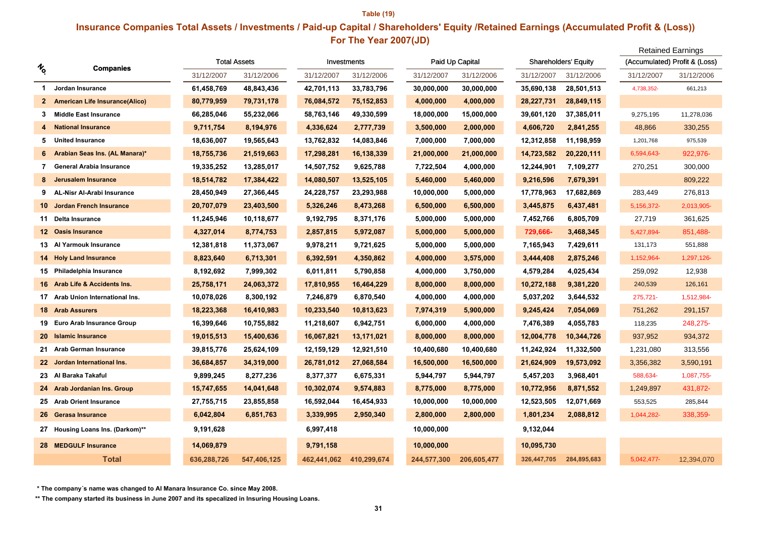#### **Table (19) For The Year 2007(JD) Insurance Companies Total Assets / Investments / Paid-up Capital / Shareholders' Equity /Retained Earnings (Accumulated Profit & (Loss))** Retained Earnings

|              |                                        |             |                     |             |              |             |                 |             | Retained Earnings           |            |                               |
|--------------|----------------------------------------|-------------|---------------------|-------------|--------------|-------------|-----------------|-------------|-----------------------------|------------|-------------------------------|
| r<br>o       | <b>Companies</b>                       |             | <b>Total Assets</b> |             | Investments  |             | Paid Up Capital |             | <b>Shareholders' Equity</b> |            | (Accumulated) Profit & (Loss) |
|              |                                        | 31/12/2007  | 31/12/2006          | 31/12/2007  | 31/12/2006   | 31/12/2007  | 31/12/2006      | 31/12/2007  | 31/12/2006                  | 31/12/2007 | 31/12/2006                    |
| 1.           | Jordan Insurance                       | 61,458,769  | 48,843,436          | 42,701,113  | 33,783,796   | 30,000,000  | 30,000,000      | 35,690,138  | 28,501,513                  | 4,738,352- | 661,213                       |
| $\mathbf{2}$ | <b>American Life Insurance (Alico)</b> | 80,779,959  | 79,731,178          | 76,084,572  | 75, 152, 853 | 4,000,000   | 4,000,000       | 28,227,731  | 28,849,115                  |            |                               |
| З.           | <b>Middle East Insurance</b>           | 66,285,046  | 55,232,066          | 58,763,146  | 49,330,599   | 18,000,000  | 15,000,000      | 39,601,120  | 37,385,011                  | 9,275,195  | 11,278,036                    |
|              | <b>National Insurance</b>              | 9,711,754   | 8,194,976           | 4,336,624   | 2,777,739    | 3,500,000   | 2,000,000       | 4,606,720   | 2,841,255                   | 48,866     | 330,255                       |
| 5.           | <b>United Insurance</b>                | 18,636,007  | 19,565,643          | 13,762,832  | 14,083,846   | 7,000,000   | 7,000,000       | 12,312,858  | 11,198,959                  | 1,201,768  | 975,539                       |
| 6            | Arabian Seas Ins. (AL Manara)*         | 18,755,736  | 21,519,663          | 17,298,281  | 16,138,339   | 21,000,000  | 21,000,000      | 14,723,582  | 20,220,111                  | 6,594,643- | 922,976-                      |
| 7            | General Arabia Insurance               | 19,335,252  | 13,285,017          | 14,507,752  | 9,625,788    | 7,722,504   | 4,000,000       | 12,244,901  | 7,109,277                   | 270,251    | 300,000                       |
|              | Jerusalem Insurance                    | 18,514,782  | 17,384,422          | 14,080,507  | 13,525,105   | 5,460,000   | 5,460,000       | 9,216,596   | 7,679,391                   |            | 809,222                       |
| 9            | <b>AL-Nisr Al-Arabi Insurance</b>      | 28,450,949  | 27,366,445          | 24,228,757  | 23,293,988   | 10,000,000  | 5,000,000       | 17,778,963  | 17,682,869                  | 283,449    | 276,813                       |
| $10-1$       | Jordan French Insurance                | 20,707,079  | 23,403,500          | 5,326,246   | 8,473,268    | 6,500,000   | 6,500,000       | 3,445,875   | 6,437,481                   | 5,156,372- | 2,013,905-                    |
|              | 11 Delta Insurance                     | 11,245,946  | 10,118,677          | 9,192,795   | 8,371,176    | 5,000,000   | 5,000,000       | 7,452,766   | 6,805,709                   | 27,719     | 361,625                       |
|              | 12 Oasis Insurance                     | 4,327,014   | 8,774,753           | 2,857,815   | 5,972,087    | 5,000,000   | 5,000,000       | 729,666-    | 3,468,345                   | 5,427,894- | 851,488-                      |
|              | 13 Al Yarmouk Insurance                | 12,381,818  | 11,373,067          | 9,978,211   | 9,721,625    | 5,000,000   | 5,000,000       | 7,165,943   | 7,429,611                   | 131,173    | 551,888                       |
|              | 14 Holy Land Insurance                 | 8,823,640   | 6,713,301           | 6,392,591   | 4,350,862    | 4,000,000   | 3,575,000       | 3,444,408   | 2,875,246                   | 1,152,964- | 1,297,126-                    |
|              | 15 Philadelphia Insurance              | 8,192,692   | 7,999,302           | 6,011,811   | 5,790,858    | 4,000,000   | 3,750,000       | 4,579,284   | 4,025,434                   | 259,092    | 12,938                        |
|              | 16 Arab Life & Accidents Ins.          | 25,758,171  | 24,063,372          | 17,810,955  | 16,464,229   | 8,000,000   | 8,000,000       | 10,272,188  | 9,381,220                   | 240,539    | 126,161                       |
|              | 17 Arab Union International Ins.       | 10,078,026  | 8,300,192           | 7,246,879   | 6,870,540    | 4,000,000   | 4,000,000       | 5,037,202   | 3,644,532                   | 275,721-   | 1,512,984-                    |
|              | <b>18 Arab Assurers</b>                | 18,223,368  | 16,410,983          | 10,233,540  | 10,813,623   | 7,974,319   | 5,900,000       | 9,245,424   | 7,054,069                   | 751,262    | 291,157                       |
|              | 19 Euro Arab Insurance Group           | 16,399,646  | 10,755,882          | 11,218,607  | 6,942,751    | 6,000,000   | 4,000,000       | 7,476,389   | 4,055,783                   | 118,235    | 248,275-                      |
|              | 20 Islamic Insurance                   | 19,015,513  | 15,400,636          | 16,067,821  | 13,171,021   | 8,000,000   | 8,000,000       | 12,004,778  | 10,344,726                  | 937,952    | 934,372                       |
|              | 21 Arab German Insurance               | 39,815,776  | 25,624,109          | 12,159,129  | 12,921,510   | 10,400,680  | 10,400,680      | 11,242,924  | 11,332,500                  | 1,231,080  | 313,556                       |
|              | 22 Jordan International Ins.           | 36,684,857  | 34,319,000          | 26,781,012  | 27,068,584   | 16,500,000  | 16,500,000      | 21,624,909  | 19,573,092                  | 3,356,382  | 3,590,191                     |
| 23           | Al Baraka Takaful                      | 9,899,245   | 8,277,236           | 8,377,377   | 6,675,331    | 5,944,797   | 5,944,797       | 5,457,203   | 3,968,401                   | 588,634-   | 1,087,755-                    |
|              | 24 Arab Jordanian Ins. Group           | 15,747,655  | 14,041,648          | 10,302,074  | 9,574,883    | 8,775,000   | 8,775,000       | 10,772,956  | 8,871,552                   | 1,249,897  | 431,872-                      |
|              | 25 Arab Orient Insurance               | 27,755,715  | 23,855,858          | 16,592,044  | 16,454,933   | 10,000,000  | 10,000,000      | 12,523,505  | 12,071,669                  | 553,525    | 285,844                       |
|              | 26 Gerasa Insurance                    | 6,042,804   | 6,851,763           | 3,339,995   | 2,950,340    | 2,800,000   | 2,800,000       | 1,801,234   | 2,088,812                   | 1,044,282- | 338,359-                      |
|              | 27 Housing Loans Ins. (Darkom)**       | 9,191,628   |                     | 6,997,418   |              | 10,000,000  |                 | 9,132,044   |                             |            |                               |
|              | 28 MEDGULF Insurance                   | 14,069,879  |                     | 9,791,158   |              | 10,000,000  |                 | 10,095,730  |                             |            |                               |
|              | Total                                  | 636,288,726 | 547,406,125         | 462,441,062 | 410,299,674  | 244,577,300 | 206,605,477     | 326,447,705 | 284,895,683                 | 5,042,477- | 12,394,070                    |

 **\* The company´s name was changed to Al Manara Insurance Co. since May 2008.**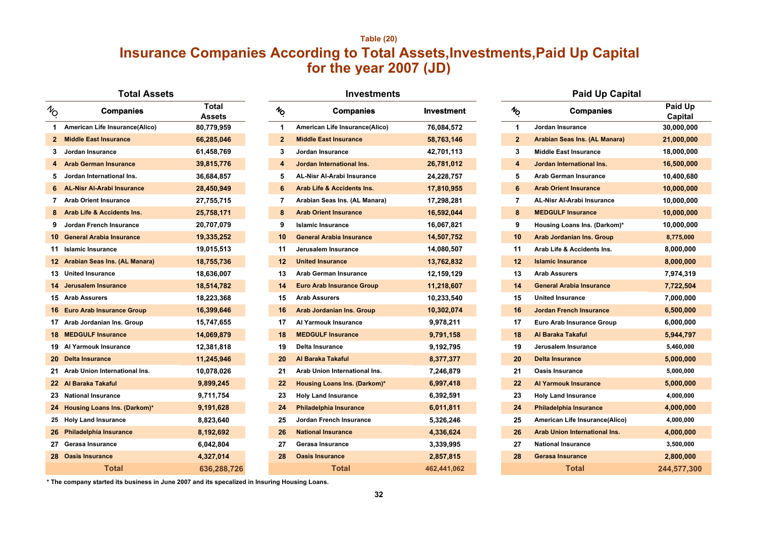## **Table (20) for the year 2007 (JD) Insurance Companies According to Total Assets,Investments,Paid Up Capital**

#### **Total Assets**

| $\mathcal{U}_O$ | <b>Companies</b>                 | <b>Total</b><br><b>Assets</b> | $\boldsymbol{\mathrm{\mathit{v}}}_{\!\mathit{O}}$ | <b>Companies</b>                      | <b>Investment</b> | $\mathcal{H}_{\text{O}}$ | <b>Companies</b>                     | Paid Up<br>Capital |
|-----------------|----------------------------------|-------------------------------|---------------------------------------------------|---------------------------------------|-------------------|--------------------------|--------------------------------------|--------------------|
| 1.              | American Life Insurance(Alico)   | 80,779,959                    | 1                                                 | American Life Insurance(Alico)        | 76,084,572        | $\blacktriangleleft$     | Jordan Insurance                     | 30,000,000         |
| $\mathbf{2}$    | <b>Middle East Insurance</b>     | 66,285,046                    | $\overline{2}$                                    | <b>Middle East Insurance</b>          | 58,763,146        | $\mathbf{2}$             | <b>Arabian Seas Ins. (AL Manara)</b> | 21,000,000         |
|                 | Jordan Insurance                 | 61,458,769                    | 3                                                 | Jordan Insurance                      | 42,701,113        | 3                        | <b>Middle East Insurance</b>         | 18,000,000         |
|                 | <b>Arab German Insurance</b>     | 39,815,776                    | 4                                                 | Jordan International Ins.             | 26,781,012        | 4                        | Jordan International Ins.            | 16,500,000         |
|                 | Jordan International Ins.        | 36,684,857                    | 5                                                 | AL-Nisr Al-Arabi Insurance            | 24,228,757        | 5                        | <b>Arab German Insurance</b>         | 10,400,680         |
|                 | 6 AL-Nisr Al-Arabi Insurance     | 28,450,949                    | 6                                                 | <b>Arab Life &amp; Accidents Ins.</b> | 17,810,955        | $6\phantom{1}$           | <b>Arab Orient Insurance</b>         | 10,000,000         |
|                 | 7 Arab Orient Insurance          | 27,755,715                    | 7                                                 | Arabian Seas Ins. (AL Manara)         | 17,298,281        | 7                        | <b>AL-Nisr Al-Arabi Insurance</b>    | 10,000,000         |
|                 | 8 Arab Life & Accidents Ins.     | 25,758,171                    | 8                                                 | <b>Arab Orient Insurance</b>          | 16,592,044        | 8                        | <b>MEDGULF Insurance</b>             | 10,000,000         |
| 9.              | Jordan French Insurance          | 20,707,079                    | 9                                                 | <b>Islamic Insurance</b>              | 16,067,821        | 9                        | Housing Loans Ins. (Darkom)*         | 10,000,000         |
| 10              | <b>General Arabia Insurance</b>  | 19,335,252                    | 10                                                | <b>General Arabia Insurance</b>       | 14,507,752        | 10                       | <b>Arab Jordanian Ins. Group</b>     | 8,775,000          |
|                 | 11 Islamic Insurance             | 19,015,513                    | 11                                                | Jerusalem Insurance                   | 14,080,507        | 11                       | Arab Life & Accidents Ins.           | 8,000,000          |
|                 | 12 Arabian Seas Ins. (AL Manara) | 18,755,736                    | 12 <sup>2</sup>                                   | <b>United Insurance</b>               | 13,762,832        | 12                       | <b>Islamic Insurance</b>             | 8,000,000          |
|                 | 13 United Insurance              | 18,636,007                    | 13                                                | <b>Arab German Insurance</b>          | 12,159,129        | 13                       | <b>Arab Assurers</b>                 | 7,974,319          |
| 14.             | Jerusalem Insurance              | 18,514,782                    | 14                                                | <b>Euro Arab Insurance Group</b>      | 11,218,607        | 14                       | <b>General Arabia Insurance</b>      | 7,722,504          |
|                 | <b>15 Arab Assurers</b>          | 18,223,368                    | 15                                                | <b>Arab Assurers</b>                  | 10,233,540        | 15                       | <b>United Insurance</b>              | 7,000,000          |
|                 | 16 Euro Arab Insurance Group     | 16,399,646                    | 16                                                | <b>Arab Jordanian Ins. Group</b>      | 10,302,074        | 16                       | <b>Jordan French Insurance</b>       | 6,500,000          |
|                 | 17 Arab Jordanian Ins. Group     | 15,747,655                    | 17                                                | Al Yarmouk Insurance                  | 9,978,211         | 17                       | Euro Arab Insurance Group            | 6,000,000          |
|                 | <b>18 MEDGULF Insurance</b>      | 14,069,879                    | 18                                                | <b>MEDGULF Insurance</b>              | 9,791,158         | 18                       | Al Baraka Takaful                    | 5,944,797          |
|                 | 19 Al Yarmouk Insurance          | 12,381,818                    | 19                                                | <b>Delta Insurance</b>                | 9,192,795         | 19                       | Jerusalem Insurance                  | 5,460,000          |
|                 | 20 Delta Insurance               | 11,245,946                    | 20                                                | Al Baraka Takaful                     | 8,377,377         | 20                       | <b>Delta Insurance</b>               | 5,000,000          |
|                 | 21 Arab Union International Ins. | 10,078,026                    | 21                                                | Arab Union International Ins.         | 7,246,879         | 21                       | <b>Oasis Insurance</b>               | 5,000,000          |
|                 | 22 Al Baraka Takaful             | 9,899,245                     | $22 \,$                                           | <b>Housing Loans Ins. (Darkom)*</b>   | 6,997,418         | $22 \,$                  | <b>Al Yarmouk Insurance</b>          | 5,000,000          |
|                 | 23 National Insurance            | 9,711,754                     | 23                                                | <b>Holy Land Insurance</b>            | 6,392,591         | 23                       | <b>Holy Land Insurance</b>           | 4,000,000          |
|                 | 24 Housing Loans Ins. (Darkom)*  | 9,191,628                     | 24                                                | <b>Philadelphia Insurance</b>         | 6,011,811         | 24                       | <b>Philadelphia Insurance</b>        | 4,000,000          |
|                 | 25 Holy Land Insurance           | 8,823,640                     | 25                                                | Jordan French Insurance               | 5,326,246         | 25                       | American Life Insurance(Alico)       | 4,000,000          |
|                 | 26 Philadelphia Insurance        | 8,192,692                     | 26                                                | <b>National Insurance</b>             | 4,336,624         | 26                       | <b>Arab Union International Ins.</b> | 4,000,000          |
|                 | Gerasa Insurance                 | 6,042,804                     | 27                                                | Gerasa Insurance                      | 3,339,995         | 27                       | <b>National Insurance</b>            | 3,500,000          |
|                 | 28 Oasis Insurance               | 4,327,014                     | 28                                                | <b>Oasis Insurance</b>                | 2,857,815         | 28                       | <b>Gerasa Insurance</b>              | 2,800,000          |
|                 | Total                            | 636.288.726                   |                                                   | <b>Total</b>                          | 462.441.062       |                          | <b>Total</b>                         | 244.577.30         |

| <b>Companies</b>         | <b>Total</b><br><b>Assets</b> | $\boldsymbol{\mathrm{\mathit{h}}}_{\mathbf{\mathrm{o}}}$ | <b>Companies</b>                      | Investment  | $\boldsymbol{\psi_{\mathrm{O}}}$ | <b>Companies</b>                     | Paid Up<br>Capital |
|--------------------------|-------------------------------|----------------------------------------------------------|---------------------------------------|-------------|----------------------------------|--------------------------------------|--------------------|
| Insurance(Alico)         | 80,779,959                    | 1                                                        | American Life Insurance(Alico)        | 76,084,572  | $\mathbf 1$                      | Jordan Insurance                     | 30,000,000         |
| າsurance                 | 66,285,046                    | $\mathbf{2}$                                             | <b>Middle East Insurance</b>          | 58,763,146  | $\mathbf{2}$                     | Arabian Seas Ins. (AL Manara)        | 21,000,000         |
| ınce                     | 61,458,769                    | 3                                                        | Jordan Insurance                      | 42,701,113  | 3                                | <b>Middle East Insurance</b>         | 18,000,000         |
| <b>Insurance</b>         | 39,815,776                    | 4                                                        | Jordan International Ins.             | 26,781,012  | 4                                | Jordan International Ins.            | 16,500,000         |
| ational Ins.             | 36,684,857                    | 5                                                        | <b>AL-Nisr Al-Arabi Insurance</b>     | 24,228,757  | 5                                | <b>Arab German Insurance</b>         | 10,400,680         |
| abi Insurance            | 28,450,949                    | 6                                                        | <b>Arab Life &amp; Accidents Ins.</b> | 17,810,955  | 6                                | <b>Arab Orient Insurance</b>         | 10,000,000         |
| ısurance                 | 27,755,715                    | 7                                                        | Arabian Seas Ins. (AL Manara)         | 17,298,281  | 7                                | AL-Nisr Al-Arabi Insurance           | 10,000,000         |
| ccidents Ins.            | 25,758,171                    | 8                                                        | <b>Arab Orient Insurance</b>          | 16,592,044  | 8                                | <b>MEDGULF Insurance</b>             | 10,000,000         |
| h Insurance              | 20,707,079                    | 9                                                        | <b>Islamic Insurance</b>              | 16,067,821  | 9                                | Housing Loans Ins. (Darkom)*         | 10,000,000         |
| ia Insurance             | 19,335,252                    | 10                                                       | <b>General Arabia Insurance</b>       | 14,507,752  | 10                               | <b>Arab Jordanian Ins. Group</b>     | 8,775,000          |
| ınce                     | 19,015,513                    | 11                                                       | Jerusalem Insurance                   | 14,080,507  | 11                               | Arab Life & Accidents Ins.           | 8,000,000          |
| Ins. (AL Manara)         | 18,755,736                    | $12 \overline{ }$                                        | <b>United Insurance</b>               | 13,762,832  | $12 \,$                          | <b>Islamic Insurance</b>             | 8,000,000          |
| nce                      | 18,636,007                    | 13                                                       | <b>Arab German Insurance</b>          | 12,159,129  | 13                               | <b>Arab Assurers</b>                 | 7,974,319          |
| surance                  | 18,514,782                    | 14                                                       | <b>Euro Arab Insurance Group</b>      | 11,218,607  | 14                               | <b>General Arabia Insurance</b>      | 7,722,504          |
|                          | 18,223,368                    | 15                                                       | <b>Arab Assurers</b>                  | 10,233,540  | 15                               | <b>United Insurance</b>              | 7,000,000          |
| urance Group             | 16,399,646                    | 16                                                       | <b>Arab Jordanian Ins. Group</b>      | 10,302,074  | 16                               | <b>Jordan French Insurance</b>       | 6,500,000          |
| an Ins. Group            | 15,747,655                    | 17                                                       | Al Yarmouk Insurance                  | 9,978,211   | 17                               | <b>Euro Arab Insurance Group</b>     | 6,000,000          |
| surance                  | 14,069,879                    | 18                                                       | <b>MEDGULF Insurance</b>              | 9,791,158   | 18                               | Al Baraka Takaful                    | 5,944,797          |
| ısurance                 | 12,381,818                    | 19                                                       | Delta Insurance                       | 9,192,795   | 19                               | Jerusalem Insurance                  | 5,460,000          |
| ce                       | 11,245,946                    | 20                                                       | Al Baraka Takaful                     | 8,377,377   | 20                               | <b>Delta Insurance</b>               | 5,000,000          |
| ternational Ins.         | 10,078,026                    | 21                                                       | Arab Union International Ins.         | 7,246,879   | 21                               | <b>Oasis Insurance</b>               | 5,000,000          |
| เaful                    | 9,899,245                     | 22                                                       | <b>Housing Loans Ins. (Darkom)*</b>   | 6,997,418   | 22                               | <b>Al Yarmouk Insurance</b>          | 5,000,000          |
| rance                    | 9,711,754                     | 23                                                       | <b>Holy Land Insurance</b>            | 6,392,591   | 23                               | <b>Holy Land Insurance</b>           | 4,000,000          |
| <b>is Ins. (Darkom)*</b> | 9,191,628                     | 24                                                       | <b>Philadelphia Insurance</b>         | 6,011,811   | 24                               | <b>Philadelphia Insurance</b>        | 4,000,000          |
| urance                   | 8,823,640                     | 25                                                       | Jordan French Insurance               | 5,326,246   | 25                               | American Life Insurance(Alico)       | 4,000,000          |
| nsurance                 | 8,192,692                     | 26                                                       | <b>National Insurance</b>             | 4,336,624   | 26                               | <b>Arab Union International Ins.</b> | 4,000,000          |
| ınce                     | 6,042,804                     | 27                                                       | Gerasa Insurance                      | 3,339,995   | 27                               | <b>National Insurance</b>            | 3,500,000          |
| ıce                      | 4,327,014                     | 28                                                       | <b>Oasis Insurance</b>                | 2,857,815   | 28                               | <b>Gerasa Insurance</b>              | 2,800,000          |
| <b>Total</b>             | 636,288,726                   |                                                          | <b>Total</b>                          | 462,441,062 |                                  | <b>Total</b>                         | 244,577,300        |

## **Investments Paid Up Capital**

| $\frac{1}{2}$  | <b>Companies</b>                     | Paid Up<br>Capital |
|----------------|--------------------------------------|--------------------|
| 1              | Jordan Insurance                     | 30,000,000         |
| $\overline{2}$ | Arabian Seas Ins. (AL Manara)        | 21,000,000         |
| 3              | <b>Middle East Insurance</b>         | 18,000,000         |
| 4              | Jordan International Ins.            | 16,500,000         |
| 5              | <b>Arab German Insurance</b>         | 10,400,680         |
| 6              | <b>Arab Orient Insurance</b>         | 10,000,000         |
| $\overline{7}$ | <b>AL-Nisr Al-Arabi Insurance</b>    | 10,000,000         |
| 8              | <b>MEDGULF Insurance</b>             | 10,000,000         |
| 9              | Housing Loans Ins. (Darkom)*         | 10,000,000         |
| 10             | <b>Arab Jordanian Ins. Group</b>     | 8,775,000          |
| 11             | Arab Life & Accidents Ins.           | 8,000,000          |
| 12             | <b>Islamic Insurance</b>             | 8,000,000          |
| 13             | <b>Arab Assurers</b>                 | 7,974,319          |
| 14             | <b>General Arabia Insurance</b>      | 7,722,504          |
| 15             | <b>United Insurance</b>              | 7,000,000          |
| 16             | <b>Jordan French Insurance</b>       | 6,500,000          |
| 17             | Euro Arab Insurance Group            | 6,000,000          |
| 18             | <b>Al Baraka Takaful</b>             | 5,944,797          |
| 19             | Jerusalem Insurance                  | 5,460,000          |
| 20             | Delta Insurance                      | 5,000,000          |
| 21             | <b>Oasis Insurance</b>               | 5,000,000          |
| 22             | <b>Al Yarmouk Insurance</b>          | 5,000,000          |
| 23             | <b>Holy Land Insurance</b>           | 4,000,000          |
| 24             | <b>Philadelphia Insurance</b>        | 4,000,000          |
| 25             | American Life Insurance(Alico)       | 4,000,000          |
| 26             | <b>Arab Union International Ins.</b> | 4,000,000          |
| 27             | <b>National Insurance</b>            | 3,500,000          |
| 28             | <b>Gerasa Insurance</b>              | 2,800,000          |
|                | Total                                | 244.577.300        |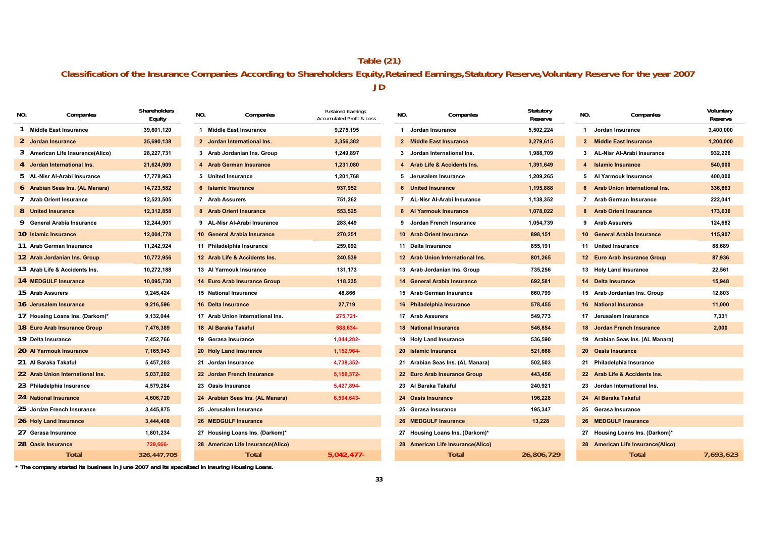## **Classification of the Insurance Companies According to Shareholders Equity,Retained Earnings,Statutory Reserve,Voluntary Reserve for the year 2007 Table (21) JD**

| NO. | Companies                        | Shareholders<br>Equity | NO. | Companies                         | <b>Retained Earnings</b><br><b>Accumulated Profit &amp; Loss</b> | NO. | Companies                         | Statutory<br>Reserve | NO.            | Companies                         | Voluntary<br>Reserve |
|-----|----------------------------------|------------------------|-----|-----------------------------------|------------------------------------------------------------------|-----|-----------------------------------|----------------------|----------------|-----------------------------------|----------------------|
| -1  | <b>Middle East Insurance</b>     | 39.601.120             |     | 1 Middle East Insurance           | 9,275,195                                                        |     | 1 Jordan Insurance                | 5.502.224            |                | 1 Jordan Insurance                | 3,400,000            |
|     | 2 Jordan Insurance               | 35,690,138             |     | 2 Jordan International Ins.       | 3,356,382                                                        |     | 2 Middle East Insurance           | 3,279,615            |                | 2 Middle East Insurance           | 1,200,000            |
|     | 3 American Life Insurance(Alico) | 28,227,731             |     | 3 Arab Jordanian Ins. Group       | 1,249,897                                                        |     | 3 Jordan International Ins.       | 1,988,709            |                | 3 AL-Nisr Al-Arabi Insurance      | 932,226              |
|     | 4 Jordan International Ins.      | 21,624,909             |     | 4 Arab German Insurance           | 1,231,080                                                        |     | 4 Arab Life & Accidents Ins.      | 1,391,649            | $\overline{4}$ | <b>Islamic Insurance</b>          | 540,000              |
|     | 5 AL-Nisr Al-Arabi Insurance     | 17,778,963             |     | 5 United Insurance                | 1,201,768                                                        |     | 5 Jerusalem Insurance             | 1,209,265            |                | 5 Al Yarmouk Insurance            | 400,000              |
|     | 6 Arabian Seas Ins. (AL Manara)  | 14,723,582             |     | 6 Islamic Insurance               | 937,952                                                          |     | 6 United Insurance                | 1,195,888            |                | 6 Arab Union International Ins.   | 336,863              |
|     | 7 Arab Orient Insurance          | 12,523,505             |     | 7 Arab Assurers                   | 751,262                                                          |     | 7 AL-Nisr Al-Arabi Insurance      | 1,138,352            |                | 7 Arab German Insurance           | 222,041              |
|     | 8 United Insurance               | 12,312,858             |     | 8 Arab Orient Insurance           | 553,525                                                          |     | 8 Al Yarmouk Insurance            | 1,078,022            |                | 8 Arab Orient Insurance           | 173,636              |
|     | 9 General Arabia Insurance       | 12,244,901             |     | 9 AL-Nisr Al-Arabi Insurance      | 283,449                                                          |     | 9 Jordan French Insurance         | 1,054,739            |                | 9 Arab Assurers                   | 124,682              |
|     | 10 Islamic Insurance             | 12,004,778             |     | 10 General Arabia Insurance       | 270,251                                                          |     | 10 Arab Orient Insurance          | 898,151              |                | 10 General Arabia Insurance       | 115,907              |
|     | 11 Arab German Insurance         | 11,242,924             |     | 11 Philadelphia Insurance         | 259,092                                                          |     | 11 Delta Insurance                | 855,191              |                | 11 United Insurance               | 88,689               |
|     | 12 Arab Jordanian Ins. Group     | 10,772,956             |     | 12 Arab Life & Accidents Ins.     | 240,539                                                          |     | 12 Arab Union International Ins.  | 801,265              |                | 12 Euro Arab Insurance Group      | 87,936               |
|     | 13 Arab Life & Accidents Ins.    | 10,272,188             |     | 13 Al Yarmouk Insurance           | 131,173                                                          |     | 13 Arab Jordanian Ins. Group      | 735,256              |                | 13 Holy Land Insurance            | 22,561               |
|     | 14 MEDGULF Insurance             | 10,095,730             |     | 14 Euro Arab Insurance Group      | 118,235                                                          |     | 14 General Arabia Insurance       | 692,581              |                | 14 Delta Insurance                | 15,948               |
|     | 15 Arab Assurers                 | 9,245,424              |     | 15 National Insurance             | 48.866                                                           |     | 15 Arab German Insurance          | 660,799              |                | 15 Arab Jordanian Ins. Group      | 12.803               |
|     | 16 Jerusalem Insurance           | 9,216,596              |     | 16 Delta Insurance                | 27,719                                                           |     | 16 Philadelphia Insurance         | 578,455              |                | <b>16 National Insurance</b>      | 11,000               |
|     | 17 Housing Loans Ins. (Darkom)*  | 9,132,044              |     | 17 Arab Union International Ins.  | 275,721-                                                         |     | 17 Arab Assurers                  | 549,773              |                | 17 Jerusalem Insurance            | 7,331                |
|     | 18 Euro Arab Insurance Group     | 7,476,389              |     | 18 Al Baraka Takaful              | 588,634-                                                         |     | <b>18 National Insurance</b>      | 546,854              |                | 18 Jordan French Insurance        | 2,000                |
|     | 19 Delta Insurance               | 7,452,766              |     | 19 Gerasa Insurance               | 1,044,282-                                                       |     | 19 Holy Land Insurance            | 536,590              |                | 19 Arabian Seas Ins. (AL Manara)  |                      |
|     | 20 Al Yarmouk Insurance          | 7,165,943              |     | 20 Holy Land Insurance            | 1,152,964-                                                       |     | 20 Islamic Insurance              | 521,668              |                | 20 Oasis Insurance                |                      |
|     | 21 Al Baraka Takaful             | 5,457,203              |     | 21 Jordan Insurance               | 4,738,352-                                                       |     | 21 Arabian Seas Ins. (AL Manara)  | 502,503              |                | 21 Philadelphia Insurance         |                      |
|     | 22 Arab Union International Ins. | 5,037,202              |     | 22 Jordan French Insurance        | 5,156,372-                                                       |     | 22 Euro Arab Insurance Group      | 443,456              |                | 22 Arab Life & Accidents Ins.     |                      |
|     | 23 Philadelphia Insurance        | 4,579,284              |     | 23 Oasis Insurance                | 5,427,894-                                                       |     | 23 Al Baraka Takaful              | 240,921              |                | 23 Jordan International Ins.      |                      |
|     | 24 National Insurance            | 4,606,720              |     | 24 Arabian Seas Ins. (AL Manara)  | 6,594,643-                                                       |     | 24 Oasis Insurance                | 196,228              |                | 24 Al Baraka Takaful              |                      |
|     | 25 Jordan French Insurance       | 3,445,875              |     | 25 Jerusalem Insurance            |                                                                  |     | 25 Gerasa Insurance               | 195,347              |                | 25 Gerasa Insurance               |                      |
|     | 26 Holy Land Insurance           | 3,444,408              |     | 26 MEDGULF Insurance              |                                                                  |     | 26 MEDGULF Insurance              | 13,228               |                | 26 MEDGULF Insurance              |                      |
|     | 27 Gerasa Insurance              | 1,801,234              |     | 27 Housing Loans Ins. (Darkom)*   |                                                                  |     | 27 Housing Loans Ins. (Darkom)*   |                      |                | 27 Housing Loans Ins. (Darkom)*   |                      |
|     | 28 Oasis Insurance               | 729,666-               |     | 28 American Life Insurance(Alico) |                                                                  |     | 28 American Life Insurance(Alico) |                      |                | 28 American Life Insurance(Alico) |                      |
|     | <b>Total</b>                     | 326,447,705            |     | <b>Total</b>                      | $5,042,477-$                                                     |     | <b>Total</b>                      | 26,806,729           |                | <b>Total</b>                      | 7,693,623            |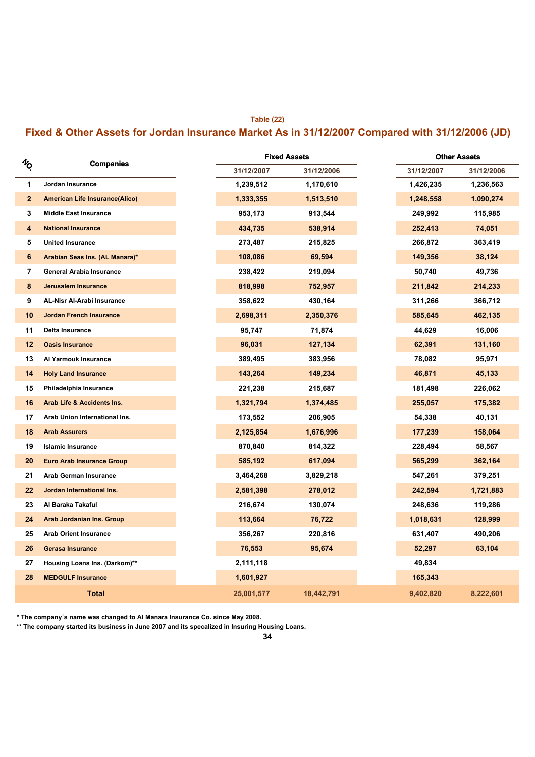#### **Table (22)**

## **Fixed & Other Assets for Jordan Insurance Market As in 31/12/2007 Compared with 31/12/2006 (JD)**

|               |                                       |            | <b>Fixed Assets</b> |            | <b>Other Assets</b> |
|---------------|---------------------------------------|------------|---------------------|------------|---------------------|
| $\frac{1}{2}$ | Companies                             | 31/12/2007 | 31/12/2006          | 31/12/2007 | 31/12/2006          |
| 1             | Jordan Insurance                      | 1,239,512  | 1,170,610           | 1,426,235  | 1,236,563           |
| $\mathbf{2}$  | <b>American Life Insurance(Alico)</b> | 1,333,355  | 1,513,510           | 1,248,558  | 1,090,274           |
| 3             | <b>Middle East Insurance</b>          | 953,173    | 913,544             | 249,992    | 115,985             |
| 4             | <b>National Insurance</b>             | 434,735    | 538,914             | 252,413    | 74,051              |
| 5             | <b>United Insurance</b>               | 273,487    | 215,825             | 266,872    | 363,419             |
| 6             | Arabian Seas Ins. (AL Manara)*        | 108,086    | 69,594              | 149,356    | 38,124              |
| 7             | <b>General Arabia Insurance</b>       | 238,422    | 219,094             | 50,740     | 49,736              |
| 8             | <b>Jerusalem Insurance</b>            | 818,998    | 752,957             | 211,842    | 214,233             |
| 9             | <b>AL-Nisr Al-Arabi Insurance</b>     | 358,622    | 430,164             | 311,266    | 366,712             |
| 10            | <b>Jordan French Insurance</b>        | 2,698,311  | 2,350,376           | 585,645    | 462,135             |
| 11            | Delta Insurance                       | 95,747     | 71,874              | 44,629     | 16,006              |
| 12            | <b>Oasis Insurance</b>                | 96,031     | 127,134             | 62,391     | 131,160             |
| 13            | Al Yarmouk Insurance                  | 389,495    | 383,956             | 78,082     | 95,971              |
| 14            | <b>Holy Land Insurance</b>            | 143,264    | 149,234             | 46,871     | 45,133              |
| 15            | Philadelphia Insurance                | 221,238    | 215,687             | 181,498    | 226,062             |
| 16            | Arab Life & Accidents Ins.            | 1,321,794  | 1,374,485           | 255,057    | 175,382             |
| 17            | Arab Union International Ins.         | 173,552    | 206,905             | 54,338     | 40,131              |
| 18            | <b>Arab Assurers</b>                  | 2,125,854  | 1,676,996           | 177,239    | 158,064             |
| 19            | <b>Islamic Insurance</b>              | 870,840    | 814,322             | 228,494    | 58,567              |
| 20            | <b>Euro Arab Insurance Group</b>      | 585,192    | 617,094             | 565,299    | 362,164             |
| 21            | <b>Arab German Insurance</b>          | 3,464,268  | 3,829,218           | 547,261    | 379,251             |
| 22            | Jordan International Ins.             | 2,581,398  | 278,012             | 242,594    | 1,721,883           |
| 23            | Al Baraka Takaful                     | 216,674    | 130,074             | 248,636    | 119,286             |
| 24            | <b>Arab Jordanian Ins. Group</b>      | 113,664    | 76,722              | 1,018,631  | 128,999             |
| 25            | <b>Arab Orient Insurance</b>          | 356,267    | 220,816             | 631,407    | 490,206             |
| 26            | <b>Gerasa Insurance</b>               | 76,553     | 95,674              | 52,297     | 63,104              |
| 27            | Housing Loans Ins. (Darkom)**         | 2,111,118  |                     | 49,834     |                     |
| 28            | <b>MEDGULF Insurance</b>              | 1,601,927  |                     | 165,343    |                     |
|               | <b>Total</b>                          | 25,001,577 | 18,442,791          | 9,402,820  | 8,222,601           |

**\* The company´s name was changed to Al Manara Insurance Co. since May 2008.**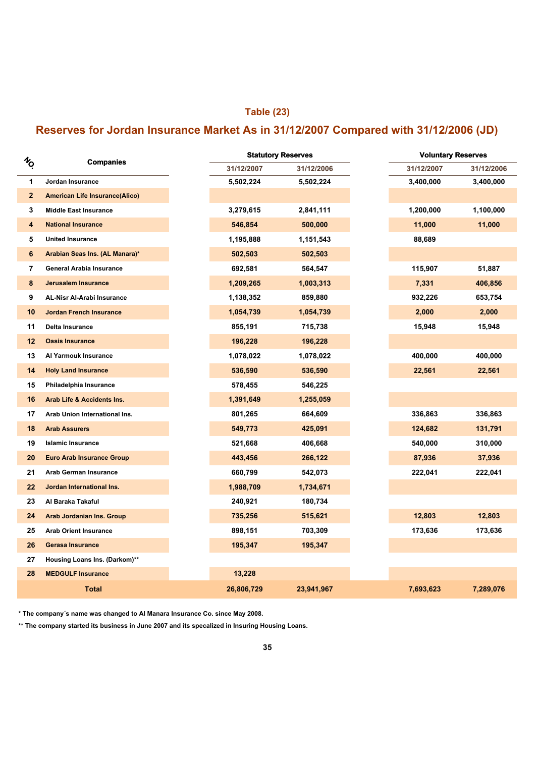## **Table (23)**

## **Reserves for Jordan Insurance Market As in 31/12/2007 Compared with 31/12/2006 (JD)**

| $\imath_{\!\scriptscriptstyle (\!\varsigma\!)}$<br><b>Companies</b> |                                       |
|---------------------------------------------------------------------|---------------------------------------|
|                                                                     |                                       |
| 1                                                                   | Jordan Insurance                      |
| $\mathbf{2}$                                                        | <b>American Life Insurance(Alico)</b> |
| 3                                                                   | <b>Middle East Insurance</b>          |
| 4                                                                   | <b>National Insurance</b>             |
| 5                                                                   | <b>United Insurance</b>               |
| 6                                                                   | Arabian Seas Ins. (AL Manara)*        |
| 7                                                                   | General Arabia Insurance              |
| 8                                                                   | <b>Jerusalem Insurance</b>            |
| 9                                                                   | <b>AL-Nisr Al-Arabi Insurance</b>     |
| 10                                                                  | <b>Jordan French Insurance</b>        |
| 11                                                                  | Delta Insurance                       |
| 12                                                                  | <b>Oasis Insurance</b>                |
| 13                                                                  | Al Yarmouk Insurance                  |
| 14                                                                  | <b>Holy Land Insurance</b>            |
| 15                                                                  | Philadelphia Insurance                |
| 16                                                                  | Arab Life & Accidents Ins.            |
| 17                                                                  | Arab Union International Ins.         |
| 18                                                                  | <b>Arab Assurers</b>                  |
| 19                                                                  | <b>Islamic Insurance</b>              |
| 20                                                                  | <b>Euro Arab Insurance Group</b>      |
| 21                                                                  | <b>Arab German Insurance</b>          |
| 22                                                                  | Jordan International Ins.             |
| 23                                                                  | Al Baraka Takaful                     |
| 24                                                                  | Arab Jordanian Ins. Group             |
| 25                                                                  | <b>Arab Orient Insurance</b>          |
| 26                                                                  | <b>Gerasa Insurance</b>               |
| 27                                                                  | Housing Loans Ins. (Darkom)**         |
| 28                                                                  | <b>MEDGULF Insurance</b>              |
|                                                                     | <b>Total</b>                          |

**\* The company´s name was changed to Al Manara Insurance Co. since May 2008.**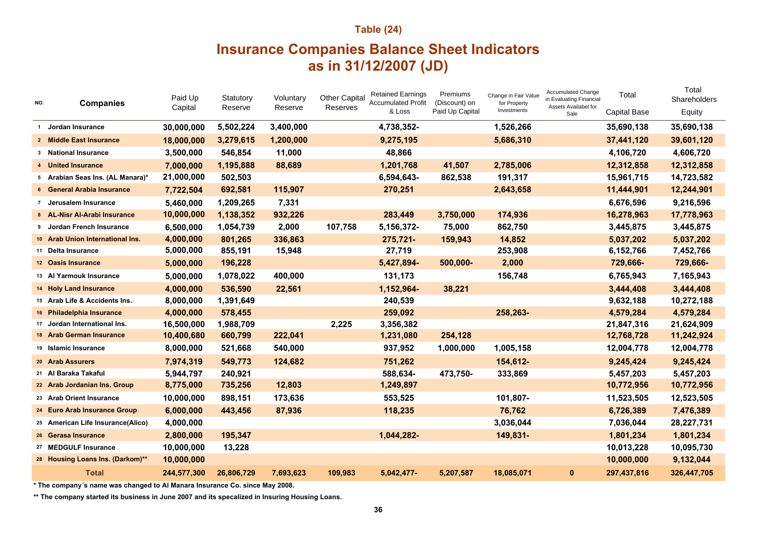# **Table (24) Insurance Companies Balance Sheet Indicators as in 31/12/2007 (JD)**

| NO.            | <b>Companies</b>                  | Paid Up<br>Capital | Statutory<br>Reserve | Voluntary<br>Reserve | <b>Other Capital</b><br>Reserves | <b>Retained Earnings</b><br><b>Accumulated Profit</b> | Premiums<br>(Discount) on | Change in Fair Value<br>for Property<br>Investments | <b>Accumulated Change</b><br>in Evaluating Financial<br>Assets Availabel for | Total               | Total<br>Shareholders |
|----------------|-----------------------------------|--------------------|----------------------|----------------------|----------------------------------|-------------------------------------------------------|---------------------------|-----------------------------------------------------|------------------------------------------------------------------------------|---------------------|-----------------------|
|                |                                   |                    |                      |                      |                                  | & Loss                                                | Paid Up Capital           |                                                     | Sale                                                                         | <b>Capital Base</b> | Equity                |
| $\overline{1}$ | Jordan Insurance                  | 30,000,000         | 5,502,224            | 3,400,000            |                                  | 4,738,352-                                            |                           | 1,526,266                                           |                                                                              | 35,690,138          | 35,690,138            |
|                | 2 Middle East Insurance           | 18,000,000         | 3,279,615            | 1,200,000            |                                  | 9,275,195                                             |                           | 5,686,310                                           |                                                                              | 37,441,120          | 39,601,120            |
|                | 3 National Insurance              | 3,500,000          | 546,854              | 11,000               |                                  | 48,866                                                |                           |                                                     |                                                                              | 4,106,720           | 4,606,720             |
|                | 4 United Insurance                | 7,000,000          | 1,195,888            | 88,689               |                                  | 1,201,768                                             | 41,507                    | 2,785,006                                           |                                                                              | 12,312,858          | 12,312,858            |
|                | 5 Arabian Seas Ins. (AL Manara)*  | 21,000,000         | 502,503              |                      |                                  | 6,594,643-                                            | 862,538                   | 191,317                                             |                                                                              | 15,961,715          | 14,723,582            |
|                | 6 General Arabia Insurance        | 7,722,504          | 692,581              | 115,907              |                                  | 270,251                                               |                           | 2,643,658                                           |                                                                              | 11,444,901          | 12,244,901            |
|                | 7 Jerusalem Insurance             | 5,460,000          | 1,209,265            | 7,331                |                                  |                                                       |                           |                                                     |                                                                              | 6,676,596           | 9,216,596             |
|                | 8 AL-Nisr Al-Arabi Insurance      | 10,000,000         | 1,138,352            | 932,226              |                                  | 283,449                                               | 3,750,000                 | 174,936                                             |                                                                              | 16,278,963          | 17,778,963            |
|                | 9 Jordan French Insurance         | 6,500,000          | 1,054,739            | 2,000                | 107,758                          | 5,156,372-                                            | 75,000                    | 862,750                                             |                                                                              | 3,445,875           | 3,445,875             |
|                | 10 Arab Union International Ins.  | 4,000,000          | 801,265              | 336,863              |                                  | 275,721-                                              | 159,943                   | 14,852                                              |                                                                              | 5,037,202           | 5,037,202             |
|                | 11 Delta Insurance                | 5,000,000          | 855,191              | 15,948               |                                  | 27,719                                                |                           | 253,908                                             |                                                                              | 6,152,766           | 7,452,766             |
|                | 12 Oasis Insurance                | 5,000,000          | 196,228              |                      |                                  | 5,427,894-                                            | 500,000-                  | 2,000                                               |                                                                              | 729,666-            | 729,666-              |
|                | 13 Al Yarmouk Insurance           | 5,000,000          | 1,078,022            | 400,000              |                                  | 131,173                                               |                           | 156,748                                             |                                                                              | 6,765,943           | 7,165,943             |
|                | 14 Holy Land Insurance            | 4,000,000          | 536,590              | 22,561               |                                  | 1,152,964-                                            | 38,221                    |                                                     |                                                                              | 3,444,408           | 3,444,408             |
|                | 15 Arab Life & Accidents Ins.     | 8,000,000          | 1,391,649            |                      |                                  | 240,539                                               |                           |                                                     |                                                                              | 9,632,188           | 10,272,188            |
|                | 16 Philadelphia Insurance         | 4,000,000          | 578,455              |                      |                                  | 259,092                                               |                           | 258,263-                                            |                                                                              | 4,579,284           | 4,579,284             |
|                | 17 Jordan International Ins.      | 16,500,000         | 1,988,709            |                      | 2,225                            | 3,356,382                                             |                           |                                                     |                                                                              | 21,847,316          | 21,624,909            |
|                | 18 Arab German Insurance          | 10,400,680         | 660,799              | 222,041              |                                  | 1,231,080                                             | 254,128                   |                                                     |                                                                              | 12,768,728          | 11,242,924            |
|                | 19 Islamic Insurance              | 8,000,000          | 521,668              | 540,000              |                                  | 937,952                                               | 1,000,000                 | 1,005,158                                           |                                                                              | 12,004,778          | 12,004,778            |
|                | 20 Arab Assurers                  | 7,974,319          | 549,773              | 124,682              |                                  | 751,262                                               |                           | 154,612-                                            |                                                                              | 9,245,424           | 9,245,424             |
|                | 21 Al Baraka Takaful              | 5,944,797          | 240,921              |                      |                                  | 588,634-                                              | 473,750-                  | 333,869                                             |                                                                              | 5,457,203           | 5,457,203             |
|                | 22 Arab Jordanian Ins. Group      | 8,775,000          | 735,256              | 12,803               |                                  | 1,249,897                                             |                           |                                                     |                                                                              | 10,772,956          | 10,772,956            |
|                | 23 Arab Orient Insurance          | 10,000,000         | 898,151              | 173,636              |                                  | 553,525                                               |                           | 101,807-                                            |                                                                              | 11,523,505          | 12,523,505            |
|                | 24 Euro Arab Insurance Group      | 6,000,000          | 443,456              | 87,936               |                                  | 118,235                                               |                           | 76,762                                              |                                                                              | 6,726,389           | 7,476,389             |
|                | 25 American Life Insurance(Alico) | 4,000,000          |                      |                      |                                  |                                                       |                           | 3,036,044                                           |                                                                              | 7,036,044           | 28,227,731            |
|                | 26 Gerasa Insurance               | 2,800,000          | 195,347              |                      |                                  | 1,044,282-                                            |                           | 149,831-                                            |                                                                              | 1,801,234           | 1,801,234             |
|                | 27 MEDGULF Insurance              | 10,000,000         | 13,228               |                      |                                  |                                                       |                           |                                                     |                                                                              | 10,013,228          | 10,095,730            |
|                | 28 Housing Loans Ins. (Darkom)**  | 10,000,000         |                      |                      |                                  |                                                       |                           |                                                     |                                                                              | 10,000,000          | 9,132,044             |
|                | <b>Total</b>                      | 244,577,300        | 26,806,729           | 7,693,623            | 109,983                          | 5,042,477-                                            | 5,207,587                 | 18,085,071                                          | $\bf{0}$                                                                     | 297,437,816         | 326,447,705           |

**\* The company´s name was changed to Al Manara Insurance Co. since May 2008.**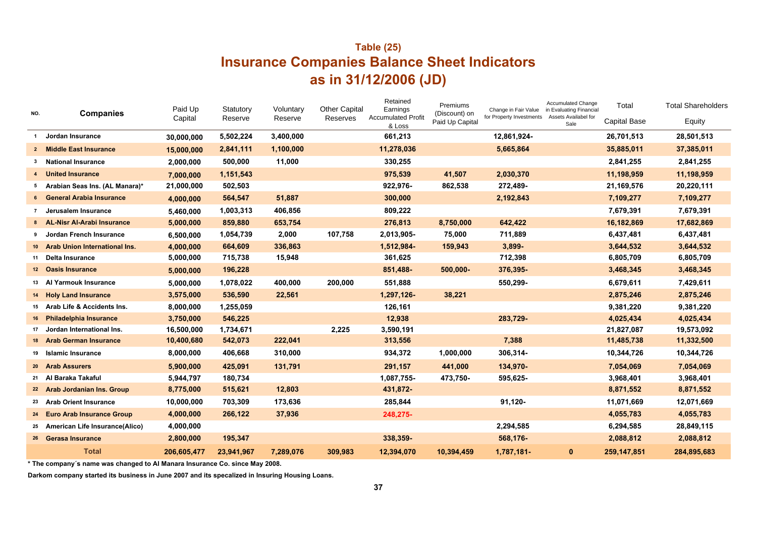## **Table (25) Insurance Companies Balance Sheet Indicators as in 31/12/2006 (JD)**

| NO.          | <b>Companies</b>                     | Paid Up<br>Capital | Statutory<br>Reserve | Voluntary<br>Reserve | <b>Other Capital</b><br>Reserves | Retained<br>Earnings<br><b>Accumulated Profit</b><br>& Loss | Premiums<br>(Discount) on<br>Paid Up Capital | Change in Fair Value<br>for Property Investments | <b>Accumulated Change</b><br>in Evaluating Financial<br>Assets Availabel for<br>Sale | Total<br><b>Capital Base</b> | <b>Total Shareholders</b><br>Equity |
|--------------|--------------------------------------|--------------------|----------------------|----------------------|----------------------------------|-------------------------------------------------------------|----------------------------------------------|--------------------------------------------------|--------------------------------------------------------------------------------------|------------------------------|-------------------------------------|
| $\mathbf{1}$ | Jordan Insurance                     | 30,000,000         | 5,502,224            | 3,400,000            |                                  | 661,213                                                     |                                              | 12,861,924-                                      |                                                                                      | 26,701,513                   | 28,501,513                          |
|              | 2 Middle East Insurance              | 15,000,000         | 2,841,111            | 1,100,000            |                                  | 11,278,036                                                  |                                              | 5,665,864                                        |                                                                                      | 35,885,011                   | 37,385,011                          |
| 3            | National Insurance                   | 2,000,000          | 500,000              | 11,000               |                                  | 330,255                                                     |                                              |                                                  |                                                                                      | 2,841,255                    | 2,841,255                           |
|              | <b>United Insurance</b>              | 7,000,000          | 1,151,543            |                      |                                  | 975,539                                                     | 41,507                                       | 2,030,370                                        |                                                                                      | 11,198,959                   | 11,198,959                          |
|              | 5 Arabian Seas Ins. (AL Manara)*     | 21,000,000         | 502,503              |                      |                                  | 922,976-                                                    | 862,538                                      | 272,489-                                         |                                                                                      | 21,169,576                   | 20,220,111                          |
|              | 6 General Arabia Insurance           | 4,000,000          | 564,547              | 51,887               |                                  | 300,000                                                     |                                              | 2,192,843                                        |                                                                                      | 7,109,277                    | 7,109,277                           |
|              | Jerusalem Insurance                  | 5,460,000          | 1,003,313            | 406,856              |                                  | 809,222                                                     |                                              |                                                  |                                                                                      | 7,679,391                    | 7,679,391                           |
|              | 8 AL-Nisr Al-Arabi Insurance         | 5,000,000          | 859,880              | 653,754              |                                  | 276,813                                                     | 8,750,000                                    | 642,422                                          |                                                                                      | 16,182,869                   | 17,682,869                          |
| 9            | Jordan French Insurance              | 6,500,000          | 1,054,739            | 2,000                | 107,758                          | 2,013,905-                                                  | 75,000                                       | 711,889                                          |                                                                                      | 6,437,481                    | 6,437,481                           |
| $10-1$       | <b>Arab Union International Ins.</b> | 4,000,000          | 664,609              | 336,863              |                                  | 1,512,984-                                                  | 159,943                                      | 3,899-                                           |                                                                                      | 3,644,532                    | 3,644,532                           |
| 11           | Delta Insurance                      | 5,000,000          | 715,738              | 15,948               |                                  | 361,625                                                     |                                              | 712,398                                          |                                                                                      | 6,805,709                    | 6,805,709                           |
|              | 12 Oasis Insurance                   | 5,000,000          | 196,228              |                      |                                  | 851,488-                                                    | 500,000-                                     | 376,395-                                         |                                                                                      | 3,468,345                    | 3,468,345                           |
| 13           | Al Yarmouk Insurance                 | 5,000,000          | 1,078,022            | 400,000              | 200,000                          | 551,888                                                     |                                              | 550,299-                                         |                                                                                      | 6,679,611                    | 7,429,611                           |
|              | 14 Holy Land Insurance               | 3,575,000          | 536,590              | 22,561               |                                  | 1,297,126-                                                  | 38,221                                       |                                                  |                                                                                      | 2,875,246                    | 2,875,246                           |
| 15           | Arab Life & Accidents Ins.           | 8,000,000          | 1,255,059            |                      |                                  | 126,161                                                     |                                              |                                                  |                                                                                      | 9,381,220                    | 9,381,220                           |
|              | 16 Philadelphia Insurance            | 3,750,000          | 546,225              |                      |                                  | 12,938                                                      |                                              | 283,729-                                         |                                                                                      | 4,025,434                    | 4,025,434                           |
| 17           | Jordan International Ins.            | 16,500,000         | 1,734,671            |                      | 2,225                            | 3,590,191                                                   |                                              |                                                  |                                                                                      | 21,827,087                   | 19,573,092                          |
| 18           | <b>Arab German Insurance</b>         | 10,400,680         | 542,073              | 222,041              |                                  | 313,556                                                     |                                              | 7,388                                            |                                                                                      | 11,485,738                   | 11,332,500                          |
| 19           | Islamic Insurance                    | 8,000,000          | 406,668              | 310,000              |                                  | 934,372                                                     | 1,000,000                                    | 306,314-                                         |                                                                                      | 10,344,726                   | 10,344,726                          |
|              | 20 Arab Assurers                     | 5,900,000          | 425,091              | 131,791              |                                  | 291,157                                                     | 441,000                                      | 134,970-                                         |                                                                                      | 7,054,069                    | 7,054,069                           |
| 21           | Al Baraka Takaful                    | 5,944,797          | 180,734              |                      |                                  | 1,087,755-                                                  | 473,750-                                     | 595,625-                                         |                                                                                      | 3,968,401                    | 3,968,401                           |
|              | 22 Arab Jordanian Ins. Group         | 8,775,000          | 515,621              | 12,803               |                                  | 431,872-                                                    |                                              |                                                  |                                                                                      | 8,871,552                    | 8,871,552                           |
|              | 23 Arab Orient Insurance             | 10,000,000         | 703,309              | 173,636              |                                  | 285,844                                                     |                                              | 91,120-                                          |                                                                                      | 11,071,669                   | 12,071,669                          |
| 24           | <b>Euro Arab Insurance Group</b>     | 4,000,000          | 266,122              | 37,936               |                                  | 248,275-                                                    |                                              |                                                  |                                                                                      | 4,055,783                    | 4,055,783                           |
| 25           | American Life Insurance(Alico)       | 4,000,000          |                      |                      |                                  |                                                             |                                              | 2,294,585                                        |                                                                                      | 6,294,585                    | 28,849,115                          |
|              | 26 Gerasa Insurance                  | 2,800,000          | 195,347              |                      |                                  | 338,359-                                                    |                                              | 568,176-                                         |                                                                                      | 2,088,812                    | 2,088,812                           |
|              | <b>Total</b>                         | 206,605,477        | 23,941,967           | 7,289,076            | 309,983                          | 12,394,070                                                  | 10,394,459                                   | 1,787,181-                                       | $\mathbf{0}$                                                                         | 259,147,851                  | 284,895,683                         |

**\* The company´s name was changed to Al Manara Insurance Co. since May 2008.**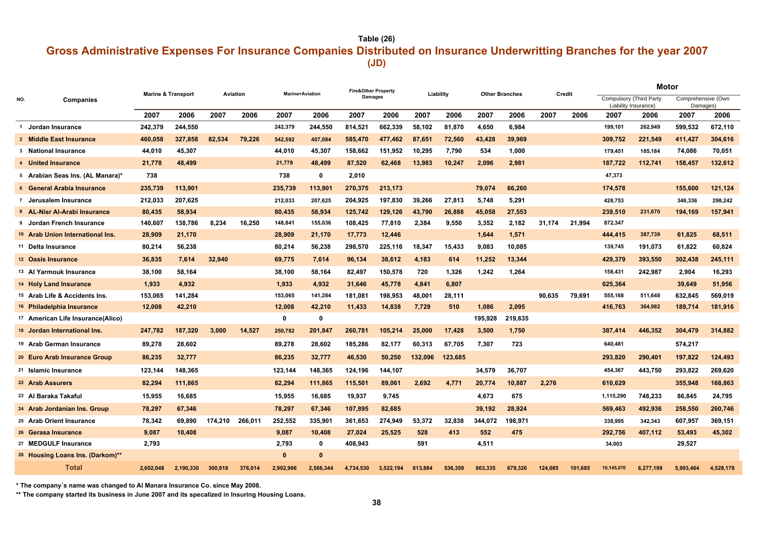**Table (26)**

## **(JD) Gross Administrative Expenses For Insurance Companies Distributed on Insurance Underwritting Branches for the year 2007**

|     |                                      |           | <b>Marine &amp; Transport</b> |         | Aviation | <b>Marine+Aviation</b> |              |                | <b>Fire&amp;Other Property</b> |         | Liability |         | <b>Other Branches</b> |         | Credit  | Motor                                           |           |                                |           |
|-----|--------------------------------------|-----------|-------------------------------|---------|----------|------------------------|--------------|----------------|--------------------------------|---------|-----------|---------|-----------------------|---------|---------|-------------------------------------------------|-----------|--------------------------------|-----------|
| NO. | Companies                            |           |                               |         |          |                        |              | <b>Damages</b> |                                |         |           |         |                       |         |         | Compulsory (Third Party<br>Liability Insurance) |           | Comprehensive (Own<br>Damages) |           |
|     |                                      | 2007      | 2006                          | 2007    | 2006     | 2007                   | 2006         | 2007           | 2006                           | 2007    | 2006      | 2007    | 2006                  | 2007    | 2006    | 2007                                            | 2006      | 2007                           | 2006      |
|     | 1 Jordan Insurance                   | 242,379   | 244,550                       |         |          | 242,379                | 244,550      | 814,521        | 662,339                        | 58,102  | 81,870    | 4,650   | 6,984                 |         |         | 199.101                                         | 262,949   | 599,532                        | 672,110   |
|     | 2 Middle East Insurance              | 460,058   | 327,858                       | 82.534  | 79,226   | 542,592                | 407,084      | 585,470        | 477,462                        | 87,651  | 72,560    | 43,428  | 39,969                |         |         | 309,752                                         | 221,549   | 411,427                        | 304,616   |
|     | <b>3</b> National Insurance          | 44,010    | 45,307                        |         |          | 44,010                 | 45,307       | 158,662        | 151,952                        | 10,295  | 7,790     | 534     | 1,000                 |         |         | 179,451                                         | 185,184   | 74,086                         | 70,051    |
|     | 4 United Insurance                   | 21,778    | 48,499                        |         |          | 21,778                 | 48,499       | 87,520         | 62,468                         | 13,983  | 10,247    | 2,096   | 2,981                 |         |         | 187,722                                         | 112,741   | 158,457                        | 132,612   |
|     | 5 Arabian Seas Ins. (AL Manara)*     | 738       |                               |         |          | 738                    | 0            | 2,010          |                                |         |           |         |                       |         |         | 47,373                                          |           |                                |           |
|     | 6 General Arabia Insurance           | 235,739   | 113,901                       |         |          | 235,739                | 113,901      | 270,375        | 213,173                        |         |           | 79,074  | 66,260                |         |         | 174,578                                         |           | 155,600                        | 121,124   |
|     | <sup>7</sup> Jerusalem Insurance     | 212,033   | 207,625                       |         |          | 212,033                | 207,625      | 204,925        | 197,830                        | 39,266  | 27,813    | 5,748   | 5,291                 |         |         | 428,753                                         |           | 346,336                        | 298,242   |
|     | 8 AL-Nisr Al-Arabi Insurance         | 80,435    | 58,934                        |         |          | 80,435                 | 58,934       | 125,742        | 129,126                        | 43,790  | 26,888    | 45,058  | 27,553                |         |         | 239,510                                         | 231,670   | 194,169                        | 157,941   |
|     | <sup>9</sup> Jordan French Insurance | 140.607   | 138,786                       | 8.234   | 16.250   | 148,841                | 155,036      | 108.425        | 77,810                         | 2,384   | 9.550     | 3,352   | 2,182                 | 31.174  | 21,994  | 872,347                                         |           |                                |           |
|     | 10 Arab Union International Ins.     | 28,909    | 21,170                        |         |          | 28,909                 | 21,170       | 17,773         | 12,446                         |         |           | 1,644   | 1,571                 |         |         | 444,415                                         | 387,739   | 61,825                         | 68,511    |
|     | <sup>11</sup> Delta Insurance        | 80,214    | 56,238                        |         |          | 80,214                 | 56,238       | 298,570        | 225,116                        | 18,347  | 15.433    | 9,083   | 10,085                |         |         | 139,745                                         | 191.073   | 61,822                         | 60,824    |
|     | 12 Oasis Insurance                   | 36,835    | 7.614                         | 32.940  |          | 69.775                 | 7,614        | 96.134         | 38,612                         | 4,183   | 614       | 11,252  | 13,344                |         |         | 429,379                                         | 393,550   | 302,438                        | 245,111   |
|     | 13 Al Yarmouk Insurance              | 38,100    | 58,164                        |         |          | 38,100                 | 58,164       | 82,497         | 150,578                        | 720     | 1,326     | 1,242   | 1,264                 |         |         | 158,431                                         | 242,987   | 2,904                          | 16,293    |
|     | 14 Holy Land Insurance               | 1,933     | 4,932                         |         |          | 1,933                  | 4,932        | 31,646         | 45,778                         | 4,841   | 6,807     |         |                       |         |         | 625,364                                         |           | 39,649                         | 51,956    |
|     | 15 Arab Life & Accidents Ins.        | 153,065   | 141,284                       |         |          | 153,065                | 141,284      | 181,081        | 198,953                        | 48,001  | 28,111    |         |                       | 90.635  | 79,691  | 555,168                                         | 511,648   | 632,845                        | 569,019   |
|     | 16 Philadelphia Insurance            | 12,008    | 42,210                        |         |          | 12,008                 | 42,210       | 11,433         | 14,838                         | 7,729   | 510       | 1,086   | 2,095                 |         |         | 416,763                                         | 364,982   | 189,714                        | 181,916   |
|     | 17 American Life Insurance(Alico)    |           |                               |         |          | 0                      | 0            |                |                                |         |           | 195,928 | 219,635               |         |         |                                                 |           |                                |           |
|     | 18 Jordan International Ins.         | 247,782   | 187,320                       | 3.000   | 14,527   | 250,782                | 201,847      | 260,781        | 105,214                        | 25,000  | 17,428    | 3,500   | 1,750                 |         |         | 387,414                                         | 446,352   | 304,479                        | 314,882   |
|     | <sup>19</sup> Arab German Insurance  | 89,278    | 28,602                        |         |          | 89,278                 | 28,602       | 185,286        | 82,177                         | 60,313  | 67.705    | 7,307   | 723                   |         |         | 640,481                                         |           | 574,217                        |           |
|     | 20 Euro Arab Insurance Group         | 86,235    | 32,777                        |         |          | 86,235                 | 32,777       | 46,530         | 50,250                         | 132,096 | 123,685   |         |                       |         |         | 293,820                                         | 290,401   | 197,822                        | 124,493   |
|     | 21 Islamic Insurance                 | 123,144   | 148,365                       |         |          | 123,144                | 148,365      | 124,196        | 144,107                        |         |           | 34,579  | 36,707                |         |         | 454,367                                         | 443,750   | 293,822                        | 269,620   |
|     | 22 Arab Assurers                     | 82,294    | 111,865                       |         |          | 82,294                 | 111,865      | 115,501        | 89,061                         | 2,692   | 4,771     | 20,774  | 10,887                | 2,276   |         | 610,629                                         |           | 355,948                        | 168,863   |
|     | 23 Al Baraka Takaful                 | 15.955    | 16,685                        |         |          | 15,955                 | 16,685       | 19,937         | 9,745                          |         |           | 4,673   | 675                   |         |         | 1,115,290                                       | 748,233   | 86,845                         | 24,795    |
|     | 24 Arab Jordanian Ins. Group         | 78,297    | 67,346                        |         |          | 78,297                 | 67,346       | 107,895        | 82,685                         |         |           | 39.192  | 28,924                |         |         | 569,463                                         | 492,936   | 258,550                        | 260.746   |
|     | 25 Arab Orient Insurance             | 78,342    | 69.890                        | 174,210 | 266.011  | 252,552                | 335.901      | 361,653        | 274,949                        | 53,372  | 32.838    | 344,072 | 198.971               |         |         | 338,995                                         | 342,343   | 607,957                        | 369.151   |
|     | 26 Gerasa Insurance                  | 9,087     | 10.408                        |         |          | 9.087                  | 10.408       | 27,024         | 25.525                         | 528     | 413       | 552     | 475                   |         |         | 292,756                                         | 407.112   | 53,493                         | 45.302    |
|     | 27 MEDGULF Insurance                 | 2,793     |                               |         |          | 2,793                  | 0            | 408,943        |                                | 591     |           | 4,511   |                       |         |         | 34,003                                          |           | 29,527                         |           |
|     | 28 Housing Loans Ins. (Darkom)**     |           |                               |         |          | $\mathbf{0}$           | $\mathbf{0}$ |                |                                |         |           |         |                       |         |         |                                                 |           |                                |           |
|     | <b>Total</b>                         | 2,602,048 | 2,190,330                     | 300,918 | 376.014  | 2,902,966              | 2.566.344    | 4,734,530      | 3.522.194                      | 613,884 | 536.359   | 863,335 | 679.326               | 124.085 | 101,685 | 10,145,070                                      | 6.277.199 | 5,993,464                      | 4,528,178 |

**\* The company´s name was changed to Al Manara Insurance Co. since May 2008.**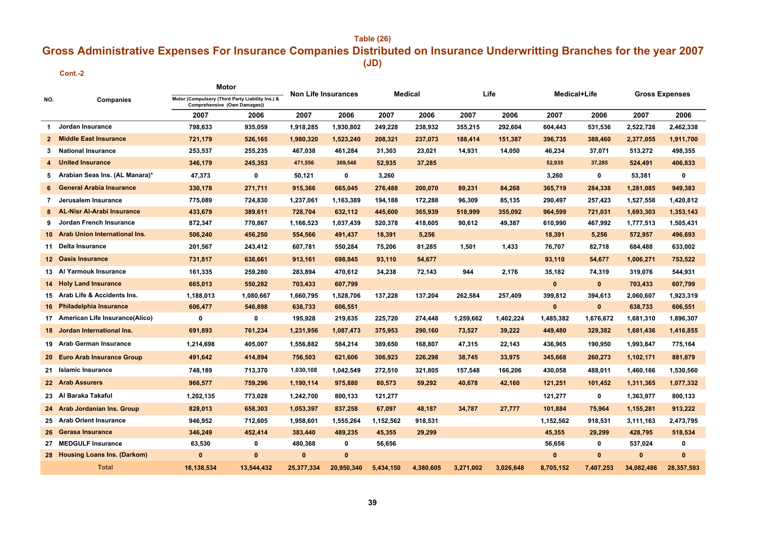## **Table (26) (JD) Gross Administrative Expenses For Insurance Companies Distributed on Insurance Underwritting Branches for the year 2007**

#### **Cont.-2**

|                |                                   |                                                                                  | Motor      |              | Medical<br><b>Non Life Insurances</b> |           | Life      |           | Medical+Life |              | <b>Gross Expenses</b> |            |            |
|----------------|-----------------------------------|----------------------------------------------------------------------------------|------------|--------------|---------------------------------------|-----------|-----------|-----------|--------------|--------------|-----------------------|------------|------------|
| NO.            | Companies                         | Motor (Compulsory (Third Party Liability Ins.) &<br>Comprehensive (Own Damages)) |            |              |                                       |           |           |           |              |              |                       |            |            |
|                |                                   | 2007                                                                             | 2006       | 2007         | 2006                                  | 2007      | 2006      | 2007      | 2006         | 2007         | 2006                  | 2007       | 2006       |
| 1              | Jordan Insurance                  | 798,633                                                                          | 935,059    | 1,918,285    | 1,930,802                             | 249,228   | 238,932   | 355,215   | 292,604      | 604,443      | 531,536               | 2,522,728  | 2,462,338  |
| $\mathbf{2}$   | <b>Middle East Insurance</b>      | 721,179                                                                          | 526,165    | 1,980,320    | 1,523,240                             | 208,321   | 237,073   | 188,414   | 151,387      | 396,735      | 388,460               | 2,377,055  | 1,911,700  |
| 3.             | <b>National Insurance</b>         | 253,537                                                                          | 255,235    | 467,038      | 461,284                               | 31,303    | 23,021    | 14,931    | 14,050       | 46,234       | 37,071                | 513,272    | 498,355    |
|                | <b>United Insurance</b>           | 346,179                                                                          | 245,353    | 471,556      | 369,548                               | 52,935    | 37,285    |           |              | 52,935       | 37,285                | 524,491    | 406,833    |
| 5              | Arabian Seas Ins. (AL Manara)*    | 47,373                                                                           | 0          | 50,121       | 0                                     | 3,260     |           |           |              | 3,260        | 0                     | 53,381     | 0          |
| 6              | <b>General Arabia Insurance</b>   | 330,178                                                                          | 271,711    | 915,366      | 665,045                               | 276,488   | 200,070   | 89,231    | 84,268       | 365,719      | 284,338               | 1,281,085  | 949,383    |
| $\overline{7}$ | Jerusalem Insurance               | 775,089                                                                          | 724,830    | 1,237,061    | 1,163,389                             | 194,188   | 172,288   | 96,309    | 85,135       | 290,497      | 257,423               | 1,527,558  | 1,420,812  |
|                | <b>AL-Nisr Al-Arabi Insurance</b> | 433,679                                                                          | 389,611    | 728,704      | 632,112                               | 445,600   | 365,939   | 518,999   | 355,092      | 964,599      | 721,031               | 1,693,303  | 1,353,143  |
| 9.             | Jordan French Insurance           | 872,347                                                                          | 770,867    | 1,166,523    | 1,037,439                             | 520,378   | 418,605   | 90,612    | 49,387       | 610,990      | 467,992               | 1,777,513  | 1,505,431  |
| 10             | Arab Union International Ins.     | 506,240                                                                          | 456,250    | 554,566      | 491,437                               | 18,391    | 5,256     |           |              | 18,391       | 5,256                 | 572,957    | 496,693    |
| 11             | Delta Insurance                   | 201,567                                                                          | 243,412    | 607,781      | 550,284                               | 75,206    | 81,285    | 1,501     | 1,433        | 76,707       | 82,718                | 684,488    | 633,002    |
| 12.            | <b>Oasis Insurance</b>            | 731,817                                                                          | 638,661    | 913,161      | 698,845                               | 93,110    | 54,677    |           |              | 93,110       | 54,677                | 1,006,271  | 753,522    |
|                | 13 Al Yarmouk Insurance           | 161,335                                                                          | 259,280    | 283,894      | 470,612                               | 34,238    | 72,143    | 944       | 2,176        | 35,182       | 74,319                | 319,076    | 544,931    |
| 14             | <b>Holy Land Insurance</b>        | 665,013                                                                          | 550,282    | 703,433      | 607,799                               |           |           |           |              | $\bf{0}$     | $\mathbf{0}$          | 703,433    | 607,799    |
|                | 15 Arab Life & Accidents Ins.     | 1,188,013                                                                        | 1,080,667  | 1,660,795    | 1,528,706                             | 137,228   | 137,204   | 262,584   | 257,409      | 399,812      | 394,613               | 2,060,607  | 1,923,319  |
| 16             | <b>Philadelphia Insurance</b>     | 606,477                                                                          | 546,898    | 638,733      | 606,551                               |           |           |           |              | $\mathbf{0}$ | $\mathbf{0}$          | 638,733    | 606,551    |
|                | 17 American Life Insurance(Alico) | $\mathbf 0$                                                                      | 0          | 195,928      | 219,635                               | 225,720   | 274,448   | 1,259,662 | 1,402,224    | 1,485,382    | 1,676,672             | 1,681,310  | 1,896,307  |
| 18             | Jordan International Ins.         | 691,893                                                                          | 761,234    | 1,231,956    | 1,087,473                             | 375,953   | 290,160   | 73,527    | 39,222       | 449,480      | 329,382               | 1,681,436  | 1,416,855  |
| 19             | <b>Arab German Insurance</b>      | 1,214,698                                                                        | 405,007    | 1,556,882    | 584,214                               | 389,650   | 168,807   | 47,315    | 22,143       | 436.965      | 190,950               | 1,993,847  | 775,164    |
| <b>20</b>      | <b>Euro Arab Insurance Group</b>  | 491,642                                                                          | 414,894    | 756,503      | 621,606                               | 306,923   | 226,298   | 38,745    | 33,975       | 345,668      | 260,273               | 1,102,171  | 881,879    |
| 21             | <b>Islamic Insurance</b>          | 748,189                                                                          | 713,370    | 1,030,108    | 1,042,549                             | 272,510   | 321,805   | 157,548   | 166,206      | 430,058      | 488,011               | 1,460,166  | 1,530,560  |
|                | 22 Arab Assurers                  | 966,577                                                                          | 759,296    | 1,190,114    | 975,880                               | 80,573    | 59,292    | 40,678    | 42,160       | 121,251      | 101,452               | 1,311,365  | 1,077,332  |
|                | 23 Al Baraka Takaful              | 1,202,135                                                                        | 773,028    | 1,242,700    | 800,133                               | 121,277   |           |           |              | 121,277      | 0                     | 1,363,977  | 800,133    |
|                | 24 Arab Jordanian Ins. Group      | 828,013                                                                          | 658,303    | 1,053,397    | 837,258                               | 67,097    | 48,187    | 34,787    | 27,777       | 101,884      | 75,964                | 1,155,281  | 913,222    |
|                | 25 Arab Orient Insurance          | 946,952                                                                          | 712,605    | 1,958,601    | 1,555,264                             | 1,152,562 | 918,531   |           |              | 1,152,562    | 918,531               | 3,111,163  | 2,473,795  |
| 26             | <b>Gerasa Insurance</b>           | 346,249                                                                          | 452,414    | 383,440      | 489,235                               | 45,355    | 29,299    |           |              | 45,355       | 29,299                | 428,795    | 518,534    |
| 27             | <b>MEDGULF Insurance</b>          | 63,530                                                                           | 0          | 480,368      | 0                                     | 56,656    |           |           |              | 56,656       | 0                     | 537,024    | 0          |
|                | 28 Housing Loans Ins. (Darkom)    | $\mathbf{0}$                                                                     | $\bf{0}$   | $\mathbf{0}$ | $\bf{0}$                              |           |           |           |              | $\mathbf{0}$ | $\mathbf{0}$          | $\bf{0}$   | $\bf{0}$   |
|                | <b>Total</b>                      | 16,138,534                                                                       | 13,544,432 | 25,377,334   | 20,950,340                            | 5,434,150 | 4,380,605 | 3,271,002 | 3,026,648    | 8,705,152    | 7,407,253             | 34,082,486 | 28,357,593 |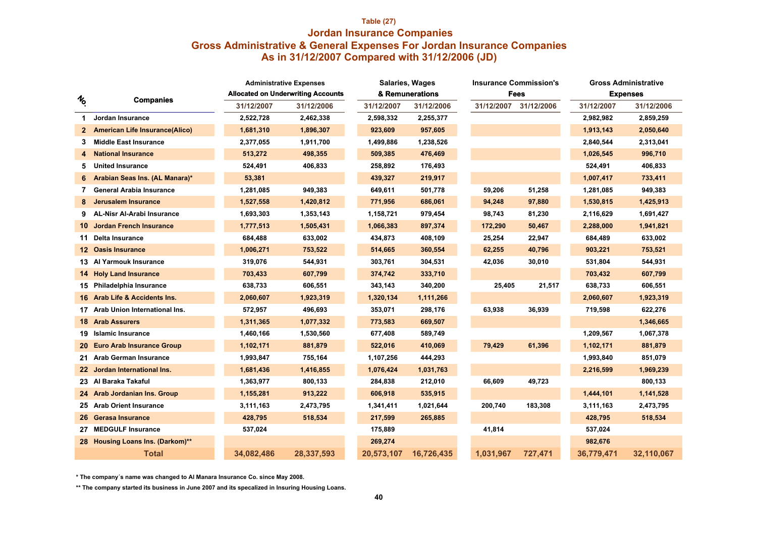## **Table (27) Jordan Insurance Companies As in 31/12/2007 Compared with 31/12/2006 (JD) Gross Administrative & General Expenses For Jordan Insurance Companies**

|                |                                       | <b>Administrative Expenses</b> |                                           |            | <b>Salaries, Wages</b> |            | <b>Insurance Commission's</b> | <b>Gross Administrative</b> |                 |  |
|----------------|---------------------------------------|--------------------------------|-------------------------------------------|------------|------------------------|------------|-------------------------------|-----------------------------|-----------------|--|
| $\frac{1}{2}$  | <b>Companies</b>                      |                                | <b>Allocated on Underwriting Accounts</b> |            | & Remunerations        |            | Fees                          |                             | <b>Expenses</b> |  |
|                |                                       | 31/12/2007                     | 31/12/2006                                | 31/12/2007 | 31/12/2006             | 31/12/2007 | 31/12/2006                    | 31/12/2007                  | 31/12/2006      |  |
| 1.             | Jordan Insurance                      | 2,522,728                      | 2,462,338                                 | 2,598,332  | 2,255,377              |            |                               | 2,982,982                   | 2,859,259       |  |
| $\mathbf{2}^-$ | <b>American Life Insurance(Alico)</b> | 1,681,310                      | 1,896,307                                 | 923,609    | 957,605                |            |                               | 1,913,143                   | 2,050,640       |  |
| 3              | <b>Middle East Insurance</b>          | 2,377,055                      | 1,911,700                                 | 1,499,886  | 1,238,526              |            |                               | 2,840,544                   | 2,313,041       |  |
| 4              | <b>National Insurance</b>             | 513,272                        | 498,355                                   | 509,385    | 476,469                |            |                               | 1,026,545                   | 996,710         |  |
| 5              | <b>United Insurance</b>               | 524,491                        | 406,833                                   | 258,892    | 176,493                |            |                               | 524,491                     | 406,833         |  |
| 6              | Arabian Seas Ins. (AL Manara)*        | 53,381                         |                                           | 439,327    | 219,917                |            |                               | 1,007,417                   | 733,411         |  |
|                | General Arabia Insurance              | 1,281,085                      | 949,383                                   | 649,611    | 501,778                | 59,206     | 51,258                        | 1,281,085                   | 949,383         |  |
| 8              | <b>Jerusalem Insurance</b>            | 1,527,558                      | 1,420,812                                 | 771,956    | 686,061                | 94,248     | 97,880                        | 1,530,815                   | 1,425,913       |  |
| 9              | <b>AL-Nisr Al-Arabi Insurance</b>     | 1,693,303                      | 1,353,143                                 | 1,158,721  | 979,454                | 98,743     | 81,230                        | 2,116,629                   | 1,691,427       |  |
| 10             | <b>Jordan French Insurance</b>        | 1,777,513                      | 1,505,431                                 | 1,066,383  | 897,374                | 172,290    | 50,467                        | 2,288,000                   | 1,941,821       |  |
| 11             | <b>Delta Insurance</b>                | 684,488                        | 633,002                                   | 434,873    | 408,109                | 25,254     | 22,947                        | 684,489                     | 633,002         |  |
| 12.            | <b>Oasis Insurance</b>                | 1,006,271                      | 753,522                                   | 514,665    | 360,554                | 62,255     | 40,796                        | 903,221                     | 753,521         |  |
|                | 13 Al Yarmouk Insurance               | 319,076                        | 544,931                                   | 303,761    | 304,531                | 42,036     | 30,010                        | 531,804                     | 544,931         |  |
|                | <b>14 Holy Land Insurance</b>         | 703,433                        | 607,799                                   | 374,742    | 333,710                |            |                               | 703,432                     | 607,799         |  |
|                | 15 Philadelphia Insurance             | 638,733                        | 606,551                                   | 343,143    | 340,200                | 25,405     | 21,517                        | 638,733                     | 606,551         |  |
|                | 16 Arab Life & Accidents Ins.         | 2,060,607                      | 1,923,319                                 | 1,320,134  | 1,111,266              |            |                               | 2,060,607                   | 1,923,319       |  |
| 17             | Arab Union International Ins.         | 572,957                        | 496,693                                   | 353,071    | 298,176                | 63,938     | 36,939                        | 719,598                     | 622,276         |  |
|                | <b>18 Arab Assurers</b>               | 1,311,365                      | 1,077,332                                 | 773,583    | 669,507                |            |                               |                             | 1,346,665       |  |
|                | 19 Islamic Insurance                  | 1,460,166                      | 1,530,560                                 | 677,408    | 589,749                |            |                               | 1,209,567                   | 1,067,378       |  |
| 20 -           | <b>Euro Arab Insurance Group</b>      | 1,102,171                      | 881,879                                   | 522,016    | 410,069                | 79,429     | 61,396                        | 1,102,171                   | 881,879         |  |
| 21             | <b>Arab German Insurance</b>          | 1,993,847                      | 755,164                                   | 1,107,256  | 444,293                |            |                               | 1,993,840                   | 851,079         |  |
| 22.            | <b>Jordan International Ins.</b>      | 1,681,436                      | 1,416,855                                 | 1,076,424  | 1,031,763              |            |                               | 2,216,599                   | 1,969,239       |  |
|                | 23 Al Baraka Takaful                  | 1,363,977                      | 800,133                                   | 284,838    | 212,010                | 66,609     | 49,723                        |                             | 800,133         |  |
|                | 24 Arab Jordanian Ins. Group          | 1,155,281                      | 913,222                                   | 606,918    | 535,915                |            |                               | 1,444,101                   | 1,141,528       |  |
|                | 25 Arab Orient Insurance              | 3,111,163                      | 2,473,795                                 | 1,341,411  | 1,021,644              | 200,740    | 183,308                       | 3,111,163                   | 2,473,795       |  |
| 26.            | <b>Gerasa Insurance</b>               | 428,795                        | 518,534                                   | 217,599    | 265,885                |            |                               | 428,795                     | 518,534         |  |
| 27             | <b>MEDGULF Insurance</b>              | 537,024                        |                                           | 175,889    |                        | 41,814     |                               | 537,024                     |                 |  |
| 28 .           | <b>Housing Loans Ins. (Darkom)**</b>  |                                |                                           | 269,274    |                        |            |                               | 982,676                     |                 |  |
|                | <b>Total</b>                          | 34,082,486                     | 28,337,593                                | 20,573,107 | 16,726,435             | 1,031,967  | 727,471                       | 36,779,471                  | 32,110,067      |  |

**\* The company´s name was changed to Al Manara Insurance Co. since May 2008.**